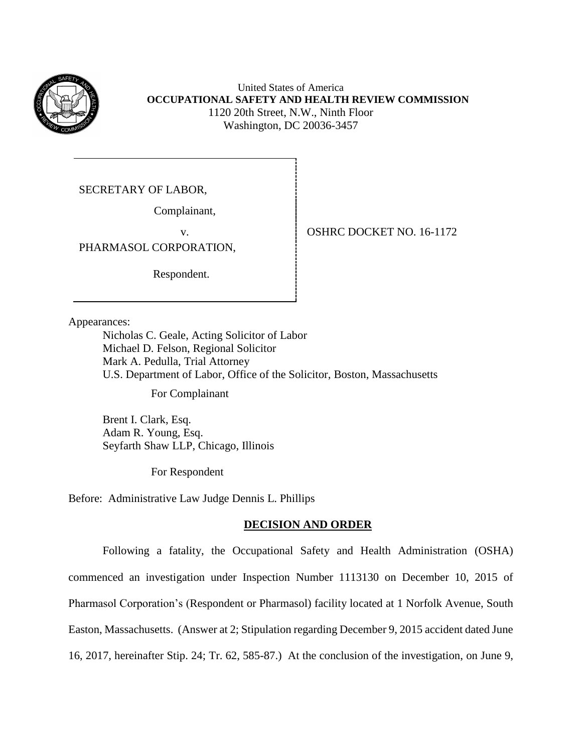

United States of America **OCCUPATIONAL SAFETY AND HEALTH REVIEW COMMISSION** 1120 20th Street, N.W., Ninth Floor Washington, DC 20036-3457

SECRETARY OF LABOR,

Complainant,

PHARMASOL CORPORATION,

Respondent.

v.OSHRC DOCKET NO. 16-1172

Appearances:

Nicholas C. Geale, Acting Solicitor of Labor Michael D. Felson, Regional Solicitor Mark A. Pedulla, Trial Attorney U.S. Department of Labor, Office of the Solicitor, Boston, Massachusetts

For Complainant

Brent I. Clark, Esq. Adam R. Young, Esq. Seyfarth Shaw LLP, Chicago, Illinois

For Respondent

Before: Administrative Law Judge Dennis L. Phillips

## **DECISION AND ORDER**

Following a fatality, the Occupational Safety and Health Administration (OSHA) commenced an investigation under Inspection Number 1113130 on December 10, 2015 of Pharmasol Corporation's (Respondent or Pharmasol) facility located at 1 Norfolk Avenue, South Easton, Massachusetts. (Answer at 2; Stipulation regarding December 9, 2015 accident dated June 16, 2017, hereinafter Stip. 24; Tr. 62, 585-87.) At the conclusion of the investigation, on June 9,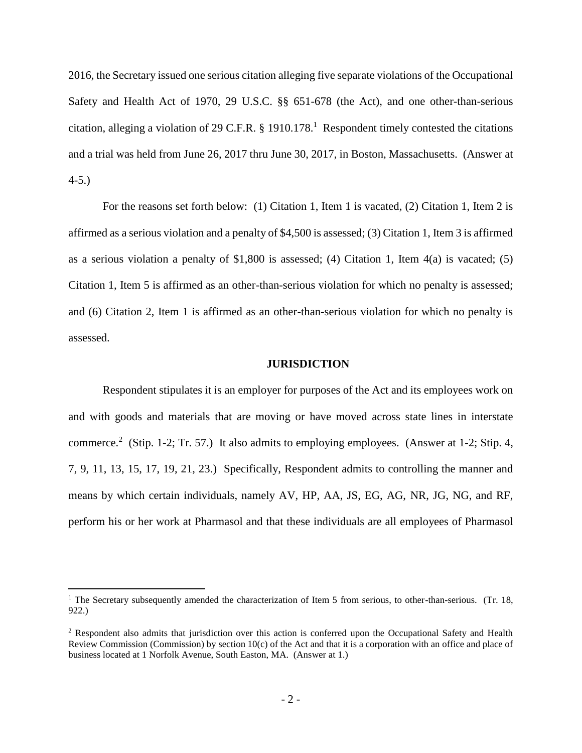2016, the Secretary issued one serious citation alleging five separate violations of the Occupational Safety and Health Act of 1970, 29 U.S.C. §§ 651-678 (the Act), and one other-than-serious citation, alleging a violation of 29 C.F.R. § 1910.178. 1 Respondent timely contested the citations and a trial was held from June 26, 2017 thru June 30, 2017, in Boston, Massachusetts. (Answer at 4-5.)

For the reasons set forth below: (1) Citation 1, Item 1 is vacated, (2) Citation 1, Item 2 is affirmed as a serious violation and a penalty of \$4,500 is assessed; (3) Citation 1, Item 3 is affirmed as a serious violation a penalty of  $$1,800$  is assessed; (4) Citation 1, Item  $4(a)$  is vacated; (5) Citation 1, Item 5 is affirmed as an other-than-serious violation for which no penalty is assessed; and (6) Citation 2, Item 1 is affirmed as an other-than-serious violation for which no penalty is assessed.

#### **JURISDICTION**

Respondent stipulates it is an employer for purposes of the Act and its employees work on and with goods and materials that are moving or have moved across state lines in interstate commerce.<sup>2</sup> (Stip. 1-2; Tr. 57.) It also admits to employing employees. (Answer at 1-2; Stip. 4, 7, 9, 11, 13, 15, 17, 19, 21, 23.) Specifically, Respondent admits to controlling the manner and means by which certain individuals, namely AV, HP, AA, JS, EG, AG, NR, JG, NG, and RF, perform his or her work at Pharmasol and that these individuals are all employees of Pharmasol

<sup>&</sup>lt;sup>1</sup> The Secretary subsequently amended the characterization of Item 5 from serious, to other-than-serious. (Tr. 18, 922.)

<sup>&</sup>lt;sup>2</sup> Respondent also admits that jurisdiction over this action is conferred upon the Occupational Safety and Health Review Commission (Commission) by section  $10(c)$  of the Act and that it is a corporation with an office and place of business located at 1 Norfolk Avenue, South Easton, MA. (Answer at 1.)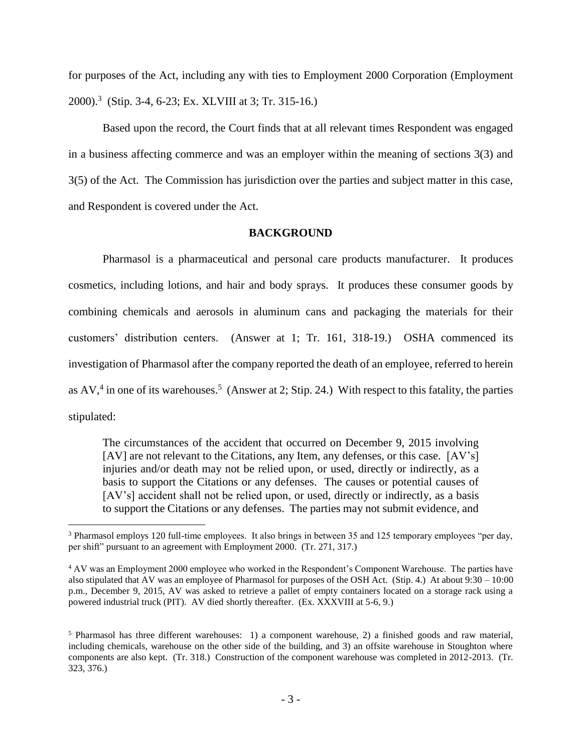for purposes of the Act, including any with ties to Employment 2000 Corporation (Employment 2000). 3 (Stip. 3-4, 6-23; Ex. XLVIII at 3; Tr. 315-16.)

Based upon the record, the Court finds that at all relevant times Respondent was engaged in a business affecting commerce and was an employer within the meaning of sections 3(3) and 3(5) of the Act. The Commission has jurisdiction over the parties and subject matter in this case, and Respondent is covered under the Act.

### **BACKGROUND**

Pharmasol is a pharmaceutical and personal care products manufacturer. It produces cosmetics, including lotions, and hair and body sprays. It produces these consumer goods by combining chemicals and aerosols in aluminum cans and packaging the materials for their customers' distribution centers. (Answer at 1; Tr. 161, 318-19.) OSHA commenced its investigation of Pharmasol after the company reported the death of an employee, referred to herein as  $AV$ ,<sup>4</sup> in one of its warehouses.<sup>5</sup> (Answer at 2; Stip. 24.) With respect to this fatality, the parties stipulated:

The circumstances of the accident that occurred on December 9, 2015 involving [AV] are not relevant to the Citations, any Item, any defenses, or this case. [AV's] injuries and/or death may not be relied upon, or used, directly or indirectly, as a basis to support the Citations or any defenses. The causes or potential causes of [AV's] accident shall not be relied upon, or used, directly or indirectly, as a basis to support the Citations or any defenses. The parties may not submit evidence, and

<sup>3</sup> Pharmasol employs 120 full-time employees. It also brings in between 35 and 125 temporary employees "per day, per shift" pursuant to an agreement with Employment 2000. (Tr. 271, 317.)

<sup>4</sup> AV was an Employment 2000 employee who worked in the Respondent's Component Warehouse. The parties have also stipulated that AV was an employee of Pharmasol for purposes of the OSH Act. (Stip. 4.) At about 9:30 – 10:00 p.m., December 9, 2015, AV was asked to retrieve a pallet of empty containers located on a storage rack using a powered industrial truck (PIT). AV died shortly thereafter. (Ex. XXXVIII at 5-6, 9.)

<sup>5</sup> Pharmasol has three different warehouses: 1) a component warehouse, 2) a finished goods and raw material, including chemicals, warehouse on the other side of the building, and 3) an offsite warehouse in Stoughton where components are also kept. (Tr. 318.) Construction of the component warehouse was completed in 2012-2013. (Tr. 323, 376.)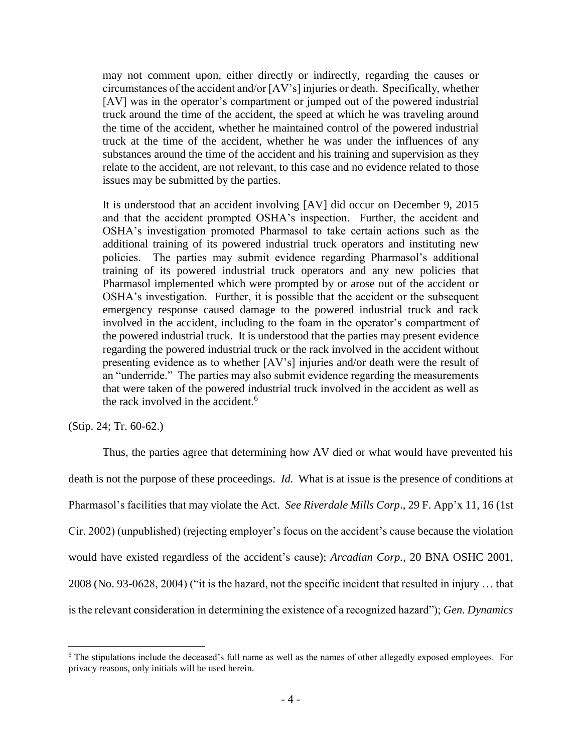may not comment upon, either directly or indirectly, regarding the causes or circumstances of the accident and/or [AV's] injuries or death. Specifically, whether [AV] was in the operator's compartment or jumped out of the powered industrial truck around the time of the accident, the speed at which he was traveling around the time of the accident, whether he maintained control of the powered industrial truck at the time of the accident, whether he was under the influences of any substances around the time of the accident and his training and supervision as they relate to the accident, are not relevant, to this case and no evidence related to those issues may be submitted by the parties.

It is understood that an accident involving [AV] did occur on December 9, 2015 and that the accident prompted OSHA's inspection. Further, the accident and OSHA's investigation promoted Pharmasol to take certain actions such as the additional training of its powered industrial truck operators and instituting new policies. The parties may submit evidence regarding Pharmasol's additional training of its powered industrial truck operators and any new policies that Pharmasol implemented which were prompted by or arose out of the accident or OSHA's investigation. Further, it is possible that the accident or the subsequent emergency response caused damage to the powered industrial truck and rack involved in the accident, including to the foam in the operator's compartment of the powered industrial truck. It is understood that the parties may present evidence regarding the powered industrial truck or the rack involved in the accident without presenting evidence as to whether [AV's] injuries and/or death were the result of an "underride." The parties may also submit evidence regarding the measurements that were taken of the powered industrial truck involved in the accident as well as the rack involved in the accident.<sup>6</sup>

(Stip. 24; Tr. 60-62.)

 $\overline{a}$ 

Thus, the parties agree that determining how AV died or what would have prevented his death is not the purpose of these proceedings. *Id.* What is at issue is the presence of conditions at Pharmasol's facilities that may violate the Act. *See Riverdale Mills Corp*., 29 F. App'x 11, 16 (1st Cir. 2002) (unpublished) (rejecting employer's focus on the accident's cause because the violation would have existed regardless of the accident's cause); *Arcadian Corp.*, 20 BNA OSHC 2001, 2008 (No. 93-0628, 2004) ("it is the hazard, not the specific incident that resulted in injury … that is the relevant consideration in determining the existence of a recognized hazard"); *Gen. Dynamics* 

<sup>6</sup> The stipulations include the deceased's full name as well as the names of other allegedly exposed employees. For privacy reasons, only initials will be used herein.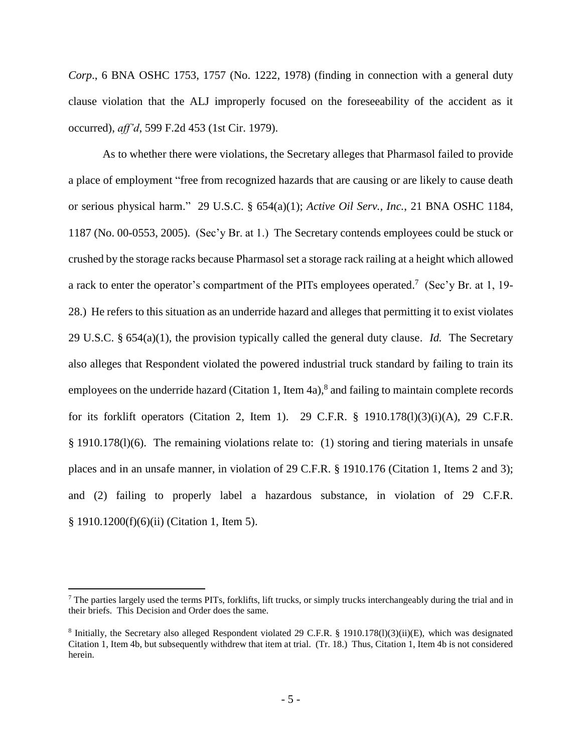*Corp*., 6 BNA OSHC 1753, 1757 (No. 1222, 1978) (finding in connection with a general duty clause violation that the ALJ improperly focused on the foreseeability of the accident as it occurred), *aff'd*, 599 F.2d 453 (1st Cir. 1979).

As to whether there were violations, the Secretary alleges that Pharmasol failed to provide a place of employment "free from recognized hazards that are causing or are likely to cause death or serious physical harm." 29 U.S.C. § 654(a)(1); *Active Oil Serv., Inc.*, 21 BNA OSHC 1184, 1187 (No. 00-0553, 2005). (Sec'y Br. at 1.) The Secretary contends employees could be stuck or crushed by the storage racks because Pharmasol set a storage rack railing at a height which allowed a rack to enter the operator's compartment of the PITs employees operated.<sup>7</sup> (Sec'y Br. at 1, 19-28.) He refers to this situation as an underride hazard and alleges that permitting it to exist violates 29 U.S.C. § 654(a)(1), the provision typically called the general duty clause. *Id.* The Secretary also alleges that Respondent violated the powered industrial truck standard by failing to train its employees on the underride hazard (Citation 1, Item 4a),<sup>8</sup> and failing to maintain complete records for its forklift operators (Citation 2, Item 1). 29 C.F.R. § 1910.178(l)(3)(i)(A), 29 C.F.R. § 1910.178(l)(6). The remaining violations relate to: (1) storing and tiering materials in unsafe places and in an unsafe manner, in violation of 29 C.F.R. § 1910.176 (Citation 1, Items 2 and 3); and (2) failing to properly label a hazardous substance, in violation of 29 C.F.R. § 1910.1200(f)(6)(ii) (Citation 1, Item 5).

 $<sup>7</sup>$  The parties largely used the terms PITs, forklifts, lift trucks, or simply trucks interchangeably during the trial and in</sup> their briefs. This Decision and Order does the same.

<sup>&</sup>lt;sup>8</sup> Initially, the Secretary also alleged Respondent violated 29 C.F.R. § 1910.178(l)(3)(ii)(E), which was designated Citation 1, Item 4b, but subsequently withdrew that item at trial. (Tr. 18.) Thus, Citation 1, Item 4b is not considered herein.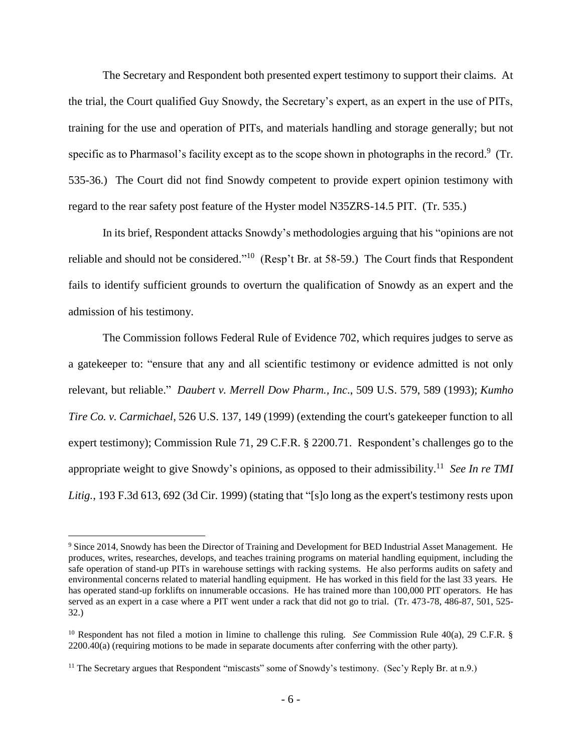The Secretary and Respondent both presented expert testimony to support their claims. At the trial, the Court qualified Guy Snowdy, the Secretary's expert, as an expert in the use of PITs, training for the use and operation of PITs, and materials handling and storage generally; but not specific as to Pharmasol's facility except as to the scope shown in photographs in the record.<sup>9</sup> (Tr. 535-36.) The Court did not find Snowdy competent to provide expert opinion testimony with regard to the rear safety post feature of the Hyster model N35ZRS-14.5 PIT. (Tr. 535.)

In its brief, Respondent attacks Snowdy's methodologies arguing that his "opinions are not reliable and should not be considered."<sup>10</sup> (Resp't Br. at 58-59.) The Court finds that Respondent fails to identify sufficient grounds to overturn the qualification of Snowdy as an expert and the admission of his testimony.

The Commission follows Federal Rule of Evidence 702, which requires judges to serve as a gatekeeper to: "ensure that any and all scientific testimony or evidence admitted is not only relevant, but reliable." *Daubert v. Merrell Dow Pharm., Inc*., 509 U.S. 579, 589 (1993); *Kumho Tire Co. v. Carmichael*, 526 U.S. 137, 149 (1999) (extending the court's gatekeeper function to all expert testimony); Commission Rule 71, 29 C.F.R. § 2200.71. Respondent's challenges go to the appropriate weight to give Snowdy's opinions, as opposed to their admissibility. 11 *See In re TMI Litig.*, 193 F.3d 613, 692 (3d Cir. 1999) (stating that "[s]o long as the expert's testimony rests upon

<sup>9</sup> Since 2014, Snowdy has been the Director of Training and Development for BED Industrial Asset Management. He produces, writes, researches, develops, and teaches training programs on material handling equipment, including the safe operation of stand-up PITs in warehouse settings with racking systems. He also performs audits on safety and environmental concerns related to material handling equipment. He has worked in this field for the last 33 years. He has operated stand-up forklifts on innumerable occasions. He has trained more than 100,000 PIT operators. He has served as an expert in a case where a PIT went under a rack that did not go to trial. (Tr. 473-78, 486-87, 501, 525- 32.)

<sup>10</sup> Respondent has not filed a motion in limine to challenge this ruling. *See* Commission Rule 40(a), 29 C.F.R. §  $2200.40(a)$  (requiring motions to be made in separate documents after conferring with the other party).

<sup>&</sup>lt;sup>11</sup> The Secretary argues that Respondent "miscasts" some of Snowdy's testimony. (Sec'y Reply Br. at n.9.)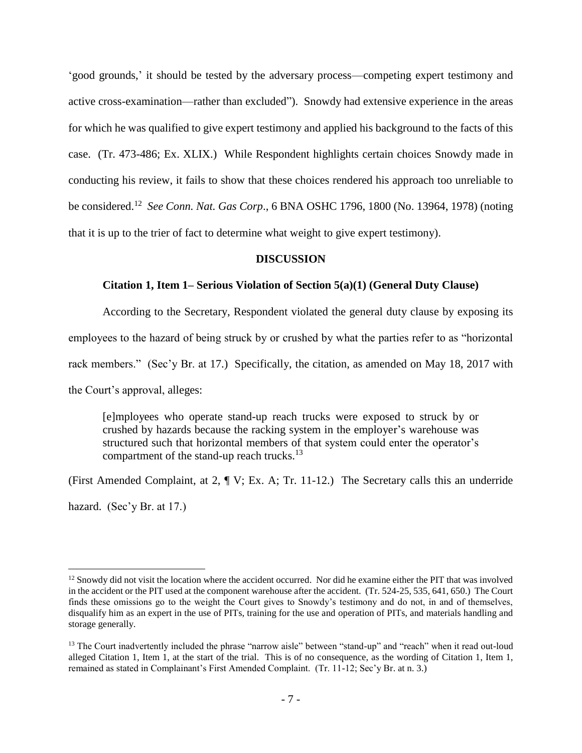'good grounds,' it should be tested by the adversary process—competing expert testimony and active cross-examination—rather than excluded"). Snowdy had extensive experience in the areas for which he was qualified to give expert testimony and applied his background to the facts of this case. (Tr. 473-486; Ex. XLIX.) While Respondent highlights certain choices Snowdy made in conducting his review, it fails to show that these choices rendered his approach too unreliable to be considered.<sup>12</sup> *See Conn. Nat. Gas Corp*., 6 BNA OSHC 1796, 1800 (No. 13964, 1978) (noting that it is up to the trier of fact to determine what weight to give expert testimony).

#### **DISCUSSION**

#### **Citation 1, Item 1– Serious Violation of Section 5(a)(1) (General Duty Clause)**

According to the Secretary, Respondent violated the general duty clause by exposing its

employees to the hazard of being struck by or crushed by what the parties refer to as "horizontal

rack members." (Sec'y Br. at 17.) Specifically, the citation, as amended on May 18, 2017 with

the Court's approval, alleges:

 $\overline{a}$ 

[e]mployees who operate stand-up reach trucks were exposed to struck by or crushed by hazards because the racking system in the employer's warehouse was structured such that horizontal members of that system could enter the operator's compartment of the stand-up reach trucks.<sup>13</sup>

(First Amended Complaint, at 2, ¶ V; Ex. A; Tr. 11-12.) The Secretary calls this an underride hazard. (Sec'y Br. at 17.)

<sup>&</sup>lt;sup>12</sup> Snowdy did not visit the location where the accident occurred. Nor did he examine either the PIT that was involved in the accident or the PIT used at the component warehouse after the accident. (Tr. 524-25, 535, 641, 650.) The Court finds these omissions go to the weight the Court gives to Snowdy's testimony and do not, in and of themselves, disqualify him as an expert in the use of PITs, training for the use and operation of PITs, and materials handling and storage generally.

<sup>&</sup>lt;sup>13</sup> The Court inadvertently included the phrase "narrow aisle" between "stand-up" and "reach" when it read out-loud alleged Citation 1, Item 1, at the start of the trial. This is of no consequence, as the wording of Citation 1, Item 1, remained as stated in Complainant's First Amended Complaint. (Tr. 11-12; Sec'y Br. at n. 3.)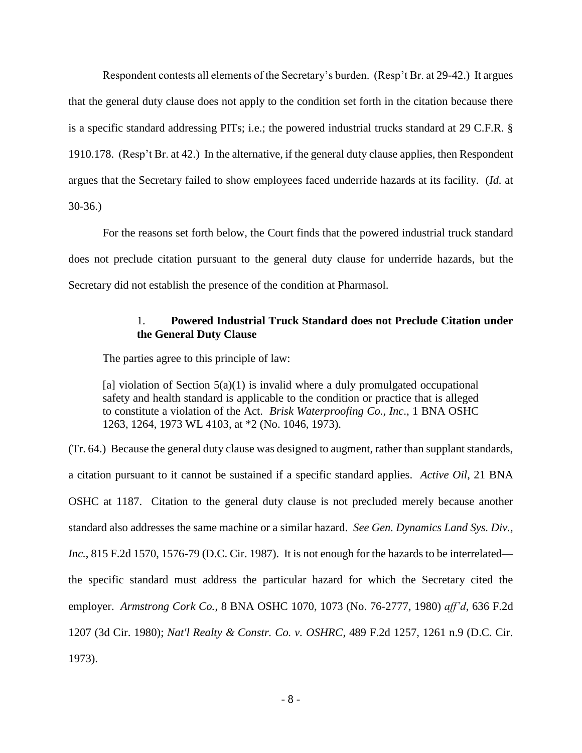Respondent contests all elements of the Secretary's burden. (Resp't Br. at 29-42.) It argues that the general duty clause does not apply to the condition set forth in the citation because there is a specific standard addressing PITs; i.e.; the powered industrial trucks standard at 29 C.F.R. § 1910.178. (Resp't Br. at 42.) In the alternative, if the general duty clause applies, then Respondent argues that the Secretary failed to show employees faced underride hazards at its facility. (*Id.* at 30-36.)

For the reasons set forth below, the Court finds that the powered industrial truck standard does not preclude citation pursuant to the general duty clause for underride hazards, but the Secretary did not establish the presence of the condition at Pharmasol.

## 1. **Powered Industrial Truck Standard does not Preclude Citation under the General Duty Clause**

The parties agree to this principle of law:

[a] violation of Section  $5(a)(1)$  is invalid where a duly promulgated occupational safety and health standard is applicable to the condition or practice that is alleged to constitute a violation of the Act. *Brisk Waterproofing Co., Inc*., 1 BNA OSHC 1263, 1264, 1973 WL 4103, at \*2 (No. 1046, 1973).

(Tr. 64.) Because the general duty clause was designed to augment, rather than supplant standards, a citation pursuant to it cannot be sustained if a specific standard applies. *Active Oil*, 21 BNA OSHC at 1187. Citation to the general duty clause is not precluded merely because another standard also addresses the same machine or a similar hazard. *See Gen. Dynamics Land Sys. Div., Inc.*, 815 F.2d 1570, 1576-79 (D.C. Cir. 1987). It is not enough for the hazards to be interrelated the specific standard must address the particular hazard for which the Secretary cited the employer. *Armstrong Cork Co.*, 8 BNA OSHC 1070, 1073 (No. 76-2777, 1980) *aff'd*, 636 F.2d 1207 (3d Cir. 1980); *Nat'l Realty & Constr. Co. v. OSHRC*, 489 F.2d 1257, 1261 n.9 (D.C. Cir. 1973).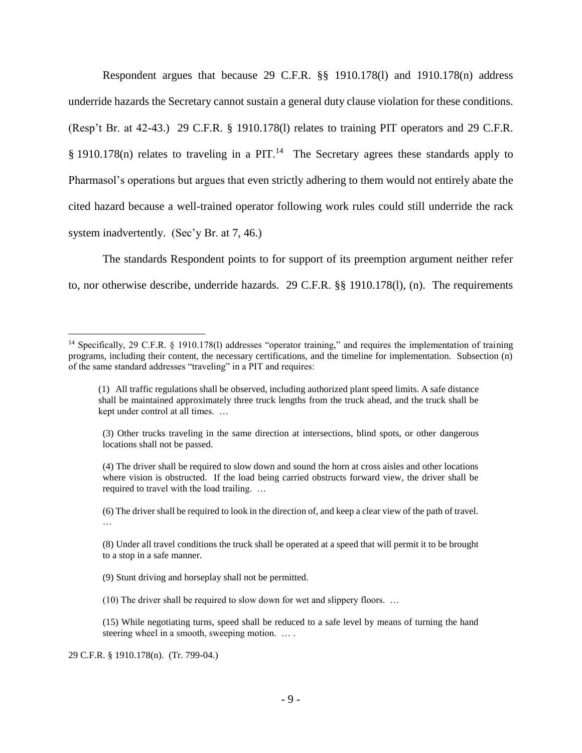Respondent argues that because 29 C.F.R. §§ 1910.178(l) and 1910.178(n) address underride hazards the Secretary cannot sustain a general duty clause violation for these conditions. (Resp't Br. at 42-43.) 29 C.F.R. § 1910.178(l) relates to training PIT operators and 29 C.F.R. § 1910.178 $(n)$  relates to traveling in a PIT.<sup>14</sup> The Secretary agrees these standards apply to Pharmasol's operations but argues that even strictly adhering to them would not entirely abate the cited hazard because a well-trained operator following work rules could still underride the rack system inadvertently. (Sec'y Br. at 7, 46.)

The standards Respondent points to for support of its preemption argument neither refer to, nor otherwise describe, underride hazards. 29 C.F.R. §§ 1910.178(l), (n). The requirements

29 C.F.R. § 1910.178(n). (Tr. 799-04.)

<sup>&</sup>lt;sup>14</sup> Specifically, 29 C.F.R. § 1910.178(1) addresses "operator training," and requires the implementation of training programs, including their content, the necessary certifications, and the timeline for implementation. Subsection (n) of the same standard addresses "traveling" in a PIT and requires:

<sup>(1)</sup> All traffic regulations shall be observed, including authorized plant speed limits. A safe distance shall be maintained approximately three truck lengths from the truck ahead, and the truck shall be kept under control at all times. …

<sup>(3)</sup> Other trucks traveling in the same direction at intersections, blind spots, or other dangerous locations shall not be passed.

<sup>(4)</sup> The driver shall be required to slow down and sound the horn at cross aisles and other locations where vision is obstructed. If the load being carried obstructs forward view, the driver shall be required to travel with the load trailing. …

<sup>(6)</sup> The driver shall be required to look in the direction of, and keep a clear view of the path of travel. …

<sup>(8)</sup> Under all travel conditions the truck shall be operated at a speed that will permit it to be brought to a stop in a safe manner.

<sup>(9)</sup> Stunt driving and horseplay shall not be permitted.

<sup>(10)</sup> The driver shall be required to slow down for wet and slippery floors. …

<sup>(15)</sup> While negotiating turns, speed shall be reduced to a safe level by means of turning the hand steering wheel in a smooth, sweeping motion. … .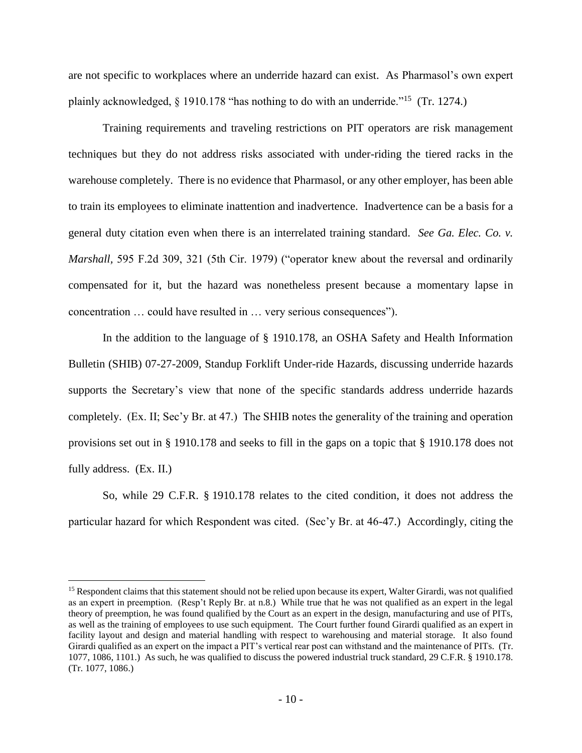are not specific to workplaces where an underride hazard can exist. As Pharmasol's own expert plainly acknowledged, § 1910.178 "has nothing to do with an underride."<sup>15</sup> (Tr. 1274.)

Training requirements and traveling restrictions on PIT operators are risk management techniques but they do not address risks associated with under-riding the tiered racks in the warehouse completely. There is no evidence that Pharmasol, or any other employer, has been able to train its employees to eliminate inattention and inadvertence. Inadvertence can be a basis for a general duty citation even when there is an interrelated training standard. *See Ga. Elec. Co. v. Marshall,* 595 F.2d 309, 321 (5th Cir. 1979) ("operator knew about the reversal and ordinarily compensated for it, but the hazard was nonetheless present because a momentary lapse in concentration … could have resulted in … very serious consequences").

In the addition to the language of § 1910.178, an OSHA Safety and Health Information Bulletin (SHIB) 07-27-2009, Standup Forklift Under-ride Hazards, discussing underride hazards supports the Secretary's view that none of the specific standards address underride hazards completely. (Ex. II; Sec'y Br. at 47.) The SHIB notes the generality of the training and operation provisions set out in § 1910.178 and seeks to fill in the gaps on a topic that § 1910.178 does not fully address. (Ex. II.)

So, while 29 C.F.R. § 1910.178 relates to the cited condition, it does not address the particular hazard for which Respondent was cited. (Sec'y Br. at 46-47.) Accordingly, citing the

<sup>&</sup>lt;sup>15</sup> Respondent claims that this statement should not be relied upon because its expert, Walter Girardi, was not qualified as an expert in preemption. (Resp't Reply Br. at n.8.) While true that he was not qualified as an expert in the legal theory of preemption, he was found qualified by the Court as an expert in the design, manufacturing and use of PITs, as well as the training of employees to use such equipment. The Court further found Girardi qualified as an expert in facility layout and design and material handling with respect to warehousing and material storage. It also found Girardi qualified as an expert on the impact a PIT's vertical rear post can withstand and the maintenance of PITs. (Tr. 1077, 1086, 1101.) As such, he was qualified to discuss the powered industrial truck standard, 29 C.F.R. § 1910.178. (Tr. 1077, 1086.)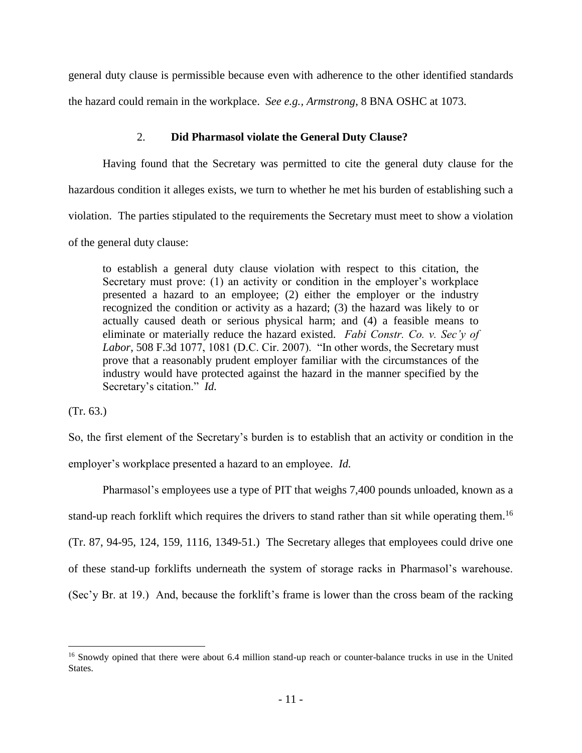general duty clause is permissible because even with adherence to the other identified standards the hazard could remain in the workplace. *See e.g., Armstrong*, 8 BNA OSHC at 1073.

### 2. **Did Pharmasol violate the General Duty Clause?**

Having found that the Secretary was permitted to cite the general duty clause for the hazardous condition it alleges exists, we turn to whether he met his burden of establishing such a violation. The parties stipulated to the requirements the Secretary must meet to show a violation of the general duty clause:

to establish a general duty clause violation with respect to this citation, the Secretary must prove: (1) an activity or condition in the employer's workplace presented a hazard to an employee; (2) either the employer or the industry recognized the condition or activity as a hazard; (3) the hazard was likely to or actually caused death or serious physical harm; and (4) a feasible means to eliminate or materially reduce the hazard existed. *Fabi Constr. Co. v. Sec'y of Labor*, 508 F.3d 1077, 1081 (D.C. Cir. 2007). "In other words, the Secretary must prove that a reasonably prudent employer familiar with the circumstances of the industry would have protected against the hazard in the manner specified by the Secretary's citation." *Id.* 

(Tr. 63.)

 $\overline{a}$ 

So, the first element of the Secretary's burden is to establish that an activity or condition in the employer's workplace presented a hazard to an employee. *Id.*

Pharmasol's employees use a type of PIT that weighs 7,400 pounds unloaded, known as a stand-up reach forklift which requires the drivers to stand rather than sit while operating them.<sup>16</sup> (Tr. 87, 94-95, 124, 159, 1116, 1349-51.) The Secretary alleges that employees could drive one of these stand-up forklifts underneath the system of storage racks in Pharmasol's warehouse. (Sec'y Br. at 19.) And, because the forklift's frame is lower than the cross beam of the racking

<sup>&</sup>lt;sup>16</sup> Snowdy opined that there were about 6.4 million stand-up reach or counter-balance trucks in use in the United States.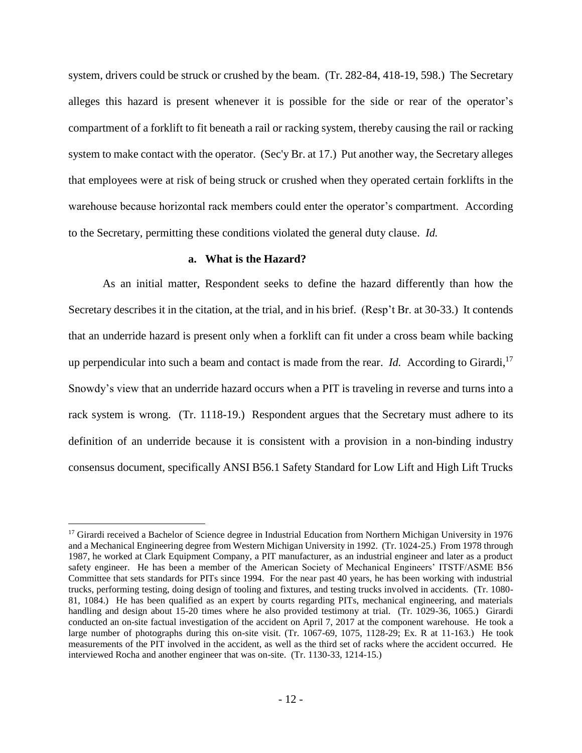system, drivers could be struck or crushed by the beam. (Tr. 282-84, 418-19, 598.) The Secretary alleges this hazard is present whenever it is possible for the side or rear of the operator's compartment of a forklift to fit beneath a rail or racking system, thereby causing the rail or racking system to make contact with the operator. (Sec'y Br. at 17.) Put another way, the Secretary alleges that employees were at risk of being struck or crushed when they operated certain forklifts in the warehouse because horizontal rack members could enter the operator's compartment. According to the Secretary, permitting these conditions violated the general duty clause. *Id.* 

#### **a. What is the Hazard?**

 $\overline{a}$ 

As an initial matter, Respondent seeks to define the hazard differently than how the Secretary describes it in the citation, at the trial, and in his brief. (Resp't Br. at 30-33.) It contends that an underride hazard is present only when a forklift can fit under a cross beam while backing up perpendicular into such a beam and contact is made from the rear. *Id.* According to Girardi,<sup>17</sup> Snowdy's view that an underride hazard occurs when a PIT is traveling in reverse and turns into a rack system is wrong. (Tr. 1118-19.) Respondent argues that the Secretary must adhere to its definition of an underride because it is consistent with a provision in a non-binding industry consensus document, specifically ANSI B56.1 Safety Standard for Low Lift and High Lift Trucks

<sup>&</sup>lt;sup>17</sup> Girardi received a Bachelor of Science degree in Industrial Education from Northern Michigan University in 1976 and a Mechanical Engineering degree from Western Michigan University in 1992. (Tr. 1024-25.) From 1978 through 1987, he worked at Clark Equipment Company, a PIT manufacturer, as an industrial engineer and later as a product safety engineer. He has been a member of the American Society of Mechanical Engineers' ITSTF/ASME B56 Committee that sets standards for PITs since 1994. For the near past 40 years, he has been working with industrial trucks, performing testing, doing design of tooling and fixtures, and testing trucks involved in accidents. (Tr. 1080- 81, 1084.) He has been qualified as an expert by courts regarding PITs, mechanical engineering, and materials handling and design about 15-20 times where he also provided testimony at trial. (Tr. 1029-36, 1065.) Girardi conducted an on-site factual investigation of the accident on April 7, 2017 at the component warehouse. He took a large number of photographs during this on-site visit. (Tr. 1067-69, 1075, 1128-29; Ex. R at 11-163.) He took measurements of the PIT involved in the accident, as well as the third set of racks where the accident occurred. He interviewed Rocha and another engineer that was on-site. (Tr. 1130-33, 1214-15.)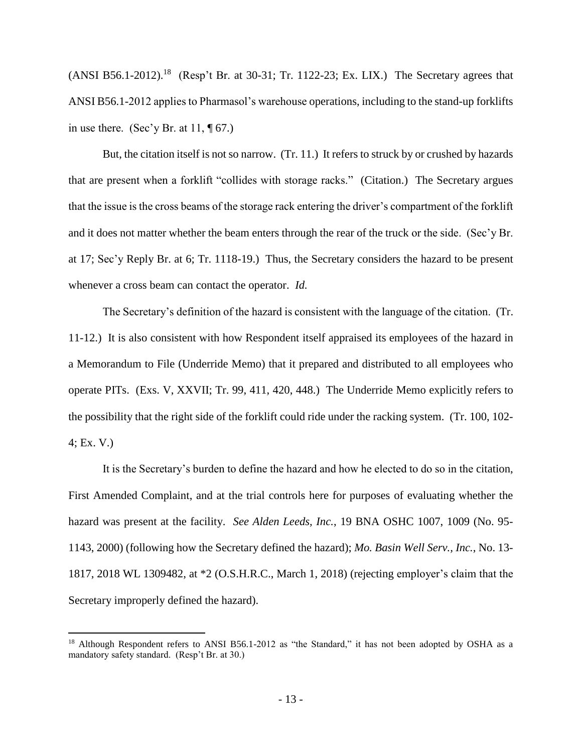$(ANSI B56.1-2012).$ <sup>18</sup> (Resp't Br. at 30-31; Tr. 1122-23; Ex. LIX.) The Secretary agrees that ANSI B56.1-2012 applies to Pharmasol's warehouse operations, including to the stand-up forklifts in use there. (Sec'y Br. at  $11$ ,  $\P$  67.)

But, the citation itself is not so narrow. (Tr. 11.) It refers to struck by or crushed by hazards that are present when a forklift "collides with storage racks." (Citation.)The Secretary argues that the issue is the cross beams of the storage rack entering the driver's compartment of the forklift and it does not matter whether the beam enters through the rear of the truck or the side. (Sec'y Br. at 17; Sec'y Reply Br. at 6; Tr. 1118-19.) Thus, the Secretary considers the hazard to be present whenever a cross beam can contact the operator. *Id.* 

The Secretary's definition of the hazard is consistent with the language of the citation. (Tr. 11-12.) It is also consistent with how Respondent itself appraised its employees of the hazard in a Memorandum to File (Underride Memo) that it prepared and distributed to all employees who operate PITs. (Exs. V, XXVII; Tr. 99, 411, 420, 448.) The Underride Memo explicitly refers to the possibility that the right side of the forklift could ride under the racking system. (Tr. 100, 102- 4; Ex. V.)

It is the Secretary's burden to define the hazard and how he elected to do so in the citation, First Amended Complaint, and at the trial controls here for purposes of evaluating whether the hazard was present at the facility. *See Alden Leeds, Inc.*, 19 BNA OSHC 1007, 1009 (No. 95- 1143, 2000) (following how the Secretary defined the hazard); *Mo. Basin Well Serv., Inc.*, No. 13- 1817, 2018 WL 1309482, at \*2 (O.S.H.R.C., March 1, 2018) (rejecting employer's claim that the Secretary improperly defined the hazard).

<sup>&</sup>lt;sup>18</sup> Although Respondent refers to ANSI B56.1-2012 as "the Standard," it has not been adopted by OSHA as a mandatory safety standard. (Resp't Br. at 30.)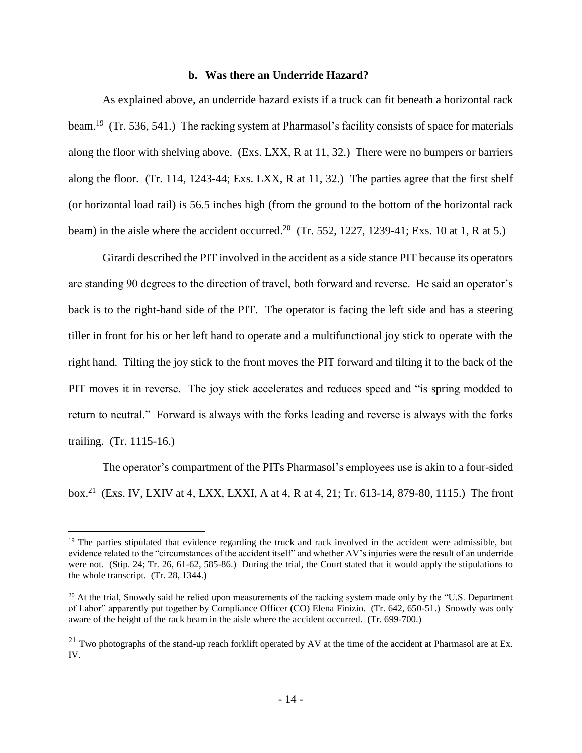### **b. Was there an Underride Hazard?**

As explained above, an underride hazard exists if a truck can fit beneath a horizontal rack beam.<sup>19</sup> (Tr. 536, 541.) The racking system at Pharmasol's facility consists of space for materials along the floor with shelving above. (Exs. LXX, R at 11, 32.) There were no bumpers or barriers along the floor. (Tr. 114, 1243-44; Exs. LXX, R at 11, 32.) The parties agree that the first shelf (or horizontal load rail) is 56.5 inches high (from the ground to the bottom of the horizontal rack beam) in the aisle where the accident occurred.<sup>20</sup> (Tr. 552, 1227, 1239-41; Exs. 10 at 1, R at 5.)

Girardi described the PIT involved in the accident as a side stance PIT because its operators are standing 90 degrees to the direction of travel, both forward and reverse. He said an operator's back is to the right-hand side of the PIT. The operator is facing the left side and has a steering tiller in front for his or her left hand to operate and a multifunctional joy stick to operate with the right hand. Tilting the joy stick to the front moves the PIT forward and tilting it to the back of the PIT moves it in reverse. The joy stick accelerates and reduces speed and "is spring modded to return to neutral." Forward is always with the forks leading and reverse is always with the forks trailing. (Tr. 1115-16.)

The operator's compartment of the PITs Pharmasol's employees use is akin to a four-sided box.<sup>21</sup> (Exs. IV, LXIV at 4, LXX, LXXI, A at 4, R at 4, 21; Tr. 613-14, 879-80, 1115.) The front

<sup>&</sup>lt;sup>19</sup> The parties stipulated that evidence regarding the truck and rack involved in the accident were admissible, but evidence related to the "circumstances of the accident itself" and whether AV's injuries were the result of an underride were not. (Stip. 24; Tr. 26, 61-62, 585-86.) During the trial, the Court stated that it would apply the stipulations to the whole transcript. (Tr. 28, 1344.)

 $20$  At the trial, Snowdy said he relied upon measurements of the racking system made only by the "U.S. Department of Labor" apparently put together by Compliance Officer (CO) Elena Finizio. (Tr. 642, 650-51.) Snowdy was only aware of the height of the rack beam in the aisle where the accident occurred. (Tr. 699-700.)

 $^{21}$  Two photographs of the stand-up reach forklift operated by AV at the time of the accident at Pharmasol are at Ex. IV.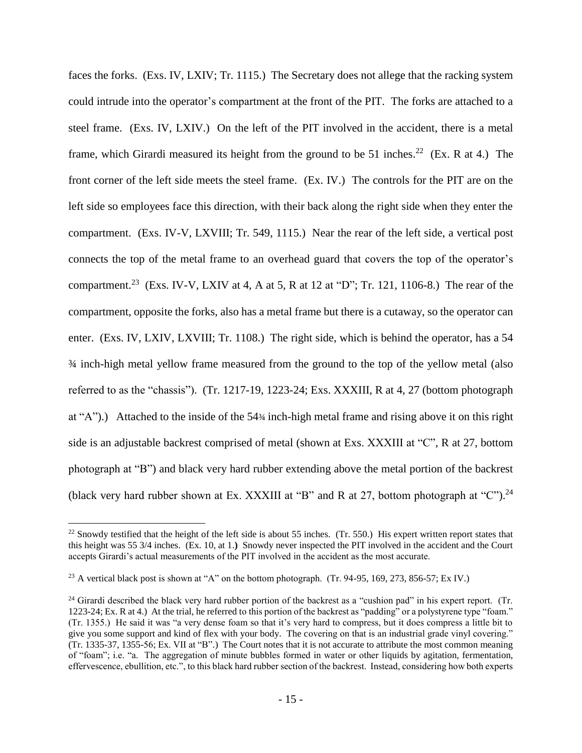faces the forks. (Exs. IV, LXIV; Tr. 1115.)The Secretary does not allege that the racking system could intrude into the operator's compartment at the front of the PIT. The forks are attached to a steel frame. (Exs. IV, LXIV.) On the left of the PIT involved in the accident, there is a metal frame, which Girardi measured its height from the ground to be 51 inches.<sup>22</sup> (Ex. R at 4.) The front corner of the left side meets the steel frame. (Ex. IV.) The controls for the PIT are on the left side so employees face this direction, with their back along the right side when they enter the compartment. (Exs. IV-V, LXVIII; Tr. 549, 1115.) Near the rear of the left side, a vertical post connects the top of the metal frame to an overhead guard that covers the top of the operator's compartment.<sup>23</sup> (Exs. IV-V, LXIV at 4, A at 5, R at 12 at "D"; Tr. 121, 1106-8.) The rear of the compartment, opposite the forks, also has a metal frame but there is a cutaway, so the operator can enter. (Exs. IV, LXIV, LXVIII; Tr. 1108.) The right side, which is behind the operator, has a 54 ¾ inch-high metal yellow frame measured from the ground to the top of the yellow metal (also referred to as the "chassis"). (Tr. 1217-19, 1223-24; Exs. XXXIII, R at 4, 27 (bottom photograph at "A").) Attached to the inside of the 54¾ inch-high metal frame and rising above it on this right side is an adjustable backrest comprised of metal (shown at Exs. XXXIII at "C", R at 27, bottom photograph at "B") and black very hard rubber extending above the metal portion of the backrest (black very hard rubber shown at Ex. XXXIII at "B" and R at 27, bottom photograph at "C").<sup>24</sup>

 $22$  Snowdy testified that the height of the left side is about 55 inches. (Tr. 550.) His expert written report states that this height was 55 3/4 inches. (Ex. 10, at 1.**)** Snowdy never inspected the PIT involved in the accident and the Court accepts Girardi's actual measurements of the PIT involved in the accident as the most accurate.

<sup>&</sup>lt;sup>23</sup> A vertical black post is shown at "A" on the bottom photograph. (Tr. 94-95, 169, 273, 856-57; Ex IV.)

<sup>&</sup>lt;sup>24</sup> Girardi described the black very hard rubber portion of the backrest as a "cushion pad" in his expert report. (Tr. 1223-24; Ex. R at 4.) At the trial, he referred to this portion of the backrest as "padding" or a polystyrene type "foam." (Tr. 1355.) He said it was "a very dense foam so that it's very hard to compress, but it does compress a little bit to give you some support and kind of flex with your body. The covering on that is an industrial grade vinyl covering." (Tr. 1335-37, 1355-56; Ex. VII at "B".) The Court notes that it is not accurate to attribute the most common meaning of "foam"; i.e. "a. The aggregation of minute bubbles formed in water or other liquids by agitation, fermentation, effervescence, ebullition, etc.", to this black hard rubber section of the backrest. Instead, considering how both experts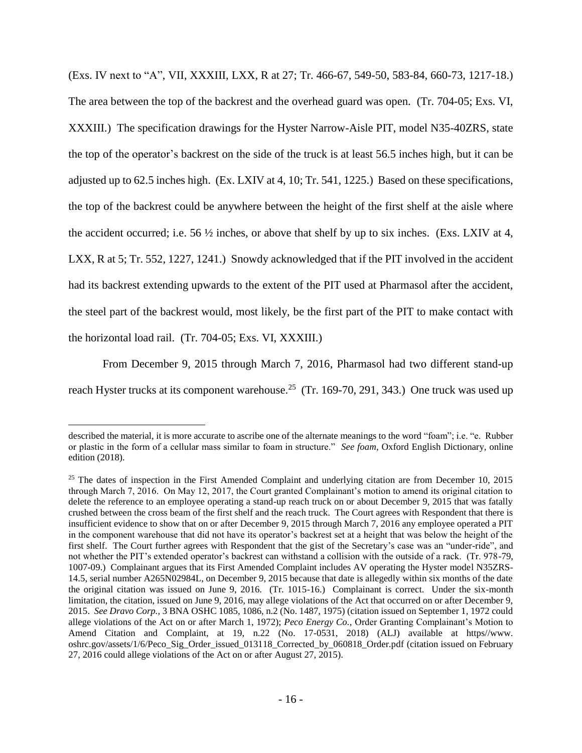(Exs. IV next to "A", VII, XXXIII, LXX, R at 27; Tr. 466-67, 549-50, 583-84, 660-73, 1217-18.) The area between the top of the backrest and the overhead guard was open. (Tr. 704-05; Exs. VI, XXXIII.) The specification drawings for the Hyster Narrow-Aisle PIT, model N35-40ZRS, state the top of the operator's backrest on the side of the truck is at least 56.5 inches high, but it can be adjusted up to 62.5 inches high. (Ex. LXIV at 4, 10; Tr. 541, 1225.) Based on these specifications, the top of the backrest could be anywhere between the height of the first shelf at the aisle where the accident occurred; i.e. 56  $\frac{1}{2}$  inches, or above that shelf by up to six inches. (Exs. LXIV at 4, LXX, R at 5; Tr. 552, 1227, 1241.) Snowdy acknowledged that if the PIT involved in the accident had its backrest extending upwards to the extent of the PIT used at Pharmasol after the accident, the steel part of the backrest would, most likely, be the first part of the PIT to make contact with the horizontal load rail. (Tr. 704-05; Exs. VI, XXXIII.)

From December 9, 2015 through March 7, 2016, Pharmasol had two different stand-up reach Hyster trucks at its component warehouse.<sup>25</sup> (Tr. 169-70, 291, 343.) One truck was used up

described the material, it is more accurate to ascribe one of the alternate meanings to the word "foam"; i.e. "e. Rubber or plastic in the form of a cellular mass similar to foam in structure." *See foam*, Oxford English Dictionary, online edition (2018).

<sup>&</sup>lt;sup>25</sup> The dates of inspection in the First Amended Complaint and underlying citation are from December 10, 2015 through March 7, 2016. On May 12, 2017, the Court granted Complainant's motion to amend its original citation to delete the reference to an employee operating a stand-up reach truck on or about December 9, 2015 that was fatally crushed between the cross beam of the first shelf and the reach truck. The Court agrees with Respondent that there is insufficient evidence to show that on or after December 9, 2015 through March 7, 2016 any employee operated a PIT in the component warehouse that did not have its operator's backrest set at a height that was below the height of the first shelf. The Court further agrees with Respondent that the gist of the Secretary's case was an "under-ride", and not whether the PIT's extended operator's backrest can withstand a collision with the outside of a rack. (Tr. 978-79, 1007-09.) Complainant argues that its First Amended Complaint includes AV operating the Hyster model N35ZRS-14.5, serial number A265N02984L, on December 9, 2015 because that date is allegedly within six months of the date the original citation was issued on June 9, 2016. (Tr. 1015-16.) Complainant is correct. Under the six-month limitation, the citation, issued on June 9, 2016, may allege violations of the Act that occurred on or after December 9, 2015. *See Dravo Corp.,* 3 BNA OSHC 1085, 1086, n.2 (No. 1487, 1975) (citation issued on September 1, 1972 could allege violations of the Act on or after March 1, 1972); *Peco Energy Co.*, Order Granting Complainant's Motion to Amend Citation and Complaint, at 19, n.22 (No. 17-0531, 2018) (ALJ) available at https//www. oshrc.gov/assets/1/6/Peco\_Sig\_Order\_issued\_013118\_Corrected\_by\_060818\_Order.pdf (citation issued on February 27, 2016 could allege violations of the Act on or after August 27, 2015).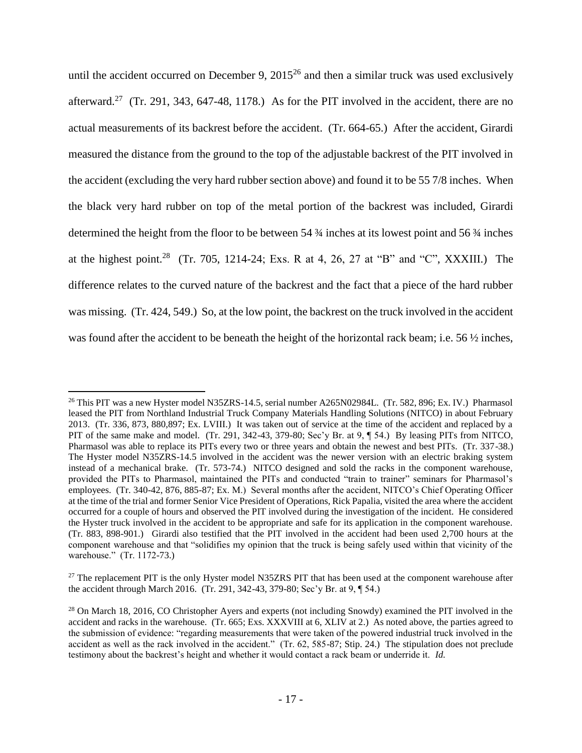until the accident occurred on December 9,  $2015^{26}$  and then a similar truck was used exclusively afterward.<sup>27</sup> (Tr. 291, 343, 647-48, 1178.) As for the PIT involved in the accident, there are no actual measurements of its backrest before the accident. (Tr. 664-65.) After the accident, Girardi measured the distance from the ground to the top of the adjustable backrest of the PIT involved in the accident (excluding the very hard rubber section above) and found it to be 55 7/8 inches. When the black very hard rubber on top of the metal portion of the backrest was included, Girardi determined the height from the floor to be between 54 ¾ inches at its lowest point and 56 ¾ inches at the highest point.<sup>28</sup> (Tr. 705, 1214-24; Exs. R at 4, 26, 27 at "B" and "C", XXXIII.) The difference relates to the curved nature of the backrest and the fact that a piece of the hard rubber was missing. (Tr. 424, 549.) So, at the low point, the backrest on the truck involved in the accident was found after the accident to be beneath the height of the horizontal rack beam; i.e. 56  $\frac{1}{2}$  inches,

<sup>&</sup>lt;sup>26</sup> This PIT was a new Hyster model N35ZRS-14.5, serial number A265N02984L. (Tr. 582, 896; Ex. IV.) Pharmasol leased the PIT from Northland Industrial Truck Company Materials Handling Solutions (NITCO) in about February 2013. (Tr. 336, 873, 880,897; Ex. LVIII.) It was taken out of service at the time of the accident and replaced by a PIT of the same make and model. (Tr. 291, 342-43, 379-80; Sec'y Br. at 9, ¶ 54.) By leasing PITs from NITCO, Pharmasol was able to replace its PITs every two or three years and obtain the newest and best PITs. (Tr. 337-38.) The Hyster model N35ZRS-14.5 involved in the accident was the newer version with an electric braking system instead of a mechanical brake. (Tr. 573-74.) NITCO designed and sold the racks in the component warehouse, provided the PITs to Pharmasol, maintained the PITs and conducted "train to trainer" seminars for Pharmasol's employees. (Tr. 340-42, 876, 885-87; Ex. M.) Several months after the accident, NITCO's Chief Operating Officer at the time of the trial and former Senior Vice President of Operations, Rick Papalia, visited the area where the accident occurred for a couple of hours and observed the PIT involved during the investigation of the incident. He considered the Hyster truck involved in the accident to be appropriate and safe for its application in the component warehouse. (Tr. 883, 898-901.) Girardi also testified that the PIT involved in the accident had been used 2,700 hours at the component warehouse and that "solidifies my opinion that the truck is being safely used within that vicinity of the warehouse." (Tr. 1172-73.)

<sup>&</sup>lt;sup>27</sup> The replacement PIT is the only Hyster model N35ZRS PIT that has been used at the component warehouse after the accident through March 2016. (Tr. 291, 342-43, 379-80; Sec'y Br. at 9, ¶ 54.)

<sup>&</sup>lt;sup>28</sup> On March 18, 2016, CO Christopher Ayers and experts (not including Snowdy) examined the PIT involved in the accident and racks in the warehouse. (Tr. 665; Exs. XXXVIII at 6, XLIV at 2.) As noted above, the parties agreed to the submission of evidence: "regarding measurements that were taken of the powered industrial truck involved in the accident as well as the rack involved in the accident." (Tr. 62, 585-87; Stip. 24.) The stipulation does not preclude testimony about the backrest's height and whether it would contact a rack beam or underride it. *Id.*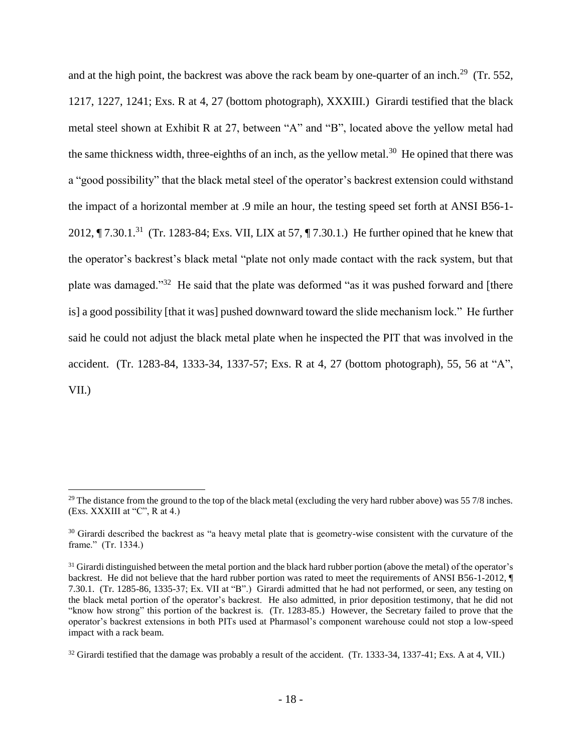and at the high point, the backrest was above the rack beam by one-quarter of an inch.<sup>29</sup> (Tr. 552, 1217, 1227, 1241; Exs. R at 4, 27 (bottom photograph), XXXIII.) Girardi testified that the black metal steel shown at Exhibit R at 27, between "A" and "B", located above the yellow metal had the same thickness width, three-eighths of an inch, as the yellow metal.<sup>30</sup> He opined that there was a "good possibility" that the black metal steel of the operator's backrest extension could withstand the impact of a horizontal member at .9 mile an hour, the testing speed set forth at ANSI B56-1- 2012,  $\P$  7.30.1.<sup>31</sup> (Tr. 1283-84; Exs. VII, LIX at 57,  $\P$  7.30.1.) He further opined that he knew that the operator's backrest's black metal "plate not only made contact with the rack system, but that plate was damaged."<sup>32</sup> He said that the plate was deformed "as it was pushed forward and [there is] a good possibility [that it was] pushed downward toward the slide mechanism lock." He further said he could not adjust the black metal plate when he inspected the PIT that was involved in the accident. (Tr. 1283-84, 1333-34, 1337-57; Exs. R at 4, 27 (bottom photograph), 55, 56 at "A", VII.)

<sup>&</sup>lt;sup>29</sup> The distance from the ground to the top of the black metal (excluding the very hard rubber above) was  $55\frac{7}{8}$  inches. (Exs. XXXIII at "C", R at 4.)

<sup>&</sup>lt;sup>30</sup> Girardi described the backrest as "a heavy metal plate that is geometry-wise consistent with the curvature of the frame." (Tr. 1334.)

 $31$  Girardi distinguished between the metal portion and the black hard rubber portion (above the metal) of the operator's backrest. He did not believe that the hard rubber portion was rated to meet the requirements of ANSI B56-1-2012, ¶ 7.30.1. (Tr. 1285-86, 1335-37; Ex. VII at "B".) Girardi admitted that he had not performed, or seen, any testing on the black metal portion of the operator's backrest. He also admitted, in prior deposition testimony, that he did not "know how strong" this portion of the backrest is. (Tr. 1283-85.) However, the Secretary failed to prove that the operator's backrest extensions in both PITs used at Pharmasol's component warehouse could not stop a low-speed impact with a rack beam.

<sup>&</sup>lt;sup>32</sup> Girardi testified that the damage was probably a result of the accident. (Tr. 1333-34, 1337-41; Exs. A at 4, VII.)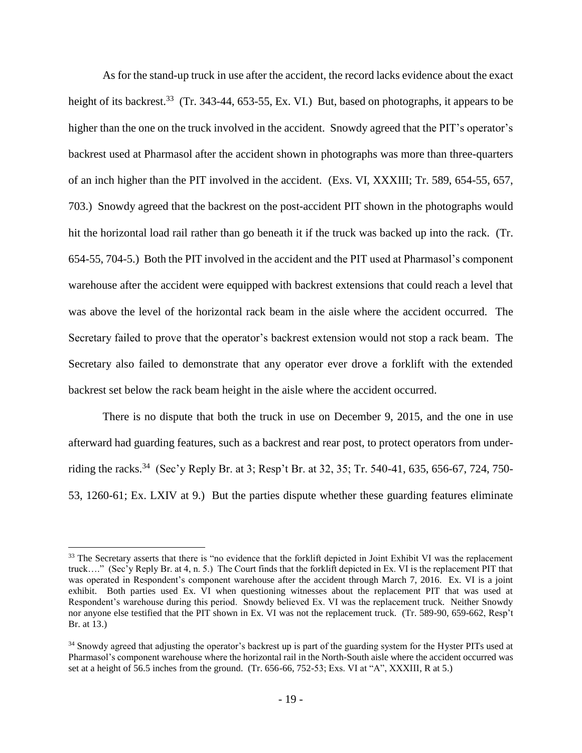As for the stand-up truck in use after the accident, the record lacks evidence about the exact height of its backrest.<sup>33</sup> (Tr. 343-44, 653-55, Ex. VI.) But, based on photographs, it appears to be higher than the one on the truck involved in the accident. Snowdy agreed that the PIT's operator's backrest used at Pharmasol after the accident shown in photographs was more than three-quarters of an inch higher than the PIT involved in the accident. (Exs. VI, XXXIII; Tr. 589, 654-55, 657, 703.) Snowdy agreed that the backrest on the post-accident PIT shown in the photographs would hit the horizontal load rail rather than go beneath it if the truck was backed up into the rack. (Tr. 654-55, 704-5.) Both the PIT involved in the accident and the PIT used at Pharmasol's component warehouse after the accident were equipped with backrest extensions that could reach a level that was above the level of the horizontal rack beam in the aisle where the accident occurred. The Secretary failed to prove that the operator's backrest extension would not stop a rack beam. The Secretary also failed to demonstrate that any operator ever drove a forklift with the extended backrest set below the rack beam height in the aisle where the accident occurred.

There is no dispute that both the truck in use on December 9, 2015, and the one in use afterward had guarding features, such as a backrest and rear post, to protect operators from underriding the racks.<sup>34</sup> (Sec'y Reply Br. at 3; Resp't Br. at 32, 35; Tr. 540-41, 635, 656-67, 724, 750-53, 1260-61; Ex. LXIV at 9.) But the parties dispute whether these guarding features eliminate

<sup>&</sup>lt;sup>33</sup> The Secretary asserts that there is "no evidence that the forklift depicted in Joint Exhibit VI was the replacement truck…." (Sec'y Reply Br. at 4, n. 5.) The Court finds that the forklift depicted in Ex. VI is the replacement PIT that was operated in Respondent's component warehouse after the accident through March 7, 2016. Ex. VI is a joint exhibit. Both parties used Ex. VI when questioning witnesses about the replacement PIT that was used at Respondent's warehouse during this period. Snowdy believed Ex. VI was the replacement truck. Neither Snowdy nor anyone else testified that the PIT shown in Ex. VI was not the replacement truck. (Tr. 589-90, 659-662, Resp't Br. at 13.)

<sup>&</sup>lt;sup>34</sup> Snowdy agreed that adjusting the operator's backrest up is part of the guarding system for the Hyster PITs used at Pharmasol's component warehouse where the horizontal rail in the North-South aisle where the accident occurred was set at a height of 56.5 inches from the ground. (Tr. 656-66, 752-53; Exs. VI at "A", XXXIII, R at 5.)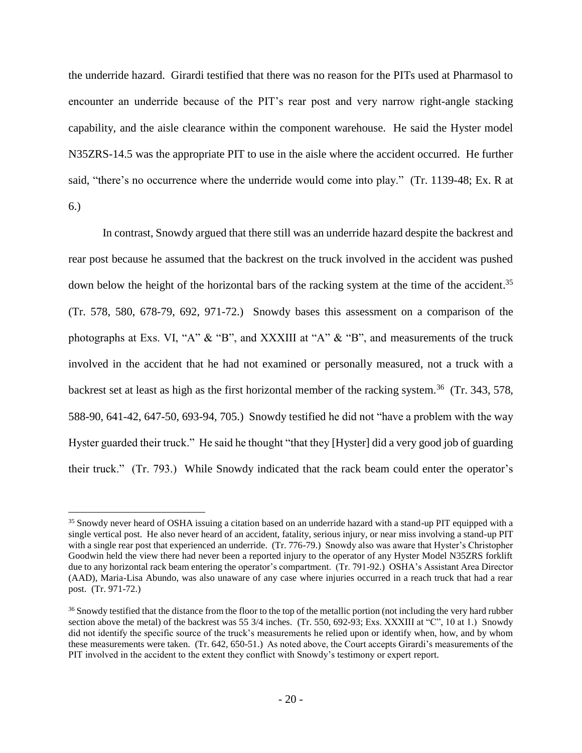the underride hazard. Girardi testified that there was no reason for the PITs used at Pharmasol to encounter an underride because of the PIT's rear post and very narrow right-angle stacking capability, and the aisle clearance within the component warehouse. He said the Hyster model N35ZRS-14.5 was the appropriate PIT to use in the aisle where the accident occurred. He further said, "there's no occurrence where the underride would come into play." (Tr. 1139-48; Ex. R at 6.)

In contrast, Snowdy argued that there still was an underride hazard despite the backrest and rear post because he assumed that the backrest on the truck involved in the accident was pushed down below the height of the horizontal bars of the racking system at the time of the accident.<sup>35</sup> (Tr. 578, 580, 678-79, 692, 971-72.) Snowdy bases this assessment on a comparison of the photographs at Exs. VI, "A" & "B", and XXXIII at "A" & "B", and measurements of the truck involved in the accident that he had not examined or personally measured, not a truck with a backrest set at least as high as the first horizontal member of the racking system.<sup>36</sup> (Tr. 343, 578, 588-90, 641-42, 647-50, 693-94, 705.) Snowdy testified he did not "have a problem with the way Hyster guarded their truck." He said he thought "that they [Hyster] did a very good job of guarding their truck." (Tr. 793.) While Snowdy indicated that the rack beam could enter the operator's

<sup>&</sup>lt;sup>35</sup> Snowdy never heard of OSHA issuing a citation based on an underride hazard with a stand-up PIT equipped with a single vertical post. He also never heard of an accident, fatality, serious injury, or near miss involving a stand-up PIT with a single rear post that experienced an underride. (Tr. 776-79.) Snowdy also was aware that Hyster's Christopher Goodwin held the view there had never been a reported injury to the operator of any Hyster Model N35ZRS forklift due to any horizontal rack beam entering the operator's compartment. (Tr. 791-92.) OSHA's Assistant Area Director (AAD), Maria-Lisa Abundo, was also unaware of any case where injuries occurred in a reach truck that had a rear post. (Tr. 971-72.)

<sup>&</sup>lt;sup>36</sup> Snowdy testified that the distance from the floor to the top of the metallic portion (not including the very hard rubber section above the metal) of the backrest was 55 3/4 inches. (Tr. 550, 692-93; Exs. XXXIII at "C", 10 at 1.) Snowdy did not identify the specific source of the truck's measurements he relied upon or identify when, how, and by whom these measurements were taken. (Tr. 642, 650-51.) As noted above, the Court accepts Girardi's measurements of the PIT involved in the accident to the extent they conflict with Snowdy's testimony or expert report.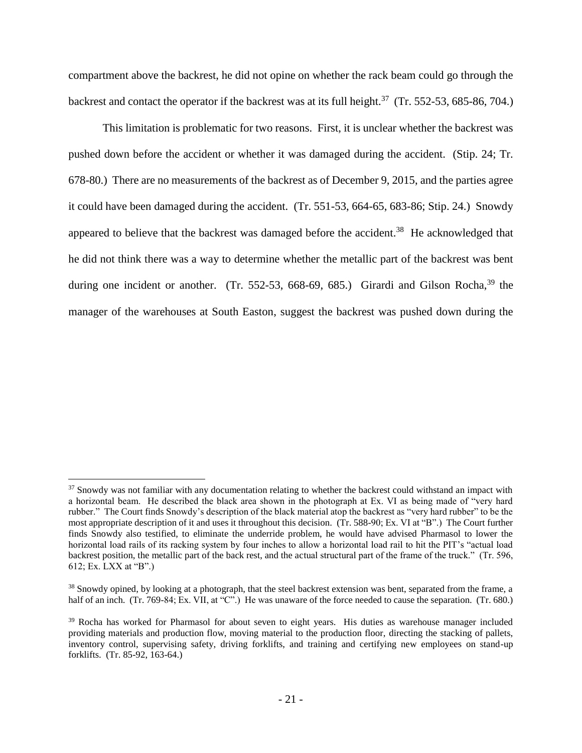compartment above the backrest, he did not opine on whether the rack beam could go through the backrest and contact the operator if the backrest was at its full height.<sup>37</sup> (Tr. 552-53, 685-86, 704.)

This limitation is problematic for two reasons. First, it is unclear whether the backrest was pushed down before the accident or whether it was damaged during the accident. (Stip. 24; Tr. 678-80.) There are no measurements of the backrest as of December 9, 2015, and the parties agree it could have been damaged during the accident. (Tr. 551-53, 664-65, 683-86; Stip. 24.) Snowdy appeared to believe that the backrest was damaged before the accident.<sup>38</sup> He acknowledged that he did not think there was a way to determine whether the metallic part of the backrest was bent during one incident or another. (Tr. 552-53, 668-69, 685.) Girardi and Gilson Rocha,  $39$  the manager of the warehouses at South Easton, suggest the backrest was pushed down during the

 $37$  Snowdy was not familiar with any documentation relating to whether the backrest could withstand an impact with a horizontal beam. He described the black area shown in the photograph at Ex. VI as being made of "very hard rubber." The Court finds Snowdy's description of the black material atop the backrest as "very hard rubber" to be the most appropriate description of it and uses it throughout this decision. (Tr. 588-90; Ex. VI at "B".) The Court further finds Snowdy also testified, to eliminate the underride problem, he would have advised Pharmasol to lower the horizontal load rails of its racking system by four inches to allow a horizontal load rail to hit the PIT's "actual load backrest position, the metallic part of the back rest, and the actual structural part of the frame of the truck." (Tr. 596, 612; Ex. LXX at "B".)

<sup>&</sup>lt;sup>38</sup> Snowdy opined, by looking at a photograph, that the steel backrest extension was bent, separated from the frame, a half of an inch. (Tr. 769-84; Ex. VII, at "C".) He was unaware of the force needed to cause the separation. (Tr. 680.)

<sup>&</sup>lt;sup>39</sup> Rocha has worked for Pharmasol for about seven to eight years. His duties as warehouse manager included providing materials and production flow, moving material to the production floor, directing the stacking of pallets, inventory control, supervising safety, driving forklifts, and training and certifying new employees on stand-up forklifts. (Tr. 85-92, 163-64.)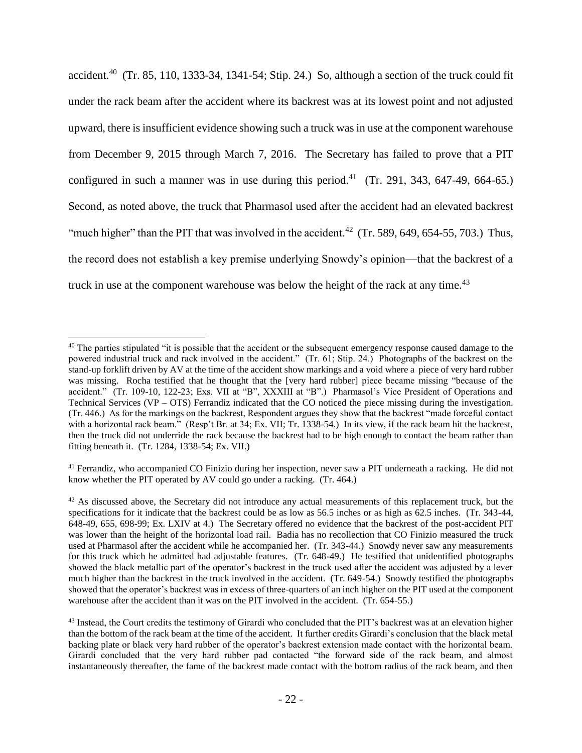accident.<sup>40</sup> (Tr. 85, 110, 1333-34, 1341-54; Stip. 24.) So, although a section of the truck could fit under the rack beam after the accident where its backrest was at its lowest point and not adjusted upward, there is insufficient evidence showing such a truck was in use at the component warehouse from December 9, 2015 through March 7, 2016. The Secretary has failed to prove that a PIT configured in such a manner was in use during this period.<sup>41</sup> (Tr. 291, 343, 647-49, 664-65.) Second, as noted above, the truck that Pharmasol used after the accident had an elevated backrest "much higher" than the PIT that was involved in the accident.<sup>42</sup> (Tr. 589, 649, 654-55, 703.) Thus, the record does not establish a key premise underlying Snowdy's opinion—that the backrest of a truck in use at the component warehouse was below the height of the rack at any time.<sup>43</sup>

 $\overline{a}$ 

<sup>41</sup> Ferrandiz, who accompanied CO Finizio during her inspection, never saw a PIT underneath a racking. He did not know whether the PIT operated by AV could go under a racking. (Tr. 464.)

 $40$  The parties stipulated "it is possible that the accident or the subsequent emergency response caused damage to the powered industrial truck and rack involved in the accident." (Tr. 61; Stip. 24.) Photographs of the backrest on the stand-up forklift driven by AV at the time of the accident show markings and a void where a piece of very hard rubber was missing. Rocha testified that he thought that the [very hard rubber] piece became missing "because of the accident." (Tr. 109-10, 122-23; Exs. VII at "B", XXXIII at "B".) Pharmasol's Vice President of Operations and Technical Services (VP – OTS) Ferrandiz indicated that the CO noticed the piece missing during the investigation. (Tr. 446.) As for the markings on the backrest, Respondent argues they show that the backrest "made forceful contact with a horizontal rack beam." (Resp't Br. at 34; Ex. VII; Tr. 1338-54.) In its view, if the rack beam hit the backrest, then the truck did not underride the rack because the backrest had to be high enough to contact the beam rather than fitting beneath it. (Tr. 1284, 1338-54; Ex. VII.)

 $42$  As discussed above, the Secretary did not introduce any actual measurements of this replacement truck, but the specifications for it indicate that the backrest could be as low as 56.5 inches or as high as 62.5 inches. (Tr. 343-44, 648-49, 655, 698-99; Ex. LXIV at 4.) The Secretary offered no evidence that the backrest of the post-accident PIT was lower than the height of the horizontal load rail. Badia has no recollection that CO Finizio measured the truck used at Pharmasol after the accident while he accompanied her. (Tr. 343-44.) Snowdy never saw any measurements for this truck which he admitted had adjustable features. (Tr. 648-49.) He testified that unidentified photographs showed the black metallic part of the operator's backrest in the truck used after the accident was adjusted by a lever much higher than the backrest in the truck involved in the accident. (Tr. 649-54.) Snowdy testified the photographs showed that the operator's backrest was in excess of three-quarters of an inch higher on the PIT used at the component warehouse after the accident than it was on the PIT involved in the accident. (Tr. 654-55.)

<sup>&</sup>lt;sup>43</sup> Instead, the Court credits the testimony of Girardi who concluded that the PIT's backrest was at an elevation higher than the bottom of the rack beam at the time of the accident. It further credits Girardi's conclusion that the black metal backing plate or black very hard rubber of the operator's backrest extension made contact with the horizontal beam. Girardi concluded that the very hard rubber pad contacted "the forward side of the rack beam, and almost instantaneously thereafter, the fame of the backrest made contact with the bottom radius of the rack beam, and then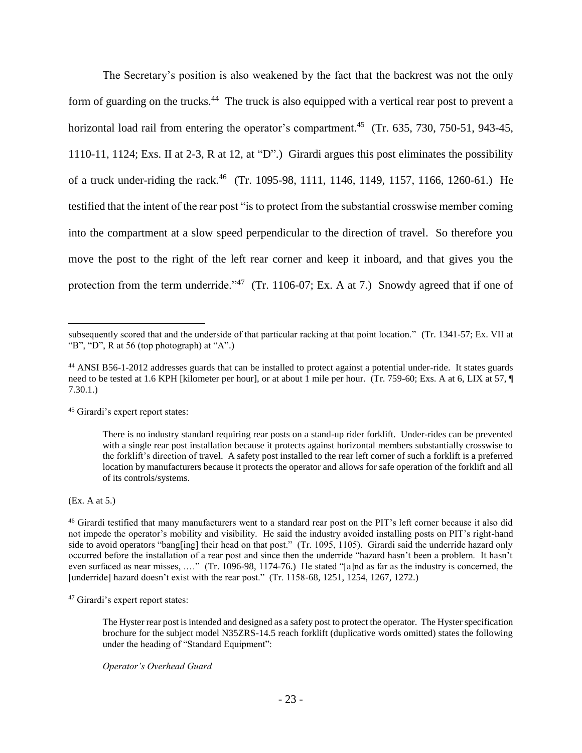The Secretary's position is also weakened by the fact that the backrest was not the only form of guarding on the trucks.<sup>44</sup> The truck is also equipped with a vertical rear post to prevent a horizontal load rail from entering the operator's compartment.<sup>45</sup> (Tr. 635, 730, 750-51, 943-45, 1110-11, 1124; Exs. II at 2-3, R at 12, at "D".) Girardi argues this post eliminates the possibility of a truck under-riding the rack.<sup>46</sup> (Tr. 1095-98, 1111, 1146, 1149, 1157, 1166, 1260-61.) He testified that the intent of the rear post "is to protect from the substantial crosswise member coming into the compartment at a slow speed perpendicular to the direction of travel. So therefore you move the post to the right of the left rear corner and keep it inboard, and that gives you the protection from the term underride."<sup>47</sup> (Tr. 1106-07; Ex. A at 7.) Snowdy agreed that if one of

<sup>45</sup> Girardi's expert report states:

(Ex. A at 5.)

 $\overline{a}$ 

<sup>46</sup> Girardi testified that many manufacturers went to a standard rear post on the PIT's left corner because it also did not impede the operator's mobility and visibility. He said the industry avoided installing posts on PIT's right-hand side to avoid operators "bang[ing] their head on that post." (Tr. 1095, 1105). Girardi said the underride hazard only occurred before the installation of a rear post and since then the underride "hazard hasn't been a problem. It hasn't even surfaced as near misses, .…" (Tr. 1096-98, 1174-76.) He stated "[a]nd as far as the industry is concerned, the [underride] hazard doesn't exist with the rear post." (Tr. 1158-68, 1251, 1254, 1267, 1272.)

<sup>47</sup> Girardi's expert report states:

The Hyster rear post is intended and designed as a safety post to protect the operator. The Hyster specification brochure for the subject model N35ZRS-14.5 reach forklift (duplicative words omitted) states the following under the heading of "Standard Equipment":

*Operator's Overhead Guard*

subsequently scored that and the underside of that particular racking at that point location." (Tr. 1341-57; Ex. VII at "B", "D", R at 56 (top photograph) at "A".)

<sup>44</sup> ANSI B56-1-2012 addresses guards that can be installed to protect against a potential under-ride. It states guards need to be tested at 1.6 KPH [kilometer per hour], or at about 1 mile per hour. (Tr. 759-60; Exs. A at 6, LIX at 57,  $\P$ 7.30.1.)

There is no industry standard requiring rear posts on a stand-up rider forklift. Under-rides can be prevented with a single rear post installation because it protects against horizontal members substantially crosswise to the forklift's direction of travel. A safety post installed to the rear left corner of such a forklift is a preferred location by manufacturers because it protects the operator and allows for safe operation of the forklift and all of its controls/systems.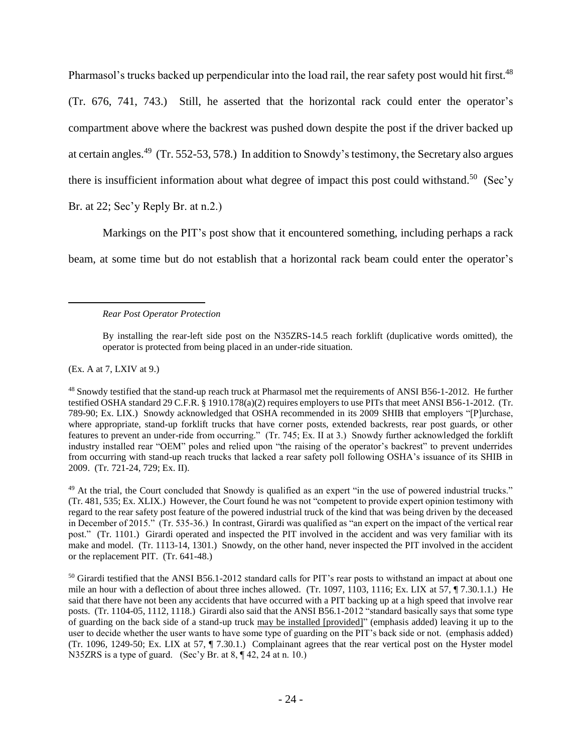Pharmasol's trucks backed up perpendicular into the load rail, the rear safety post would hit first.<sup>48</sup> (Tr. 676, 741, 743.) Still, he asserted that the horizontal rack could enter the operator's compartment above where the backrest was pushed down despite the post if the driver backed up at certain angles.<sup>49</sup> (Tr. 552-53, 578.) In addition to Snowdy's testimony, the Secretary also argues there is insufficient information about what degree of impact this post could withstand.<sup>50</sup> (Sec'y

Br. at 22; Sec'y Reply Br. at n.2.)

Markings on the PIT's post show that it encountered something, including perhaps a rack

beam, at some time but do not establish that a horizontal rack beam could enter the operator's

By installing the rear-left side post on the N35ZRS-14.5 reach forklift (duplicative words omitted), the operator is protected from being placed in an under-ride situation.

(Ex. A at 7, LXIV at 9.)

 $\overline{a}$ 

<sup>48</sup> Snowdy testified that the stand-up reach truck at Pharmasol met the requirements of ANSI B56-1-2012. He further testified OSHA standard 29 C.F.R. § 1910.178(a)(2) requires employers to use PITs that meet ANSI B56-1-2012. (Tr. 789-90; Ex. LIX.) Snowdy acknowledged that OSHA recommended in its 2009 SHIB that employers "[P]urchase, where appropriate, stand-up forklift trucks that have corner posts, extended backrests, rear post guards, or other features to prevent an under-ride from occurring." (Tr. 745; Ex. II at 3.) Snowdy further acknowledged the forklift industry installed rear "OEM" poles and relied upon "the raising of the operator's backrest" to prevent underrides from occurring with stand-up reach trucks that lacked a rear safety poll following OSHA's issuance of its SHIB in 2009. (Tr. 721-24, 729; Ex. II).

<sup>49</sup> At the trial, the Court concluded that Snowdy is qualified as an expert "in the use of powered industrial trucks." (Tr. 481, 535; Ex. XLIX.) However, the Court found he was not "competent to provide expert opinion testimony with regard to the rear safety post feature of the powered industrial truck of the kind that was being driven by the deceased in December of 2015." (Tr. 535-36.) In contrast, Girardi was qualified as "an expert on the impact of the vertical rear post." (Tr. 1101.) Girardi operated and inspected the PIT involved in the accident and was very familiar with its make and model. (Tr. 1113-14, 1301.) Snowdy, on the other hand, never inspected the PIT involved in the accident or the replacement PIT. (Tr. 641-48.)

<sup>50</sup> Girardi testified that the ANSI B56.1-2012 standard calls for PIT's rear posts to withstand an impact at about one mile an hour with a deflection of about three inches allowed. (Tr. 1097, 1103, 1116; Ex. LIX at 57, ¶ 7.30.1.1.) He said that there have not been any accidents that have occurred with a PIT backing up at a high speed that involve rear posts. (Tr. 1104-05, 1112, 1118.) Girardi also said that the ANSI B56.1-2012 "standard basically says that some type of guarding on the back side of a stand-up truck may be installed [provided]" (emphasis added) leaving it up to the user to decide whether the user wants to have some type of guarding on the PIT's back side or not. (emphasis added) (Tr. 1096, 1249-50; Ex. LIX at 57, ¶ 7.30.1.) Complainant agrees that the rear vertical post on the Hyster model N35ZRS is a type of guard. (Sec'y Br. at 8,  $\P$  42, 24 at n. 10.)

*Rear Post Operator Protection*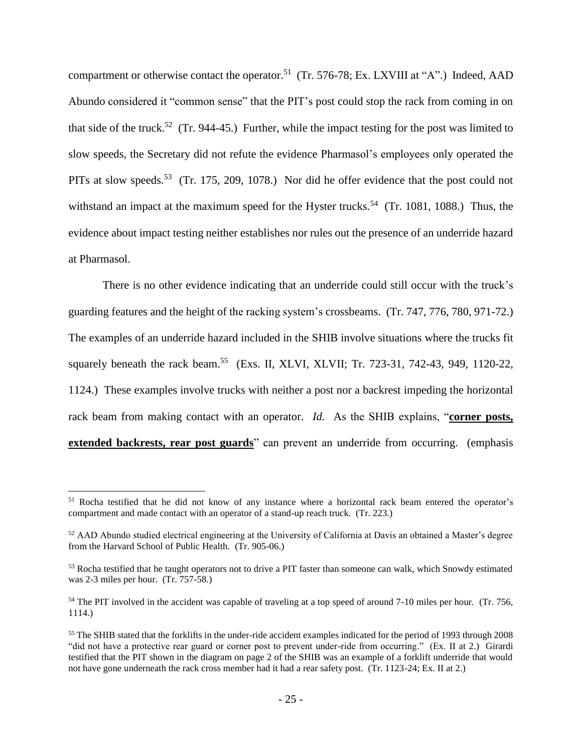compartment or otherwise contact the operator.<sup>51</sup> (Tr. 576-78; Ex. LXVIII at "A".) Indeed, AAD Abundo considered it "common sense" that the PIT's post could stop the rack from coming in on that side of the truck.<sup>52</sup> (Tr. 944-45.) Further, while the impact testing for the post was limited to slow speeds, the Secretary did not refute the evidence Pharmasol's employees only operated the PITs at slow speeds.<sup>53</sup> (Tr. 175, 209, 1078.) Nor did he offer evidence that the post could not withstand an impact at the maximum speed for the Hyster trucks.<sup>54</sup> (Tr. 1081, 1088.) Thus, the evidence about impact testing neither establishes nor rules out the presence of an underride hazard at Pharmasol.

There is no other evidence indicating that an underride could still occur with the truck's guarding features and the height of the racking system's crossbeams. (Tr. 747, 776, 780, 971-72.) The examples of an underride hazard included in the SHIB involve situations where the trucks fit squarely beneath the rack beam.<sup>55</sup> (Exs. II, XLVI, XLVII; Tr. 723-31, 742-43, 949, 1120-22, 1124.) These examples involve trucks with neither a post nor a backrest impeding the horizontal rack beam from making contact with an operator. *Id.* As the SHIB explains, "**corner posts, extended backrests, rear post guards**" can prevent an underride from occurring. (emphasis

<sup>51</sup> Rocha testified that he did not know of any instance where a horizontal rack beam entered the operator's compartment and made contact with an operator of a stand-up reach truck. (Tr. 223.)

<sup>&</sup>lt;sup>52</sup> AAD Abundo studied electrical engineering at the University of California at Davis an obtained a Master's degree from the Harvard School of Public Health. (Tr. 905-06.)

<sup>&</sup>lt;sup>53</sup> Rocha testified that he taught operators not to drive a PIT faster than someone can walk, which Snowdy estimated was 2-3 miles per hour. (Tr. 757-58.)

<sup>&</sup>lt;sup>54</sup> The PIT involved in the accident was capable of traveling at a top speed of around 7-10 miles per hour. (Tr. 756, 1114.)

<sup>&</sup>lt;sup>55</sup> The SHIB stated that the forklifts in the under-ride accident examples indicated for the period of 1993 through 2008 "did not have a protective rear guard or corner post to prevent under-ride from occurring." (Ex. II at 2.) Girardi testified that the PIT shown in the diagram on page 2 of the SHIB was an example of a forklift underride that would not have gone underneath the rack cross member had it had a rear safety post. (Tr. 1123-24; Ex. II at 2.)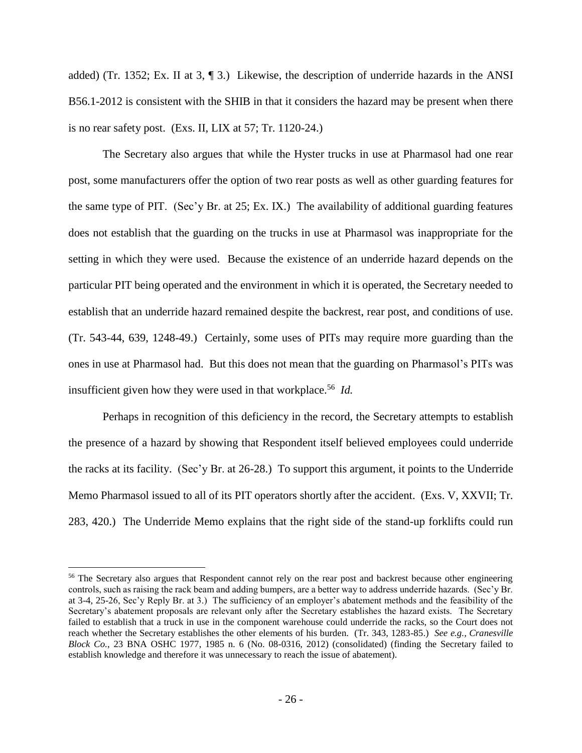added) (Tr. 1352; Ex. II at 3, ¶ 3.)Likewise, the description of underride hazards in the ANSI B56.1-2012 is consistent with the SHIB in that it considers the hazard may be present when there is no rear safety post. (Exs. II, LIX at 57; Tr. 1120-24.)

The Secretary also argues that while the Hyster trucks in use at Pharmasol had one rear post, some manufacturers offer the option of two rear posts as well as other guarding features for the same type of PIT. (Sec'y Br. at 25; Ex. IX.) The availability of additional guarding features does not establish that the guarding on the trucks in use at Pharmasol was inappropriate for the setting in which they were used. Because the existence of an underride hazard depends on the particular PIT being operated and the environment in which it is operated, the Secretary needed to establish that an underride hazard remained despite the backrest, rear post, and conditions of use. (Tr. 543-44, 639, 1248-49.) Certainly, some uses of PITs may require more guarding than the ones in use at Pharmasol had. But this does not mean that the guarding on Pharmasol's PITs was insufficient given how they were used in that workplace. 56 *Id.* 

Perhaps in recognition of this deficiency in the record, the Secretary attempts to establish the presence of a hazard by showing that Respondent itself believed employees could underride the racks at its facility. (Sec'y Br. at 26-28.) To support this argument, it points to the Underride Memo Pharmasol issued to all of its PIT operators shortly after the accident. (Exs. V, XXVII; Tr. 283, 420.) The Underride Memo explains that the right side of the stand-up forklifts could run

<sup>&</sup>lt;sup>56</sup> The Secretary also argues that Respondent cannot rely on the rear post and backrest because other engineering controls, such as raising the rack beam and adding bumpers, are a better way to address underride hazards. (Sec'y Br. at 3-4, 25-26, Sec'y Reply Br. at 3.) The sufficiency of an employer's abatement methods and the feasibility of the Secretary's abatement proposals are relevant only after the Secretary establishes the hazard exists. The Secretary failed to establish that a truck in use in the component warehouse could underride the racks, so the Court does not reach whether the Secretary establishes the other elements of his burden. (Tr. 343, 1283-85.) *See e.g., Cranesville Block Co.*, 23 BNA OSHC 1977, 1985 n. 6 (No. 08-0316, 2012) (consolidated) (finding the Secretary failed to establish knowledge and therefore it was unnecessary to reach the issue of abatement).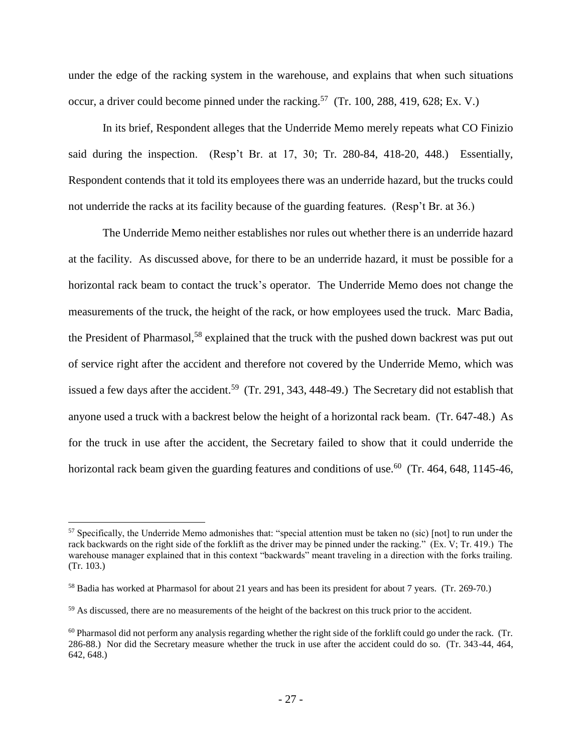under the edge of the racking system in the warehouse, and explains that when such situations occur, a driver could become pinned under the racking.<sup>57</sup> (Tr. 100, 288, 419, 628; Ex. V.)

In its brief, Respondent alleges that the Underride Memo merely repeats what CO Finizio said during the inspection. (Resp't Br. at 17, 30; Tr. 280-84, 418-20, 448.) Essentially, Respondent contends that it told its employees there was an underride hazard, but the trucks could not underride the racks at its facility because of the guarding features. (Resp't Br. at 36.)

The Underride Memo neither establishes nor rules out whether there is an underride hazard at the facility. As discussed above, for there to be an underride hazard, it must be possible for a horizontal rack beam to contact the truck's operator. The Underride Memo does not change the measurements of the truck, the height of the rack, or how employees used the truck. Marc Badia, the President of Pharmasol,<sup>58</sup> explained that the truck with the pushed down backrest was put out of service right after the accident and therefore not covered by the Underride Memo, which was issued a few days after the accident.<sup>59</sup> (Tr. 291, 343, 448-49.) The Secretary did not establish that anyone used a truck with a backrest below the height of a horizontal rack beam. (Tr. 647-48.) As for the truck in use after the accident, the Secretary failed to show that it could underride the horizontal rack beam given the guarding features and conditions of use.<sup>60</sup> (Tr. 464, 648, 1145-46,

<sup>&</sup>lt;sup>57</sup> Specifically, the Underride Memo admonishes that: "special attention must be taken no (sic) [not] to run under the rack backwards on the right side of the forklift as the driver may be pinned under the racking." (Ex. V; Tr. 419.) The warehouse manager explained that in this context "backwards" meant traveling in a direction with the forks trailing. (Tr. 103.)

<sup>58</sup> Badia has worked at Pharmasol for about 21 years and has been its president for about 7 years. (Tr. 269-70.)

<sup>&</sup>lt;sup>59</sup> As discussed, there are no measurements of the height of the backrest on this truck prior to the accident.

<sup>&</sup>lt;sup>60</sup> Pharmasol did not perform any analysis regarding whether the right side of the forklift could go under the rack. (Tr. 286-88.) Nor did the Secretary measure whether the truck in use after the accident could do so. (Tr. 343-44, 464, 642, 648.)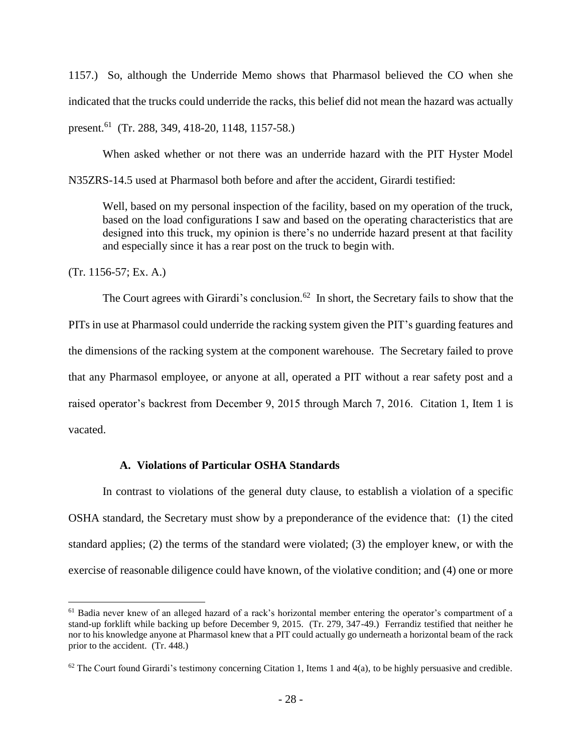1157.) So, although the Underride Memo shows that Pharmasol believed the CO when she indicated that the trucks could underride the racks, this belief did not mean the hazard was actually present.<sup>61</sup> (Tr. 288, 349, 418-20, 1148, 1157-58.)

When asked whether or not there was an underride hazard with the PIT Hyster Model N35ZRS-14.5 used at Pharmasol both before and after the accident, Girardi testified:

Well, based on my personal inspection of the facility, based on my operation of the truck, based on the load configurations I saw and based on the operating characteristics that are designed into this truck, my opinion is there's no underride hazard present at that facility and especially since it has a rear post on the truck to begin with.

(Tr. 1156-57; Ex. A.)

 $\overline{a}$ 

The Court agrees with Girardi's conclusion.<sup>62</sup> In short, the Secretary fails to show that the PITs in use at Pharmasol could underride the racking system given the PIT's guarding features and the dimensions of the racking system at the component warehouse. The Secretary failed to prove that any Pharmasol employee, or anyone at all, operated a PIT without a rear safety post and a raised operator's backrest from December 9, 2015 through March 7, 2016. Citation 1, Item 1 is vacated.

## **A. Violations of Particular OSHA Standards**

In contrast to violations of the general duty clause, to establish a violation of a specific OSHA standard, the Secretary must show by a preponderance of the evidence that: (1) the cited standard applies; (2) the terms of the standard were violated; (3) the employer knew, or with the exercise of reasonable diligence could have known, of the violative condition; and (4) one or more

<sup>&</sup>lt;sup>61</sup> Badia never knew of an alleged hazard of a rack's horizontal member entering the operator's compartment of a stand-up forklift while backing up before December 9, 2015. (Tr. 279, 347-49.) Ferrandiz testified that neither he nor to his knowledge anyone at Pharmasol knew that a PIT could actually go underneath a horizontal beam of the rack prior to the accident. (Tr. 448.)

 $62$  The Court found Girardi's testimony concerning Citation 1, Items 1 and 4(a), to be highly persuasive and credible.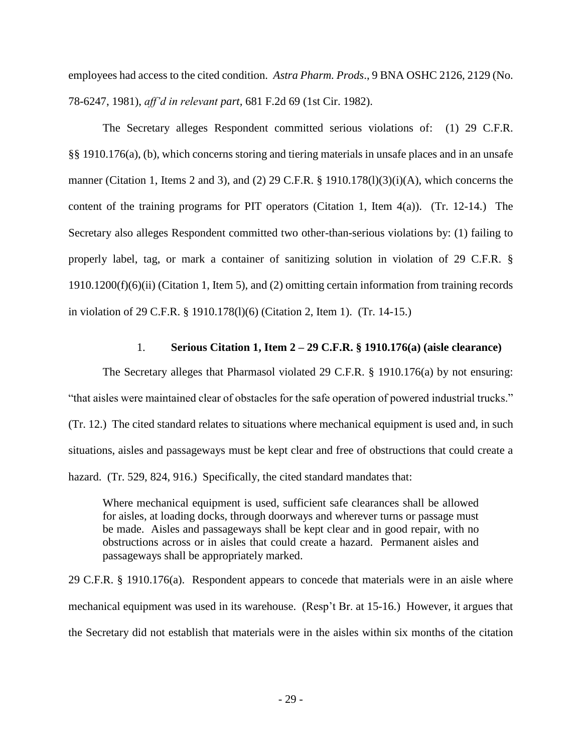employees had access to the cited condition. *Astra Pharm. Prods*., 9 BNA OSHC 2126, 2129 (No. 78-6247, 1981), *aff'd in relevant part,* 681 F.2d 69 (1st Cir. 1982).

The Secretary alleges Respondent committed serious violations of: (1) 29 C.F.R. §§ 1910.176(a), (b), which concerns storing and tiering materials in unsafe places and in an unsafe manner (Citation 1, Items 2 and 3), and (2) 29 C.F.R. § 1910.178(1)(3)(i)(A), which concerns the content of the training programs for PIT operators (Citation 1, Item 4(a)). (Tr. 12-14.) The Secretary also alleges Respondent committed two other-than-serious violations by: (1) failing to properly label, tag, or mark a container of sanitizing solution in violation of 29 C.F.R. § 1910.1200(f)(6)(ii) (Citation 1, Item 5), and (2) omitting certain information from training records in violation of 29 C.F.R. § 1910.178(l)(6) (Citation 2, Item 1). (Tr. 14-15.)

### 1. **Serious Citation 1, Item 2 – 29 C.F.R. § 1910.176(a) (aisle clearance)**

The Secretary alleges that Pharmasol violated 29 C.F.R. § 1910.176(a) by not ensuring: "that aisles were maintained clear of obstacles for the safe operation of powered industrial trucks." (Tr. 12.) The cited standard relates to situations where mechanical equipment is used and, in such situations, aisles and passageways must be kept clear and free of obstructions that could create a hazard. (Tr. 529, 824, 916.) Specifically, the cited standard mandates that:

Where mechanical equipment is used, sufficient safe clearances shall be allowed for aisles, at loading docks, through doorways and wherever turns or passage must be made. Aisles and passageways shall be kept clear and in good repair, with no obstructions across or in aisles that could create a hazard. Permanent aisles and passageways shall be appropriately marked.

29 C.F.R. § 1910.176(a). Respondent appears to concede that materials were in an aisle where mechanical equipment was used in its warehouse. (Resp't Br. at 15-16.) However, it argues that the Secretary did not establish that materials were in the aisles within six months of the citation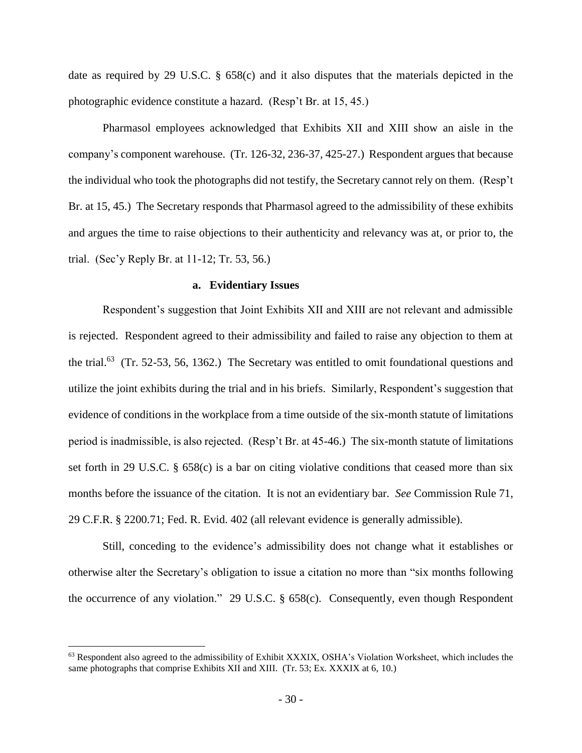date as required by 29 U.S.C. § 658(c) and it also disputes that the materials depicted in the photographic evidence constitute a hazard. (Resp't Br. at 15, 45.)

Pharmasol employees acknowledged that Exhibits XII and XIII show an aisle in the company's component warehouse. (Tr. 126-32, 236-37, 425-27.) Respondent argues that because the individual who took the photographs did not testify, the Secretary cannot rely on them. (Resp't Br. at 15, 45.) The Secretary responds that Pharmasol agreed to the admissibility of these exhibits and argues the time to raise objections to their authenticity and relevancy was at, or prior to, the trial. (Sec'y Reply Br. at 11-12; Tr. 53, 56.)

#### **a. Evidentiary Issues**

Respondent's suggestion that Joint Exhibits XII and XIII are not relevant and admissible is rejected. Respondent agreed to their admissibility and failed to raise any objection to them at the trial.<sup>63</sup> (Tr. 52-53, 56, 1362.) The Secretary was entitled to omit foundational questions and utilize the joint exhibits during the trial and in his briefs. Similarly, Respondent's suggestion that evidence of conditions in the workplace from a time outside of the six-month statute of limitations period is inadmissible, is also rejected. (Resp't Br. at 45-46.) The six-month statute of limitations set forth in 29 U.S.C. § 658(c) is a bar on citing violative conditions that ceased more than six months before the issuance of the citation. It is not an evidentiary bar. *See* Commission Rule 71, 29 C.F.R. § 2200.71; Fed. R. Evid. 402 (all relevant evidence is generally admissible).

Still, conceding to the evidence's admissibility does not change what it establishes or otherwise alter the Secretary's obligation to issue a citation no more than "six months following the occurrence of any violation." 29 U.S.C. § 658(c). Consequently, even though Respondent

<sup>63</sup> Respondent also agreed to the admissibility of Exhibit XXXIX, OSHA's Violation Worksheet, which includes the same photographs that comprise Exhibits XII and XIII. (Tr. 53; Ex. XXXIX at 6, 10.)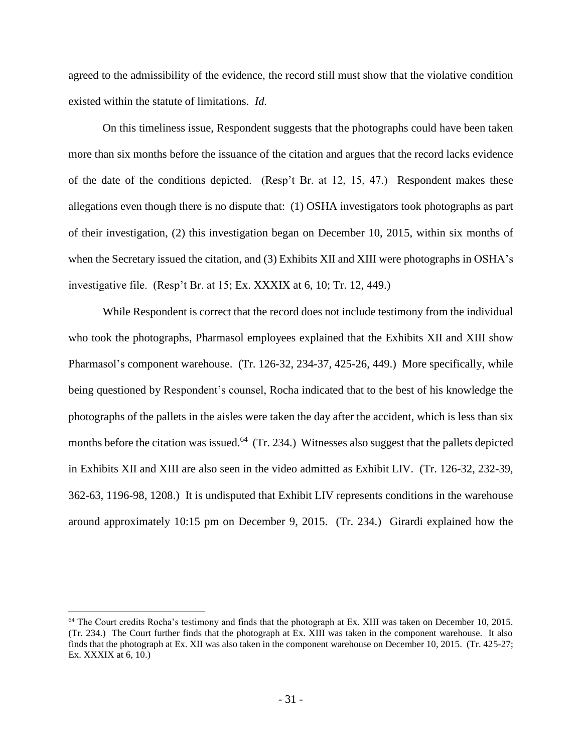agreed to the admissibility of the evidence, the record still must show that the violative condition existed within the statute of limitations. *Id.* 

On this timeliness issue, Respondent suggests that the photographs could have been taken more than six months before the issuance of the citation and argues that the record lacks evidence of the date of the conditions depicted. (Resp't Br. at 12, 15, 47.) Respondent makes these allegations even though there is no dispute that: (1) OSHA investigators took photographs as part of their investigation, (2) this investigation began on December 10, 2015, within six months of when the Secretary issued the citation, and (3) Exhibits XII and XIII were photographs in OSHA's investigative file. (Resp't Br. at 15; Ex. XXXIX at 6, 10; Tr. 12, 449.)

While Respondent is correct that the record does not include testimony from the individual who took the photographs, Pharmasol employees explained that the Exhibits XII and XIII show Pharmasol's component warehouse. (Tr. 126-32, 234-37, 425-26, 449.) More specifically, while being questioned by Respondent's counsel, Rocha indicated that to the best of his knowledge the photographs of the pallets in the aisles were taken the day after the accident, which is less than six months before the citation was issued.<sup>64</sup> (Tr. 234.) Witnesses also suggest that the pallets depicted in Exhibits XII and XIII are also seen in the video admitted as Exhibit LIV. (Tr. 126-32, 232-39, 362-63, 1196-98, 1208.) It is undisputed that Exhibit LIV represents conditions in the warehouse around approximately 10:15 pm on December 9, 2015. (Tr. 234.) Girardi explained how the

<sup>64</sup> The Court credits Rocha's testimony and finds that the photograph at Ex. XIII was taken on December 10, 2015. (Tr. 234.) The Court further finds that the photograph at Ex. XIII was taken in the component warehouse. It also finds that the photograph at Ex. XII was also taken in the component warehouse on December 10, 2015. (Tr. 425-27; Ex. XXXIX at 6, 10.)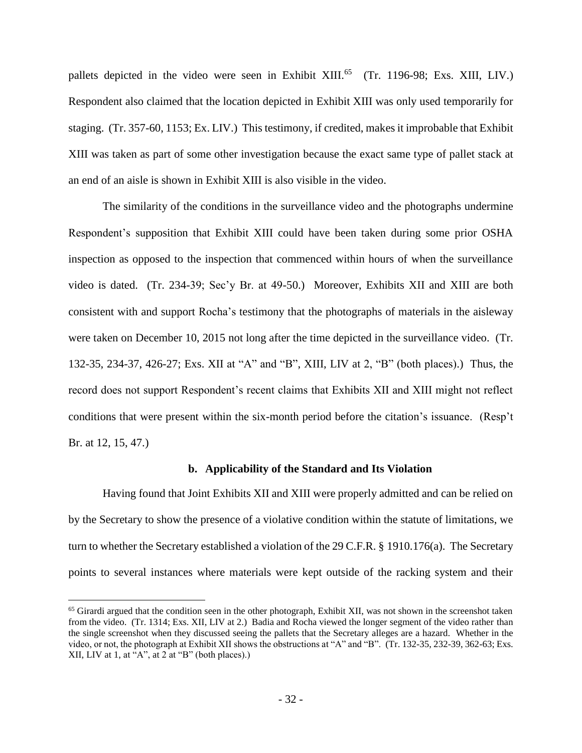pallets depicted in the video were seen in Exhibit XIII.<sup>65</sup> (Tr. 1196-98; Exs. XIII, LIV.) Respondent also claimed that the location depicted in Exhibit XIII was only used temporarily for staging. (Tr. 357-60, 1153; Ex. LIV.) This testimony, if credited, makes it improbable that Exhibit XIII was taken as part of some other investigation because the exact same type of pallet stack at an end of an aisle is shown in Exhibit XIII is also visible in the video.

The similarity of the conditions in the surveillance video and the photographs undermine Respondent's supposition that Exhibit XIII could have been taken during some prior OSHA inspection as opposed to the inspection that commenced within hours of when the surveillance video is dated. (Tr. 234-39; Sec'y Br. at 49-50.) Moreover, Exhibits XII and XIII are both consistent with and support Rocha's testimony that the photographs of materials in the aisleway were taken on December 10, 2015 not long after the time depicted in the surveillance video. (Tr. 132-35, 234-37, 426-27; Exs. XII at "A" and "B", XIII, LIV at 2, "B" (both places).) Thus, the record does not support Respondent's recent claims that Exhibits XII and XIII might not reflect conditions that were present within the six-month period before the citation's issuance. (Resp't Br. at 12, 15, 47.)

### **b. Applicability of the Standard and Its Violation**

Having found that Joint Exhibits XII and XIII were properly admitted and can be relied on by the Secretary to show the presence of a violative condition within the statute of limitations, we turn to whether the Secretary established a violation of the 29 C.F.R. § 1910.176(a). The Secretary points to several instances where materials were kept outside of the racking system and their

<sup>&</sup>lt;sup>65</sup> Girardi argued that the condition seen in the other photograph, Exhibit XII, was not shown in the screenshot taken from the video. (Tr. 1314; Exs. XII, LIV at 2.) Badia and Rocha viewed the longer segment of the video rather than the single screenshot when they discussed seeing the pallets that the Secretary alleges are a hazard. Whether in the video, or not, the photograph at Exhibit XII shows the obstructions at "A" and "B". (Tr. 132-35, 232-39, 362-63; Exs. XII, LIV at 1, at "A", at 2 at "B" (both places).)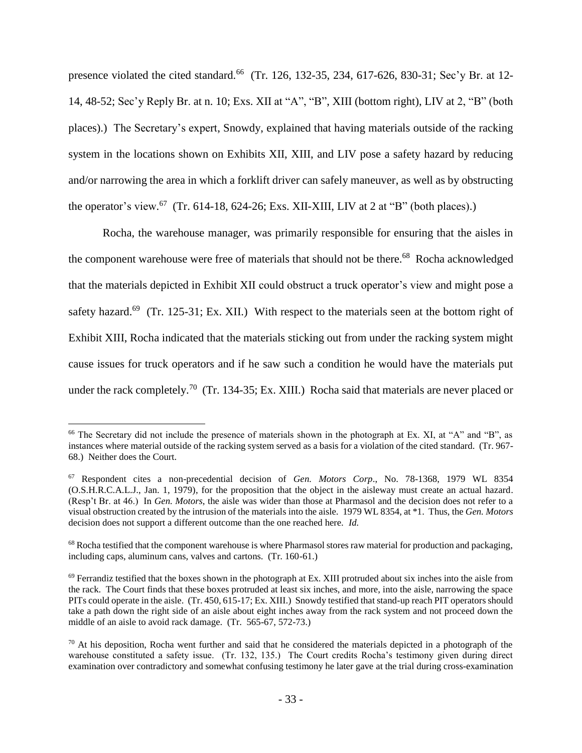presence violated the cited standard.<sup>66</sup> (Tr. 126, 132-35, 234, 617-626, 830-31; Sec'y Br. at 12-14, 48-52; Sec'y Reply Br. at n. 10; Exs. XII at "A", "B", XIII (bottom right), LIV at 2, "B" (both places).) The Secretary's expert, Snowdy, explained that having materials outside of the racking system in the locations shown on Exhibits XII, XIII, and LIV pose a safety hazard by reducing and/or narrowing the area in which a forklift driver can safely maneuver, as well as by obstructing the operator's view.<sup>67</sup> (Tr. 614-18, 624-26; Exs. XII-XIII, LIV at 2 at "B" (both places).)

Rocha, the warehouse manager, was primarily responsible for ensuring that the aisles in the component warehouse were free of materials that should not be there.<sup>68</sup> Rocha acknowledged that the materials depicted in Exhibit XII could obstruct a truck operator's view and might pose a safety hazard.<sup>69</sup> (Tr. 125-31; Ex. XII.) With respect to the materials seen at the bottom right of Exhibit XIII, Rocha indicated that the materials sticking out from under the racking system might cause issues for truck operators and if he saw such a condition he would have the materials put under the rack completely.<sup>70</sup> (Tr. 134-35; Ex. XIII.) Rocha said that materials are never placed or

<sup>66</sup> The Secretary did not include the presence of materials shown in the photograph at Ex. XI, at "A" and "B", as instances where material outside of the racking system served as a basis for a violation of the cited standard. (Tr. 967- 68.) Neither does the Court.

<sup>67</sup> Respondent cites a non-precedential decision of *Gen. Motors Corp*., No. 78-1368, 1979 WL 8354 (O.S.H.R.C.A.L.J., Jan. 1, 1979), for the proposition that the object in the aisleway must create an actual hazard. (Resp't Br. at 46.) In *Gen. Motors*, the aisle was wider than those at Pharmasol and the decision does not refer to a visual obstruction created by the intrusion of the materials into the aisle. 1979 WL 8354, at \*1. Thus, the *Gen. Motors* decision does not support a different outcome than the one reached here. *Id.* 

<sup>&</sup>lt;sup>68</sup> Rocha testified that the component warehouse is where Pharmasol stores raw material for production and packaging, including caps, aluminum cans, valves and cartons. (Tr. 160-61.)

 $69$  Ferrandiz testified that the boxes shown in the photograph at Ex. XIII protruded about six inches into the aisle from the rack. The Court finds that these boxes protruded at least six inches, and more, into the aisle, narrowing the space PITs could operate in the aisle. (Tr. 450, 615-17; Ex. XIII.) Snowdy testified that stand-up reach PIT operators should take a path down the right side of an aisle about eight inches away from the rack system and not proceed down the middle of an aisle to avoid rack damage. (Tr. 565-67, 572-73.)

 $70$  At his deposition, Rocha went further and said that he considered the materials depicted in a photograph of the warehouse constituted a safety issue. (Tr. 132, 135.) The Court credits Rocha's testimony given during direct examination over contradictory and somewhat confusing testimony he later gave at the trial during cross-examination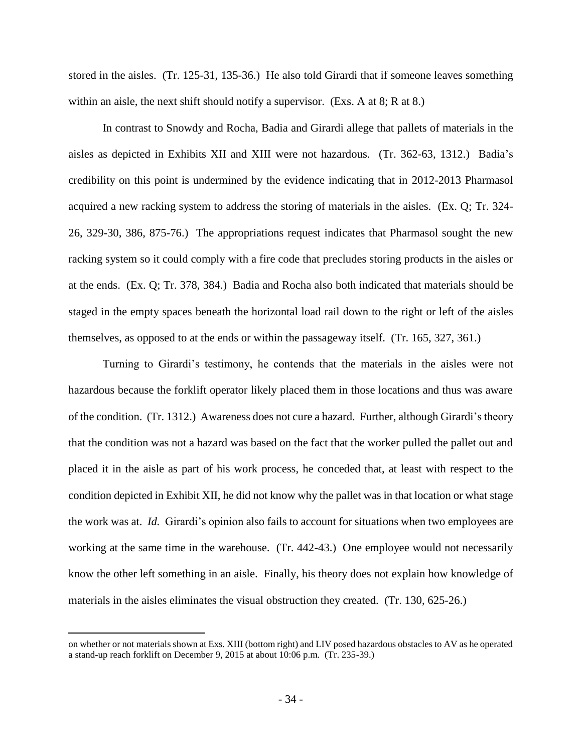stored in the aisles. (Tr. 125-31, 135-36.) He also told Girardi that if someone leaves something within an aisle, the next shift should notify a supervisor. (Exs. A at 8; R at 8.)

In contrast to Snowdy and Rocha, Badia and Girardi allege that pallets of materials in the aisles as depicted in Exhibits XII and XIII were not hazardous. (Tr. 362-63, 1312.) Badia's credibility on this point is undermined by the evidence indicating that in 2012-2013 Pharmasol acquired a new racking system to address the storing of materials in the aisles. (Ex. Q; Tr. 324- 26, 329-30, 386, 875-76.) The appropriations request indicates that Pharmasol sought the new racking system so it could comply with a fire code that precludes storing products in the aisles or at the ends. (Ex. Q; Tr. 378, 384.) Badia and Rocha also both indicated that materials should be staged in the empty spaces beneath the horizontal load rail down to the right or left of the aisles themselves, as opposed to at the ends or within the passageway itself. (Tr. 165, 327, 361.)

Turning to Girardi's testimony, he contends that the materials in the aisles were not hazardous because the forklift operator likely placed them in those locations and thus was aware of the condition. (Tr. 1312.) Awareness does not cure a hazard. Further, although Girardi's theory that the condition was not a hazard was based on the fact that the worker pulled the pallet out and placed it in the aisle as part of his work process, he conceded that, at least with respect to the condition depicted in Exhibit XII, he did not know why the pallet was in that location or what stage the work was at. *Id.* Girardi's opinion also fails to account for situations when two employees are working at the same time in the warehouse. (Tr. 442-43.) One employee would not necessarily know the other left something in an aisle. Finally, his theory does not explain how knowledge of materials in the aisles eliminates the visual obstruction they created. (Tr. 130, 625-26.)

on whether or not materials shown at Exs. XIII (bottom right) and LIV posed hazardous obstacles to AV as he operated a stand-up reach forklift on December 9, 2015 at about 10:06 p.m. (Tr. 235-39.)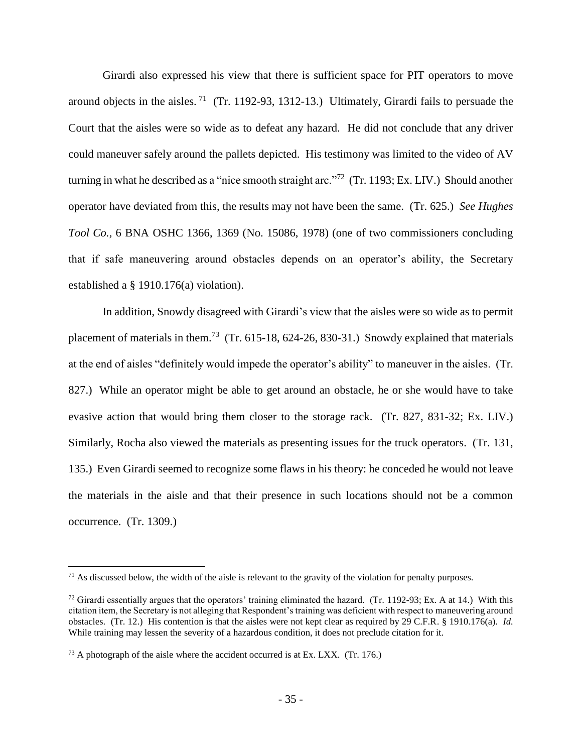Girardi also expressed his view that there is sufficient space for PIT operators to move around objects in the aisles.<sup>71</sup> (Tr. 1192-93, 1312-13.) Ultimately, Girardi fails to persuade the Court that the aisles were so wide as to defeat any hazard. He did not conclude that any driver could maneuver safely around the pallets depicted. His testimony was limited to the video of AV turning in what he described as a "nice smooth straight arc."<sup>72</sup> (Tr. 1193; Ex. LIV.) Should another operator have deviated from this, the results may not have been the same. (Tr. 625.) *See Hughes Tool Co.,* 6 BNA OSHC 1366, 1369 (No. 15086, 1978) (one of two commissioners concluding that if safe maneuvering around obstacles depends on an operator's ability, the Secretary established a § 1910.176(a) violation).

In addition, Snowdy disagreed with Girardi's view that the aisles were so wide as to permit placement of materials in them.<sup>73</sup> (Tr. 615-18, 624-26, 830-31.) Snowdy explained that materials at the end of aisles "definitely would impede the operator's ability" to maneuver in the aisles. (Tr. 827.) While an operator might be able to get around an obstacle, he or she would have to take evasive action that would bring them closer to the storage rack. (Tr. 827, 831-32; Ex. LIV.) Similarly, Rocha also viewed the materials as presenting issues for the truck operators. (Tr. 131, 135.) Even Girardi seemed to recognize some flaws in his theory: he conceded he would not leave the materials in the aisle and that their presence in such locations should not be a common occurrence. (Tr. 1309.)

 $71$  As discussed below, the width of the aisle is relevant to the gravity of the violation for penalty purposes.

 $72$  Girardi essentially argues that the operators' training eliminated the hazard. (Tr. 1192-93; Ex. A at 14.) With this citation item, the Secretary is not alleging that Respondent's training was deficient with respect to maneuvering around obstacles. (Tr. 12.) His contention is that the aisles were not kept clear as required by 29 C.F.R. § 1910.176(a). *Id.*  While training may lessen the severity of a hazardous condition, it does not preclude citation for it.

 $^{73}$  A photograph of the aisle where the accident occurred is at Ex. LXX. (Tr. 176.)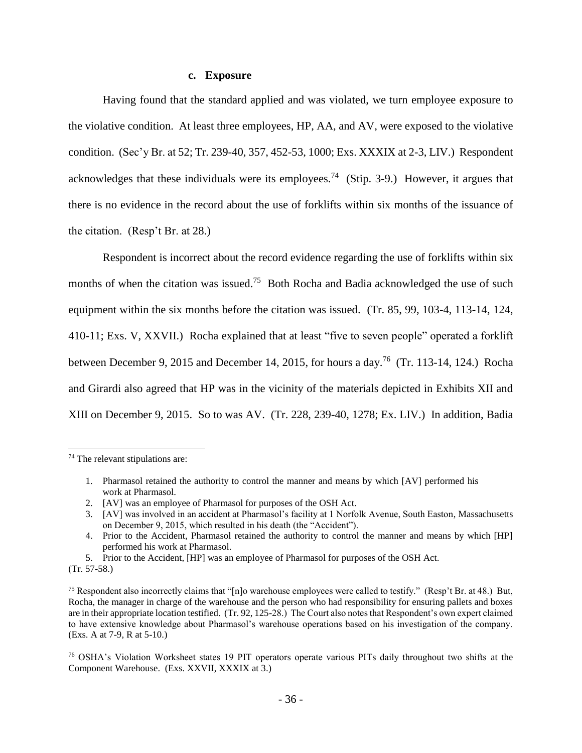### **c. Exposure**

Having found that the standard applied and was violated, we turn employee exposure to the violative condition. At least three employees, HP, AA, and AV, were exposed to the violative condition. (Sec'y Br. at 52; Tr. 239-40, 357, 452-53, 1000; Exs. XXXIX at 2-3, LIV.) Respondent acknowledges that these individuals were its employees.<sup>74</sup> (Stip. 3-9.) However, it argues that there is no evidence in the record about the use of forklifts within six months of the issuance of the citation. (Resp't Br. at 28.)

Respondent is incorrect about the record evidence regarding the use of forklifts within six months of when the citation was issued.<sup>75</sup> Both Rocha and Badia acknowledged the use of such equipment within the six months before the citation was issued. (Tr. 85, 99, 103-4, 113-14, 124, 410-11; Exs. V, XXVII.) Rocha explained that at least "five to seven people" operated a forklift between December 9, 2015 and December 14, 2015, for hours a day.<sup>76</sup> (Tr. 113-14, 124.) Rocha and Girardi also agreed that HP was in the vicinity of the materials depicted in Exhibits XII and XIII on December 9, 2015. So to was AV. (Tr. 228, 239-40, 1278; Ex. LIV.) In addition, Badia

- 1. Pharmasol retained the authority to control the manner and means by which [AV] performed his work at Pharmasol.
- 2. [AV] was an employee of Pharmasol for purposes of the OSH Act.
- 3. [AV] was involved in an accident at Pharmasol's facility at 1 Norfolk Avenue, South Easton, Massachusetts on December 9, 2015, which resulted in his death (the "Accident").
- 4. Prior to the Accident, Pharmasol retained the authority to control the manner and means by which [HP] performed his work at Pharmasol.
- 5. Prior to the Accident, [HP] was an employee of Pharmasol for purposes of the OSH Act.
- (Tr. 57-58.)

<sup>74</sup> The relevant stipulations are:

<sup>&</sup>lt;sup>75</sup> Respondent also incorrectly claims that "[n]o warehouse employees were called to testify." (Resp't Br. at 48.) But, Rocha, the manager in charge of the warehouse and the person who had responsibility for ensuring pallets and boxes are in their appropriate location testified. (Tr. 92, 125-28.) The Court also notes that Respondent's own expert claimed to have extensive knowledge about Pharmasol's warehouse operations based on his investigation of the company. (Exs. A at 7-9, R at 5-10.)

<sup>76</sup> OSHA's Violation Worksheet states 19 PIT operators operate various PITs daily throughout two shifts at the Component Warehouse. (Exs. XXVII, XXXIX at 3.)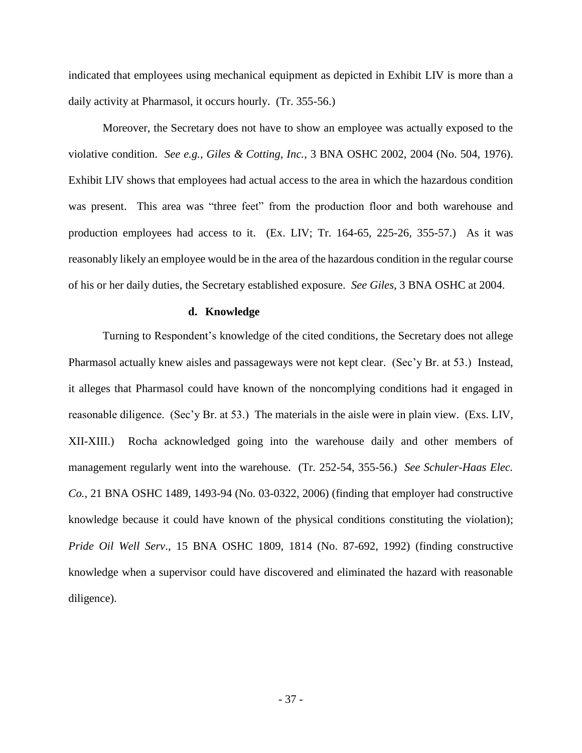indicated that employees using mechanical equipment as depicted in Exhibit LIV is more than a daily activity at Pharmasol, it occurs hourly. (Tr. 355-56.)

Moreover, the Secretary does not have to show an employee was actually exposed to the violative condition. *See e.g., Giles & Cotting, Inc.*, 3 BNA OSHC 2002, 2004 (No. 504, 1976). Exhibit LIV shows that employees had actual access to the area in which the hazardous condition was present. This area was "three feet" from the production floor and both warehouse and production employees had access to it. (Ex. LIV; Tr. 164-65, 225-26, 355-57.) As it was reasonably likely an employee would be in the area of the hazardous condition in the regular course of his or her daily duties, the Secretary established exposure. *See Giles*, 3 BNA OSHC at 2004.

#### **d. Knowledge**

Turning to Respondent's knowledge of the cited conditions, the Secretary does not allege Pharmasol actually knew aisles and passageways were not kept clear. (Sec'y Br. at 53.) Instead, it alleges that Pharmasol could have known of the noncomplying conditions had it engaged in reasonable diligence. (Sec'y Br. at 53.) The materials in the aisle were in plain view. (Exs. LIV, XII-XIII.) Rocha acknowledged going into the warehouse daily and other members of management regularly went into the warehouse. (Tr. 252-54, 355-56.) *See Schuler-Haas Elec. Co.,* 21 BNA OSHC 1489, 1493-94 (No. 03-0322, 2006) (finding that employer had constructive knowledge because it could have known of the physical conditions constituting the violation); *Pride Oil Well Serv*., 15 BNA OSHC 1809, 1814 (No. 87-692, 1992) (finding constructive knowledge when a supervisor could have discovered and eliminated the hazard with reasonable diligence).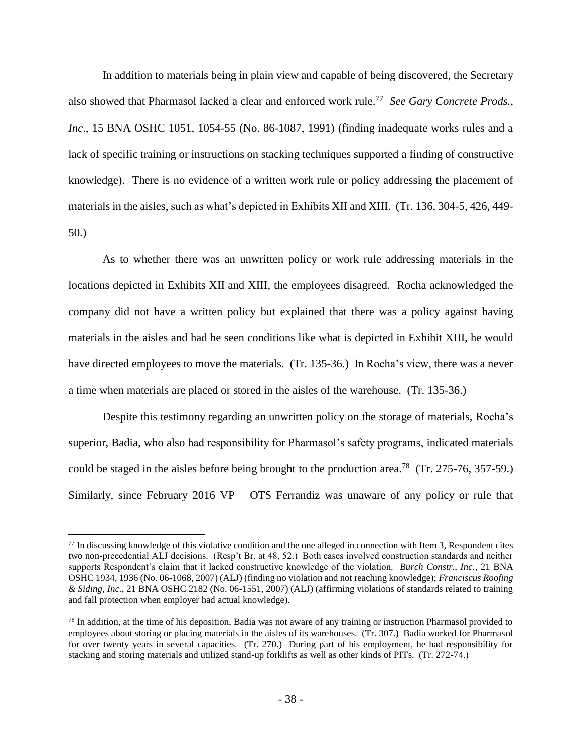In addition to materials being in plain view and capable of being discovered, the Secretary also showed that Pharmasol lacked a clear and enforced work rule.<sup>77</sup> *See Gary Concrete Prods., Inc.*, 15 BNA OSHC 1051, 1054-55 (No. 86-1087, 1991) (finding inadequate works rules and a lack of specific training or instructions on stacking techniques supported a finding of constructive knowledge). There is no evidence of a written work rule or policy addressing the placement of materials in the aisles, such as what's depicted in Exhibits XII and XIII. (Tr. 136, 304-5, 426, 449- 50.)

As to whether there was an unwritten policy or work rule addressing materials in the locations depicted in Exhibits XII and XIII, the employees disagreed. Rocha acknowledged the company did not have a written policy but explained that there was a policy against having materials in the aisles and had he seen conditions like what is depicted in Exhibit XIII, he would have directed employees to move the materials. (Tr. 135-36.) In Rocha's view, there was a never a time when materials are placed or stored in the aisles of the warehouse. (Tr. 135-36.)

Despite this testimony regarding an unwritten policy on the storage of materials, Rocha's superior, Badia, who also had responsibility for Pharmasol's safety programs, indicated materials could be staged in the aisles before being brought to the production area.<sup>78</sup> (Tr. 275-76, 357-59.) Similarly, since February 2016 VP – OTS Ferrandiz was unaware of any policy or rule that

 $77$  In discussing knowledge of this violative condition and the one alleged in connection with Item 3, Respondent cites two non-precedential ALJ decisions. (Resp't Br. at 48, 52.) Both cases involved construction standards and neither supports Respondent's claim that it lacked constructive knowledge of the violation. *Burch Constr., Inc.*, 21 BNA OSHC 1934, 1936 (No. 06-1068, 2007) (ALJ) (finding no violation and not reaching knowledge); *Franciscus Roofing & Siding, Inc.*, 21 BNA OSHC 2182 (No. 06-1551, 2007) (ALJ) (affirming violations of standards related to training and fall protection when employer had actual knowledge).

 $78$  In addition, at the time of his deposition, Badia was not aware of any training or instruction Pharmasol provided to employees about storing or placing materials in the aisles of its warehouses. (Tr. 307.) Badia worked for Pharmasol for over twenty years in several capacities. (Tr. 270.) During part of his employment, he had responsibility for stacking and storing materials and utilized stand-up forklifts as well as other kinds of PITs. (Tr. 272-74.)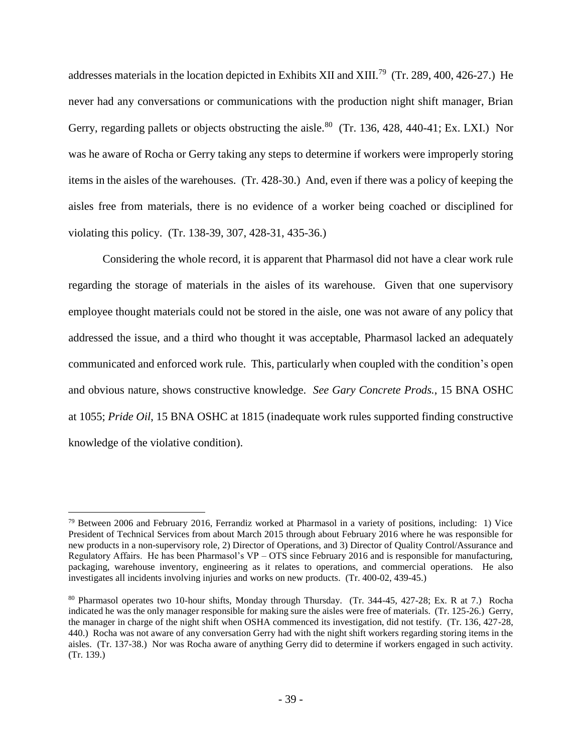addresses materials in the location depicted in Exhibits XII and XIII.<sup>79</sup> (Tr. 289, 400, 426-27.) He never had any conversations or communications with the production night shift manager, Brian Gerry, regarding pallets or objects obstructing the aisle.<sup>80</sup> (Tr. 136, 428, 440-41; Ex. LXI.) Nor was he aware of Rocha or Gerry taking any steps to determine if workers were improperly storing items in the aisles of the warehouses. (Tr. 428-30.) And, even if there was a policy of keeping the aisles free from materials, there is no evidence of a worker being coached or disciplined for violating this policy. (Tr. 138-39, 307, 428-31, 435-36.)

Considering the whole record, it is apparent that Pharmasol did not have a clear work rule regarding the storage of materials in the aisles of its warehouse. Given that one supervisory employee thought materials could not be stored in the aisle, one was not aware of any policy that addressed the issue, and a third who thought it was acceptable, Pharmasol lacked an adequately communicated and enforced work rule. This, particularly when coupled with the condition's open and obvious nature, shows constructive knowledge. *See Gary Concrete Prods.*, 15 BNA OSHC at 1055; *Pride Oil*, 15 BNA OSHC at 1815 (inadequate work rules supported finding constructive knowledge of the violative condition).

<sup>79</sup> Between 2006 and February 2016, Ferrandiz worked at Pharmasol in a variety of positions, including: 1) Vice President of Technical Services from about March 2015 through about February 2016 where he was responsible for new products in a non-supervisory role, 2) Director of Operations, and 3) Director of Quality Control/Assurance and Regulatory Affairs. He has been Pharmasol's VP – OTS since February 2016 and is responsible for manufacturing, packaging, warehouse inventory, engineering as it relates to operations, and commercial operations. He also investigates all incidents involving injuries and works on new products. (Tr. 400-02, 439-45.)

<sup>80</sup> Pharmasol operates two 10-hour shifts, Monday through Thursday. (Tr. 344-45, 427-28; Ex. R at 7.) Rocha indicated he was the only manager responsible for making sure the aisles were free of materials. (Tr. 125-26.) Gerry, the manager in charge of the night shift when OSHA commenced its investigation, did not testify. (Tr. 136, 427-28, 440.) Rocha was not aware of any conversation Gerry had with the night shift workers regarding storing items in the aisles. (Tr. 137-38.) Nor was Rocha aware of anything Gerry did to determine if workers engaged in such activity. (Tr. 139.)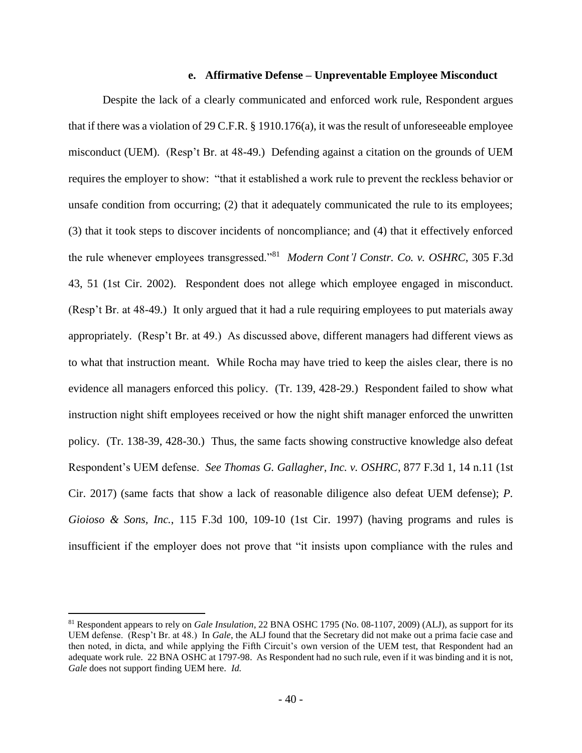#### **e. Affirmative Defense – Unpreventable Employee Misconduct**

Despite the lack of a clearly communicated and enforced work rule, Respondent argues that if there was a violation of 29 C.F.R. § 1910.176(a), it was the result of unforeseeable employee misconduct (UEM). (Resp't Br. at 48-49.) Defending against a citation on the grounds of UEM requires the employer to show: "that it established a work rule to prevent the reckless behavior or unsafe condition from occurring; (2) that it adequately communicated the rule to its employees; (3) that it took steps to discover incidents of noncompliance; and (4) that it effectively enforced the rule whenever employees transgressed."<sup>81</sup> *Modern Cont'l Constr. Co. v. OSHRC*, 305 F.3d 43, 51 (1st Cir. 2002). Respondent does not allege which employee engaged in misconduct. (Resp't Br. at 48-49.) It only argued that it had a rule requiring employees to put materials away appropriately. (Resp't Br. at 49.) As discussed above, different managers had different views as to what that instruction meant. While Rocha may have tried to keep the aisles clear, there is no evidence all managers enforced this policy. (Tr. 139, 428-29.) Respondent failed to show what instruction night shift employees received or how the night shift manager enforced the unwritten policy. (Tr. 138-39, 428-30.) Thus, the same facts showing constructive knowledge also defeat Respondent's UEM defense. *See Thomas G. Gallagher, Inc. v. OSHRC*, 877 F.3d 1, 14 n.11 (1st Cir. 2017) (same facts that show a lack of reasonable diligence also defeat UEM defense); *P. Gioioso & Sons, Inc.*, 115 F.3d 100, 109-10 (1st Cir. 1997) (having programs and rules is insufficient if the employer does not prove that "it insists upon compliance with the rules and

<sup>81</sup> Respondent appears to rely on *Gale Insulation*, 22 BNA OSHC 1795 (No. 08-1107, 2009) (ALJ), as support for its UEM defense. (Resp't Br. at 48.) In *Gale*, the ALJ found that the Secretary did not make out a prima facie case and then noted, in dicta, and while applying the Fifth Circuit's own version of the UEM test, that Respondent had an adequate work rule. 22 BNA OSHC at 1797-98. As Respondent had no such rule, even if it was binding and it is not, *Gale* does not support finding UEM here. *Id.*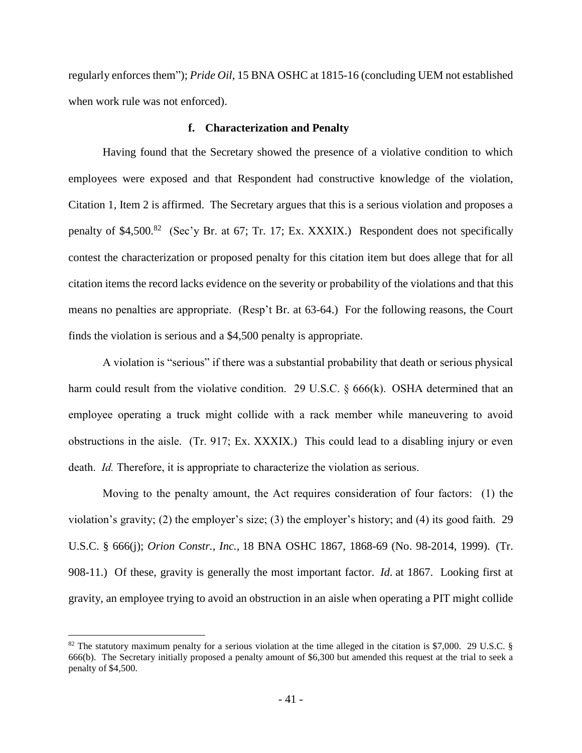regularly enforces them"); *Pride Oil*, 15 BNA OSHC at 1815-16 (concluding UEM not established when work rule was not enforced).

#### **f. Characterization and Penalty**

Having found that the Secretary showed the presence of a violative condition to which employees were exposed and that Respondent had constructive knowledge of the violation, Citation 1, Item 2 is affirmed. The Secretary argues that this is a serious violation and proposes a penalty of \$4,500.<sup>82</sup> (Sec'y Br. at 67; Tr. 17; Ex. XXXIX.) Respondent does not specifically contest the characterization or proposed penalty for this citation item but does allege that for all citation items the record lacks evidence on the severity or probability of the violations and that this means no penalties are appropriate. (Resp't Br. at 63-64.) For the following reasons, the Court finds the violation is serious and a \$4,500 penalty is appropriate.

A violation is "serious" if there was a substantial probability that death or serious physical harm could result from the violative condition. 29 U.S.C. § 666(k). OSHA determined that an employee operating a truck might collide with a rack member while maneuvering to avoid obstructions in the aisle. (Tr. 917; Ex. XXXIX.) This could lead to a disabling injury or even death. *Id.* Therefore, it is appropriate to characterize the violation as serious.

Moving to the penalty amount, the Act requires consideration of four factors: (1) the violation's gravity; (2) the employer's size; (3) the employer's history; and (4) its good faith. 29 U.S.C. § 666(j); *Orion Constr., Inc.,* 18 BNA OSHC 1867, 1868-69 (No. 98-2014, 1999). (Tr. 908-11.) Of these, gravity is generally the most important factor. *Id*. at 1867. Looking first at gravity, an employee trying to avoid an obstruction in an aisle when operating a PIT might collide

<sup>82</sup> The statutory maximum penalty for a serious violation at the time alleged in the citation is \$7,000. 29 U.S.C. § 666(b). The Secretary initially proposed a penalty amount of \$6,300 but amended this request at the trial to seek a penalty of \$4,500.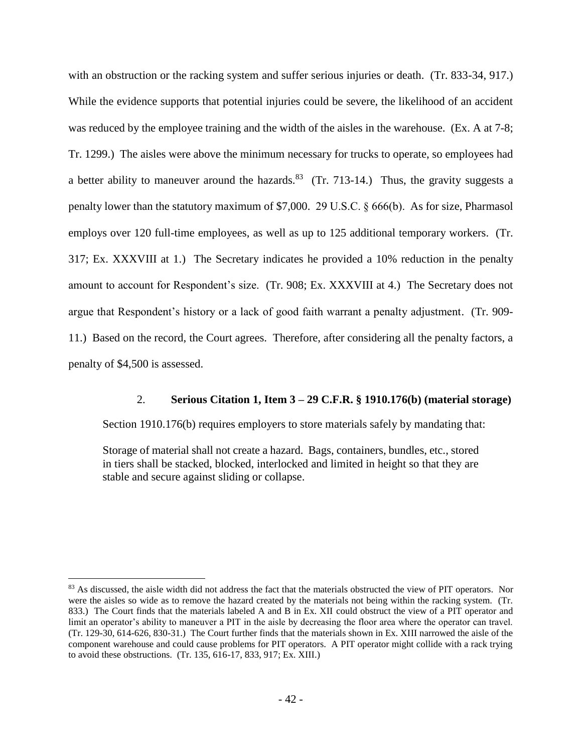with an obstruction or the racking system and suffer serious injuries or death. (Tr. 833-34, 917.) While the evidence supports that potential injuries could be severe, the likelihood of an accident was reduced by the employee training and the width of the aisles in the warehouse. (Ex. A at 7-8; Tr. 1299.) The aisles were above the minimum necessary for trucks to operate, so employees had a better ability to maneuver around the hazards. <sup>83</sup> (Tr. 713-14.) Thus, the gravity suggests a penalty lower than the statutory maximum of \$7,000. 29 U.S.C. § 666(b). As for size, Pharmasol employs over 120 full-time employees, as well as up to 125 additional temporary workers. (Tr. 317; Ex. XXXVIII at 1.) The Secretary indicates he provided a 10% reduction in the penalty amount to account for Respondent's size. (Tr. 908; Ex. XXXVIII at 4.) The Secretary does not argue that Respondent's history or a lack of good faith warrant a penalty adjustment. (Tr. 909- 11.) Based on the record, the Court agrees. Therefore, after considering all the penalty factors, a penalty of \$4,500 is assessed.

### 2. **Serious Citation 1, Item 3 – 29 C.F.R. § 1910.176(b) (material storage)**

Section 1910.176(b) requires employers to store materials safely by mandating that:

Storage of material shall not create a hazard. Bags, containers, bundles, etc., stored in tiers shall be stacked, blocked, interlocked and limited in height so that they are stable and secure against sliding or collapse.

<sup>&</sup>lt;sup>83</sup> As discussed, the aisle width did not address the fact that the materials obstructed the view of PIT operators. Nor were the aisles so wide as to remove the hazard created by the materials not being within the racking system. (Tr. 833.) The Court finds that the materials labeled A and B in Ex. XII could obstruct the view of a PIT operator and limit an operator's ability to maneuver a PIT in the aisle by decreasing the floor area where the operator can travel. (Tr. 129-30, 614-626, 830-31.) The Court further finds that the materials shown in Ex. XIII narrowed the aisle of the component warehouse and could cause problems for PIT operators. A PIT operator might collide with a rack trying to avoid these obstructions. (Tr. 135, 616-17, 833, 917; Ex. XIII.)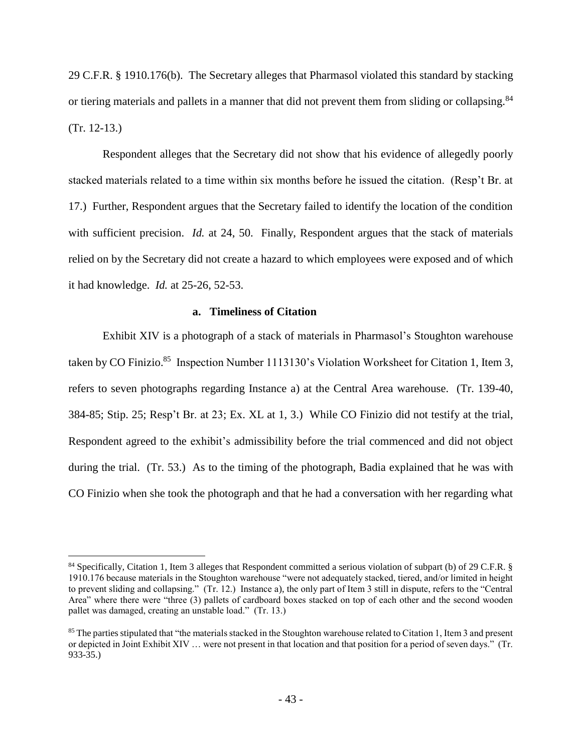29 C.F.R. § 1910.176(b). The Secretary alleges that Pharmasol violated this standard by stacking or tiering materials and pallets in a manner that did not prevent them from sliding or collapsing.<sup>84</sup> (Tr. 12-13.)

Respondent alleges that the Secretary did not show that his evidence of allegedly poorly stacked materials related to a time within six months before he issued the citation. (Resp't Br. at 17.) Further, Respondent argues that the Secretary failed to identify the location of the condition with sufficient precision. *Id.* at 24, 50. Finally, Respondent argues that the stack of materials relied on by the Secretary did not create a hazard to which employees were exposed and of which it had knowledge. *Id.* at 25-26, 52-53.

#### **a. Timeliness of Citation**

Exhibit XIV is a photograph of a stack of materials in Pharmasol's Stoughton warehouse taken by CO Finizio.<sup>85</sup> Inspection Number 1113130's Violation Worksheet for Citation 1, Item 3, refers to seven photographs regarding Instance a) at the Central Area warehouse. (Tr. 139-40, 384-85; Stip. 25; Resp't Br. at 23; Ex. XL at 1, 3.) While CO Finizio did not testify at the trial, Respondent agreed to the exhibit's admissibility before the trial commenced and did not object during the trial. (Tr. 53.) As to the timing of the photograph, Badia explained that he was with CO Finizio when she took the photograph and that he had a conversation with her regarding what

<sup>84</sup> Specifically, Citation 1, Item 3 alleges that Respondent committed a serious violation of subpart (b) of 29 C.F.R. § 1910.176 because materials in the Stoughton warehouse "were not adequately stacked, tiered, and/or limited in height to prevent sliding and collapsing." (Tr. 12.) Instance a), the only part of Item 3 still in dispute, refers to the "Central Area" where there were "three (3) pallets of cardboard boxes stacked on top of each other and the second wooden pallet was damaged, creating an unstable load." (Tr. 13.)

<sup>&</sup>lt;sup>85</sup> The parties stipulated that "the materials stacked in the Stoughton warehouse related to Citation 1, Item 3 and present or depicted in Joint Exhibit XIV … were not present in that location and that position for a period of seven days." (Tr. 933-35.)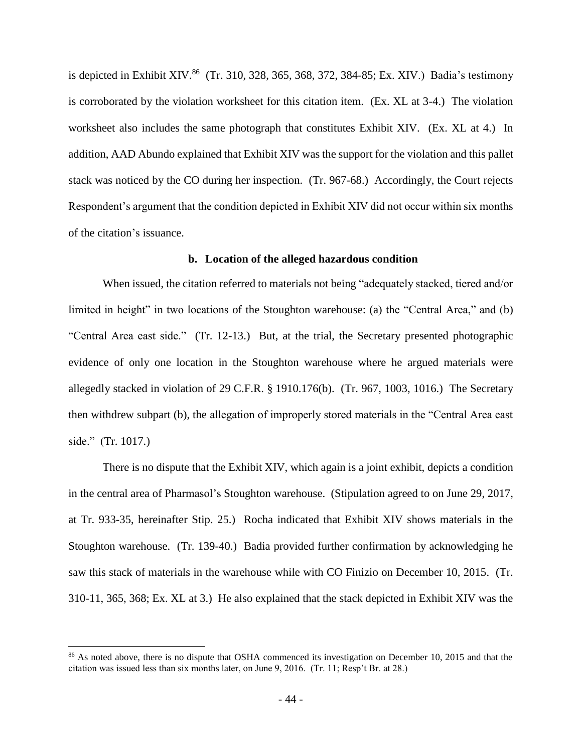is depicted in Exhibit XIV.<sup>86</sup> (Tr. 310, 328, 365, 368, 372, 384-85; Ex. XIV.) Badia's testimony is corroborated by the violation worksheet for this citation item. (Ex. XL at 3-4.) The violation worksheet also includes the same photograph that constitutes Exhibit XIV. (Ex. XL at 4.) In addition, AAD Abundo explained that Exhibit XIV was the support for the violation and this pallet stack was noticed by the CO during her inspection. (Tr. 967-68.) Accordingly, the Court rejects Respondent's argument that the condition depicted in Exhibit XIV did not occur within six months of the citation's issuance.

#### **b. Location of the alleged hazardous condition**

When issued, the citation referred to materials not being "adequately stacked, tiered and/or limited in height" in two locations of the Stoughton warehouse: (a) the "Central Area," and (b) "Central Area east side." (Tr. 12-13.) But, at the trial, the Secretary presented photographic evidence of only one location in the Stoughton warehouse where he argued materials were allegedly stacked in violation of 29 C.F.R. § 1910.176(b). (Tr. 967, 1003, 1016.) The Secretary then withdrew subpart (b), the allegation of improperly stored materials in the "Central Area east side." (Tr. 1017.)

There is no dispute that the Exhibit XIV, which again is a joint exhibit, depicts a condition in the central area of Pharmasol's Stoughton warehouse. (Stipulation agreed to on June 29, 2017, at Tr. 933-35, hereinafter Stip. 25.) Rocha indicated that Exhibit XIV shows materials in the Stoughton warehouse. (Tr. 139-40.) Badia provided further confirmation by acknowledging he saw this stack of materials in the warehouse while with CO Finizio on December 10, 2015. (Tr. 310-11, 365, 368; Ex. XL at 3.) He also explained that the stack depicted in Exhibit XIV was the

<sup>&</sup>lt;sup>86</sup> As noted above, there is no dispute that OSHA commenced its investigation on December 10, 2015 and that the citation was issued less than six months later, on June 9, 2016. (Tr. 11; Resp't Br. at 28.)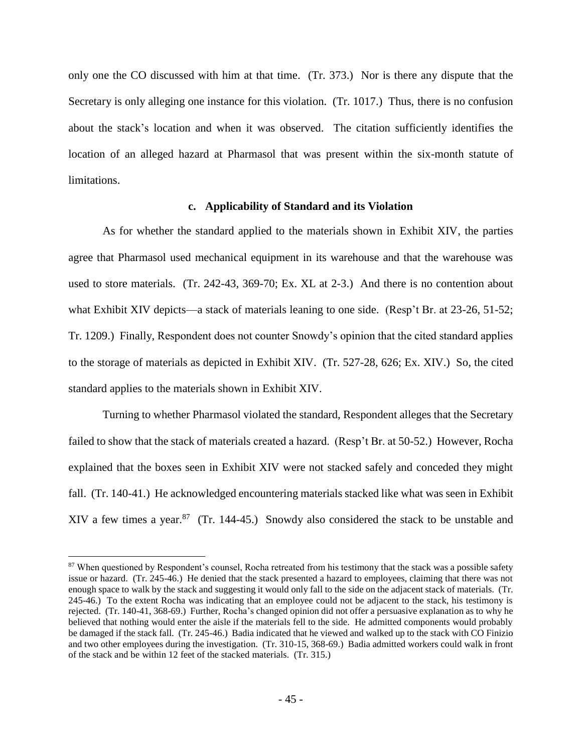only one the CO discussed with him at that time. (Tr. 373.) Nor is there any dispute that the Secretary is only alleging one instance for this violation. (Tr. 1017.) Thus, there is no confusion about the stack's location and when it was observed. The citation sufficiently identifies the location of an alleged hazard at Pharmasol that was present within the six-month statute of limitations.

#### **c. Applicability of Standard and its Violation**

As for whether the standard applied to the materials shown in Exhibit XIV, the parties agree that Pharmasol used mechanical equipment in its warehouse and that the warehouse was used to store materials. (Tr. 242-43, 369-70; Ex. XL at 2-3.) And there is no contention about what Exhibit XIV depicts—a stack of materials leaning to one side. (Resp't Br. at 23-26, 51-52; Tr. 1209.) Finally, Respondent does not counter Snowdy's opinion that the cited standard applies to the storage of materials as depicted in Exhibit XIV. (Tr. 527-28, 626; Ex. XIV.) So, the cited standard applies to the materials shown in Exhibit XIV.

Turning to whether Pharmasol violated the standard, Respondent alleges that the Secretary failed to show that the stack of materials created a hazard. (Resp't Br. at 50-52.) However, Rocha explained that the boxes seen in Exhibit XIV were not stacked safely and conceded they might fall. (Tr. 140-41.) He acknowledged encountering materials stacked like what was seen in Exhibit XIV a few times a year.<sup>87</sup> (Tr. 144-45.) Snowdy also considered the stack to be unstable and

<sup>&</sup>lt;sup>87</sup> When questioned by Respondent's counsel, Rocha retreated from his testimony that the stack was a possible safety issue or hazard. (Tr. 245-46.) He denied that the stack presented a hazard to employees, claiming that there was not enough space to walk by the stack and suggesting it would only fall to the side on the adjacent stack of materials. (Tr. 245-46.) To the extent Rocha was indicating that an employee could not be adjacent to the stack, his testimony is rejected. (Tr. 140-41, 368-69.) Further, Rocha's changed opinion did not offer a persuasive explanation as to why he believed that nothing would enter the aisle if the materials fell to the side. He admitted components would probably be damaged if the stack fall. (Tr. 245-46.) Badia indicated that he viewed and walked up to the stack with CO Finizio and two other employees during the investigation. (Tr. 310-15, 368-69.) Badia admitted workers could walk in front of the stack and be within 12 feet of the stacked materials. (Tr. 315.)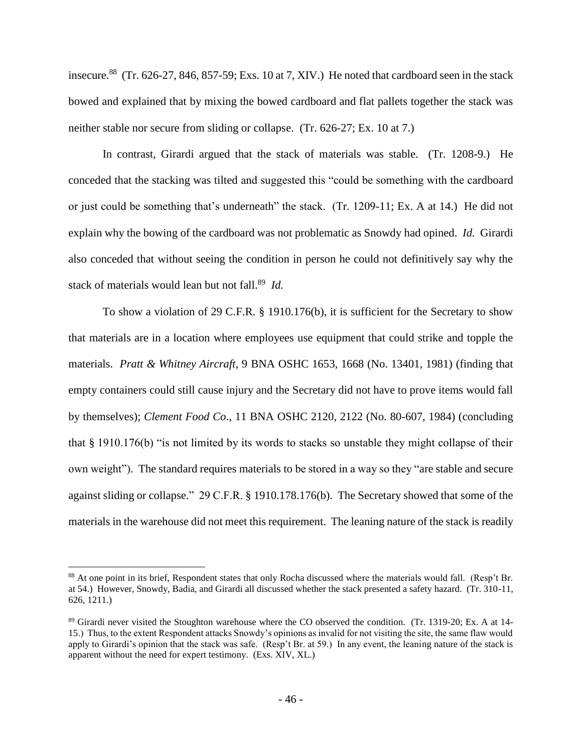insecure.<sup>88</sup> (Tr. 626-27, 846, 857-59; Exs. 10 at 7, XIV.) He noted that cardboard seen in the stack bowed and explained that by mixing the bowed cardboard and flat pallets together the stack was neither stable nor secure from sliding or collapse. (Tr. 626-27; Ex. 10 at 7.)

In contrast, Girardi argued that the stack of materials was stable. (Tr. 1208-9.) He conceded that the stacking was tilted and suggested this "could be something with the cardboard or just could be something that's underneath" the stack. (Tr. 1209-11; Ex. A at 14.) He did not explain why the bowing of the cardboard was not problematic as Snowdy had opined. *Id.* Girardi also conceded that without seeing the condition in person he could not definitively say why the stack of materials would lean but not fall. 89 *Id.* 

To show a violation of 29 C.F.R. § 1910.176(b), it is sufficient for the Secretary to show that materials are in a location where employees use equipment that could strike and topple the materials. *Pratt & Whitney Aircraft*, 9 BNA OSHC 1653, 1668 (No. 13401, 1981) (finding that empty containers could still cause injury and the Secretary did not have to prove items would fall by themselves); *Clement Food Co*., 11 BNA OSHC 2120, 2122 (No. 80-607, 1984) (concluding that § 1910.176(b) "is not limited by its words to stacks so unstable they might collapse of their own weight"). The standard requires materials to be stored in a way so they "are stable and secure against sliding or collapse." 29 C.F.R. § 1910.178.176(b). The Secretary showed that some of the materials in the warehouse did not meet this requirement. The leaning nature of the stack is readily

<sup>&</sup>lt;sup>88</sup> At one point in its brief, Respondent states that only Rocha discussed where the materials would fall. (Resp't Br. at 54.) However, Snowdy, Badia, and Girardi all discussed whether the stack presented a safety hazard. (Tr. 310-11, 626, 1211.)

<sup>&</sup>lt;sup>89</sup> Girardi never visited the Stoughton warehouse where the CO observed the condition. (Tr. 1319-20; Ex. A at 14-15.) Thus, to the extent Respondent attacks Snowdy's opinions as invalid for not visiting the site, the same flaw would apply to Girardi's opinion that the stack was safe. (Resp't Br. at 59.) In any event, the leaning nature of the stack is apparent without the need for expert testimony. (Exs. XIV, XL.)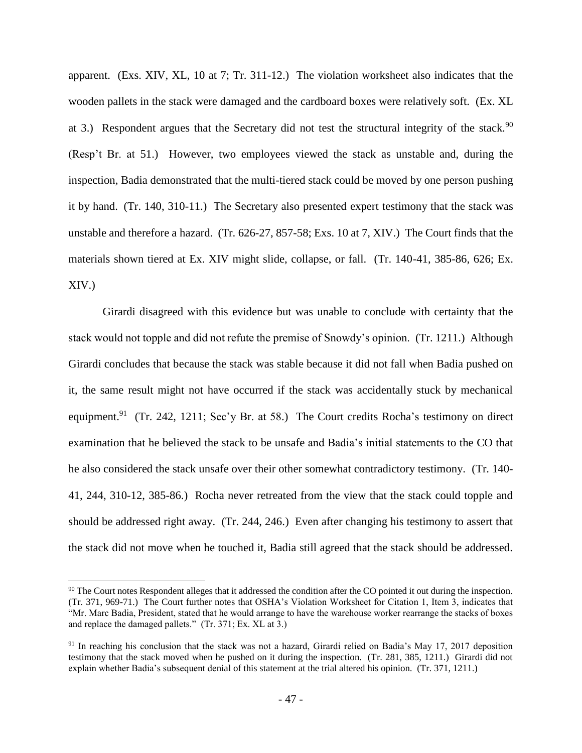apparent. (Exs. XIV, XL, 10 at 7; Tr. 311-12.) The violation worksheet also indicates that the wooden pallets in the stack were damaged and the cardboard boxes were relatively soft. (Ex. XL at 3.) Respondent argues that the Secretary did not test the structural integrity of the stack.<sup>90</sup> (Resp't Br. at 51.) However, two employees viewed the stack as unstable and, during the inspection, Badia demonstrated that the multi-tiered stack could be moved by one person pushing it by hand. (Tr. 140, 310-11.) The Secretary also presented expert testimony that the stack was unstable and therefore a hazard. (Tr. 626-27, 857-58; Exs. 10 at 7, XIV.) The Court finds that the materials shown tiered at Ex. XIV might slide, collapse, or fall. (Tr. 140-41, 385-86, 626; Ex. XIV.)

Girardi disagreed with this evidence but was unable to conclude with certainty that the stack would not topple and did not refute the premise of Snowdy's opinion. (Tr. 1211.) Although Girardi concludes that because the stack was stable because it did not fall when Badia pushed on it, the same result might not have occurred if the stack was accidentally stuck by mechanical equipment.<sup>91</sup> (Tr. 242, 1211; Sec'y Br. at 58.) The Court credits Rocha's testimony on direct examination that he believed the stack to be unsafe and Badia's initial statements to the CO that he also considered the stack unsafe over their other somewhat contradictory testimony. (Tr. 140- 41, 244, 310-12, 385-86.) Rocha never retreated from the view that the stack could topple and should be addressed right away. (Tr. 244, 246.) Even after changing his testimony to assert that the stack did not move when he touched it, Badia still agreed that the stack should be addressed.

<sup>&</sup>lt;sup>90</sup> The Court notes Respondent alleges that it addressed the condition after the CO pointed it out during the inspection. (Tr. 371, 969-71.) The Court further notes that OSHA's Violation Worksheet for Citation 1, Item 3, indicates that "Mr. Marc Badia, President, stated that he would arrange to have the warehouse worker rearrange the stacks of boxes and replace the damaged pallets." (Tr. 371; Ex. XL at 3.)

<sup>&</sup>lt;sup>91</sup> In reaching his conclusion that the stack was not a hazard, Girardi relied on Badia's May 17, 2017 deposition testimony that the stack moved when he pushed on it during the inspection. (Tr. 281, 385, 1211.) Girardi did not explain whether Badia's subsequent denial of this statement at the trial altered his opinion. (Tr. 371, 1211.)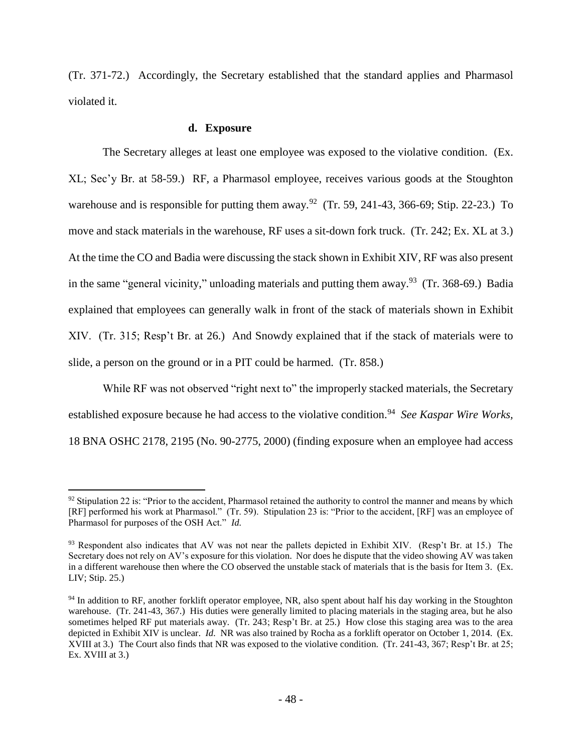(Tr. 371-72.) Accordingly, the Secretary established that the standard applies and Pharmasol violated it.

#### **d. Exposure**

 $\overline{a}$ 

The Secretary alleges at least one employee was exposed to the violative condition. (Ex. XL; Sec'y Br. at 58-59.) RF, a Pharmasol employee, receives various goods at the Stoughton warehouse and is responsible for putting them away.<sup>92</sup> (Tr. 59, 241-43, 366-69; Stip. 22-23.) To move and stack materials in the warehouse, RF uses a sit-down fork truck. (Tr. 242; Ex. XL at 3.) At the time the CO and Badia were discussing the stack shown in Exhibit XIV, RF was also present in the same "general vicinity," unloading materials and putting them away.<sup>93</sup> (Tr. 368-69.) Badia explained that employees can generally walk in front of the stack of materials shown in Exhibit XIV. (Tr. 315; Resp't Br. at 26.) And Snowdy explained that if the stack of materials were to slide, a person on the ground or in a PIT could be harmed. (Tr. 858.)

While RF was not observed "right next to" the improperly stacked materials, the Secretary established exposure because he had access to the violative condition.<sup>94</sup> See Kaspar Wire Works, 18 BNA OSHC 2178, 2195 (No. 90-2775, 2000) (finding exposure when an employee had access

 $92$  Stipulation 22 is: "Prior to the accident, Pharmasol retained the authority to control the manner and means by which [RF] performed his work at Pharmasol." (Tr. 59). Stipulation 23 is: "Prior to the accident, [RF] was an employee of Pharmasol for purposes of the OSH Act." *Id.*

<sup>93</sup> Respondent also indicates that AV was not near the pallets depicted in Exhibit XIV. (Resp't Br. at 15.) The Secretary does not rely on AV's exposure for this violation. Nor does he dispute that the video showing AV was taken in a different warehouse then where the CO observed the unstable stack of materials that is the basis for Item 3. (Ex. LIV; Stip. 25.)

<sup>&</sup>lt;sup>94</sup> In addition to RF, another forklift operator employee, NR, also spent about half his day working in the Stoughton warehouse. (Tr. 241-43, 367.) His duties were generally limited to placing materials in the staging area, but he also sometimes helped RF put materials away. (Tr. 243; Resp't Br. at 25.) How close this staging area was to the area depicted in Exhibit XIV is unclear. *Id.* NR was also trained by Rocha as a forklift operator on October 1, 2014. (Ex. XVIII at 3.) The Court also finds that NR was exposed to the violative condition. (Tr. 241-43, 367; Resp't Br. at 25; Ex. XVIII at 3.)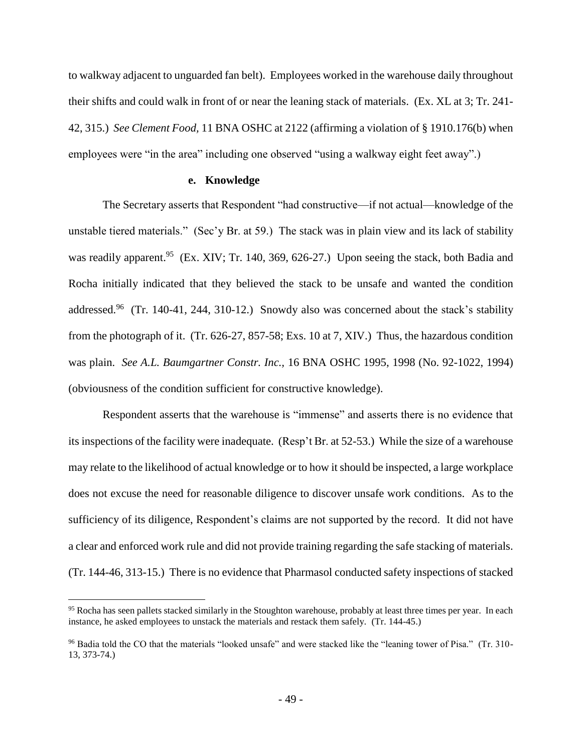to walkway adjacent to unguarded fan belt). Employees worked in the warehouse daily throughout their shifts and could walk in front of or near the leaning stack of materials. (Ex. XL at 3; Tr. 241- 42, 315.) *See Clement Food,* 11 BNA OSHC at 2122 (affirming a violation of § 1910.176(b) when employees were "in the area" including one observed "using a walkway eight feet away".)

### **e. Knowledge**

The Secretary asserts that Respondent "had constructive—if not actual—knowledge of the unstable tiered materials." (Sec'y Br. at 59.) The stack was in plain view and its lack of stability was readily apparent.<sup>95</sup> (Ex. XIV; Tr. 140, 369, 626-27.) Upon seeing the stack, both Badia and Rocha initially indicated that they believed the stack to be unsafe and wanted the condition addressed.<sup>96</sup> (Tr. 140-41, 244, 310-12.) Snowdy also was concerned about the stack's stability from the photograph of it. (Tr. 626-27, 857-58; Exs. 10 at 7, XIV.) Thus, the hazardous condition was plain. *See A.L. Baumgartner Constr. Inc.,* 16 BNA OSHC 1995, 1998 (No. 92-1022, 1994) (obviousness of the condition sufficient for constructive knowledge).

Respondent asserts that the warehouse is "immense" and asserts there is no evidence that its inspections of the facility were inadequate. (Resp't Br. at 52-53.) While the size of a warehouse may relate to the likelihood of actual knowledge or to how it should be inspected, a large workplace does not excuse the need for reasonable diligence to discover unsafe work conditions. As to the sufficiency of its diligence, Respondent's claims are not supported by the record. It did not have a clear and enforced work rule and did not provide training regarding the safe stacking of materials. (Tr. 144-46, 313-15.) There is no evidence that Pharmasol conducted safety inspections of stacked

<sup>&</sup>lt;sup>95</sup> Rocha has seen pallets stacked similarly in the Stoughton warehouse, probably at least three times per year. In each instance, he asked employees to unstack the materials and restack them safely. (Tr. 144-45.)

<sup>96</sup> Badia told the CO that the materials "looked unsafe" and were stacked like the "leaning tower of Pisa." (Tr. 310- 13, 373-74.)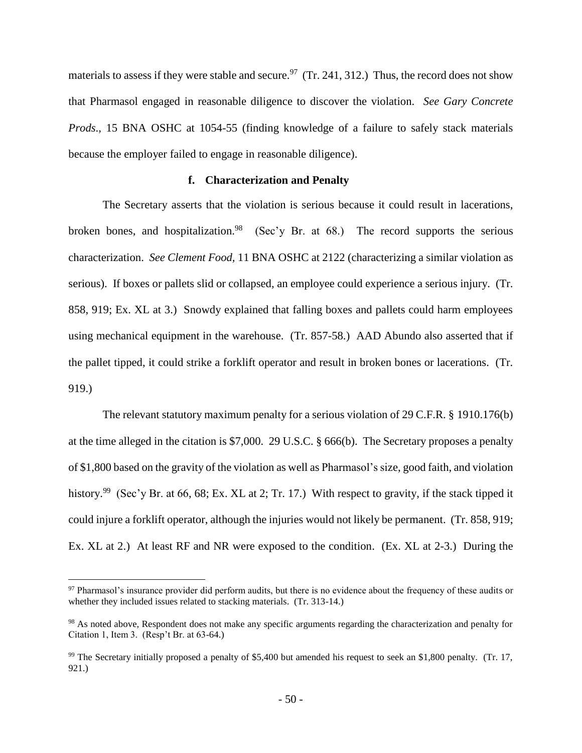materials to assess if they were stable and secure.<sup>97</sup> (Tr. 241, 312.) Thus, the record does not show that Pharmasol engaged in reasonable diligence to discover the violation. *See Gary Concrete Prods*.*,* 15 BNA OSHC at 1054-55 (finding knowledge of a failure to safely stack materials because the employer failed to engage in reasonable diligence).

## **f. Characterization and Penalty**

The Secretary asserts that the violation is serious because it could result in lacerations, broken bones, and hospitalization.<sup>98</sup> (Sec'y Br. at 68.) The record supports the serious characterization. *See Clement Food,* 11 BNA OSHC at 2122 (characterizing a similar violation as serious). If boxes or pallets slid or collapsed, an employee could experience a serious injury. (Tr. 858, 919; Ex. XL at 3.) Snowdy explained that falling boxes and pallets could harm employees using mechanical equipment in the warehouse. (Tr. 857-58.) AAD Abundo also asserted that if the pallet tipped, it could strike a forklift operator and result in broken bones or lacerations. (Tr. 919.)

The relevant statutory maximum penalty for a serious violation of 29 C.F.R. § 1910.176(b) at the time alleged in the citation is \$7,000. 29 U.S.C. § 666(b). The Secretary proposes a penalty of \$1,800 based on the gravity of the violation as well as Pharmasol's size, good faith, and violation history.<sup>99</sup> (Sec'y Br. at 66, 68; Ex. XL at 2; Tr. 17.) With respect to gravity, if the stack tipped it could injure a forklift operator, although the injuries would not likely be permanent. (Tr. 858, 919; Ex. XL at 2.) At least RF and NR were exposed to the condition. (Ex. XL at 2-3.) During the

<sup>97</sup> Pharmasol's insurance provider did perform audits, but there is no evidence about the frequency of these audits or whether they included issues related to stacking materials. (Tr. 313-14.)

<sup>&</sup>lt;sup>98</sup> As noted above, Respondent does not make any specific arguments regarding the characterization and penalty for Citation 1, Item 3. (Resp't Br. at 63-64.)

<sup>99</sup> The Secretary initially proposed a penalty of \$5,400 but amended his request to seek an \$1,800 penalty. (Tr. 17, 921.)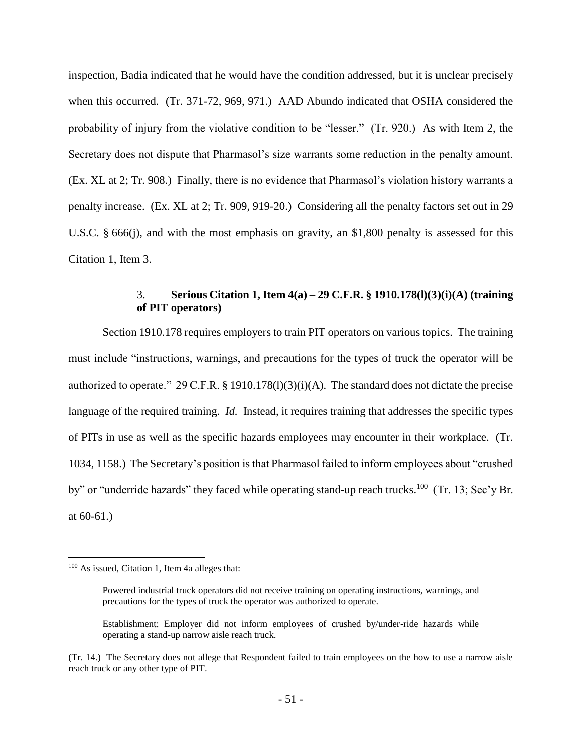inspection, Badia indicated that he would have the condition addressed, but it is unclear precisely when this occurred. (Tr. 371-72, 969, 971.) AAD Abundo indicated that OSHA considered the probability of injury from the violative condition to be "lesser." (Tr. 920.) As with Item 2, the Secretary does not dispute that Pharmasol's size warrants some reduction in the penalty amount. (Ex. XL at 2; Tr. 908.) Finally, there is no evidence that Pharmasol's violation history warrants a penalty increase. (Ex. XL at 2; Tr. 909, 919-20.) Considering all the penalty factors set out in 29 U.S.C. § 666(j), and with the most emphasis on gravity, an \$1,800 penalty is assessed for this Citation 1, Item 3.

### 3. **Serious Citation 1, Item 4(a) – 29 C.F.R. § 1910.178(l)(3)(i)(A) (training of PIT operators)**

Section 1910.178 requires employers to train PIT operators on various topics. The training must include "instructions, warnings, and precautions for the types of truck the operator will be authorized to operate." 29 C.F.R. § 1910.178(l)(3)(i)(A). The standard does not dictate the precise language of the required training. *Id.* Instead, it requires training that addresses the specific types of PITs in use as well as the specific hazards employees may encounter in their workplace. (Tr. 1034, 1158.) The Secretary's position is that Pharmasol failed to inform employees about "crushed by" or "underride hazards" they faced while operating stand-up reach trucks.<sup>100</sup> (Tr. 13; Sec'y Br. at 60-61.)

<sup>100</sup> As issued, Citation 1, Item 4a alleges that:

Powered industrial truck operators did not receive training on operating instructions, warnings, and precautions for the types of truck the operator was authorized to operate.

Establishment: Employer did not inform employees of crushed by/under-ride hazards while operating a stand-up narrow aisle reach truck.

<sup>(</sup>Tr. 14.) The Secretary does not allege that Respondent failed to train employees on the how to use a narrow aisle reach truck or any other type of PIT.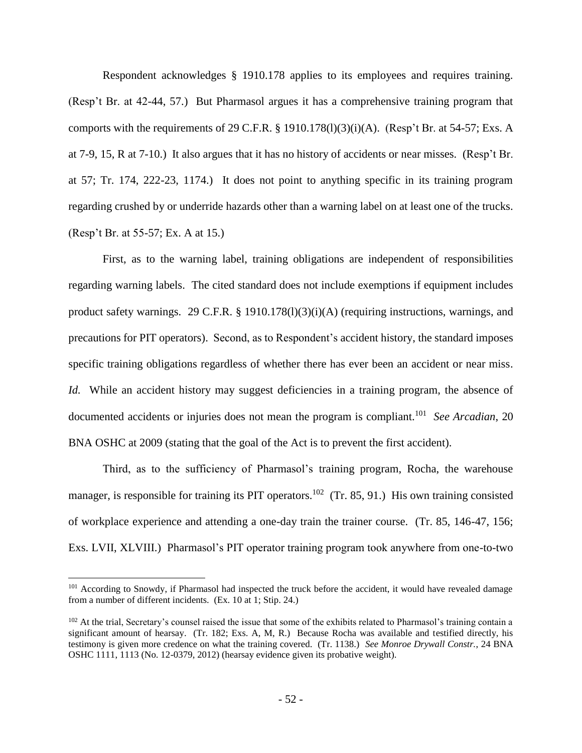Respondent acknowledges § 1910.178 applies to its employees and requires training. (Resp't Br. at 42-44, 57.) But Pharmasol argues it has a comprehensive training program that comports with the requirements of 29 C.F.R.  $\S$  1910.178(1)(3)(i)(A). (Resp't Br. at 54-57; Exs. A at 7-9, 15, R at 7-10.) It also argues that it has no history of accidents or near misses*.* (Resp't Br. at 57; Tr. 174, 222-23, 1174.) It does not point to anything specific in its training program regarding crushed by or underride hazards other than a warning label on at least one of the trucks. (Resp't Br. at 55-57; Ex. A at 15.)

First, as to the warning label, training obligations are independent of responsibilities regarding warning labels. The cited standard does not include exemptions if equipment includes product safety warnings. 29 C.F.R. § 1910.178(l)(3)(i)(A) (requiring instructions, warnings, and precautions for PIT operators). Second, as to Respondent's accident history, the standard imposes specific training obligations regardless of whether there has ever been an accident or near miss. *Id.* While an accident history may suggest deficiencies in a training program, the absence of documented accidents or injuries does not mean the program is compliant.<sup>101</sup> See Arcadian, 20 BNA OSHC at 2009 (stating that the goal of the Act is to prevent the first accident).

Third, as to the sufficiency of Pharmasol's training program, Rocha, the warehouse manager, is responsible for training its PIT operators.<sup>102</sup> (Tr. 85, 91.) His own training consisted of workplace experience and attending a one-day train the trainer course. (Tr. 85, 146-47, 156; Exs. LVII, XLVIII.) Pharmasol's PIT operator training program took anywhere from one-to-two

<sup>&</sup>lt;sup>101</sup> According to Snowdy, if Pharmasol had inspected the truck before the accident, it would have revealed damage from a number of different incidents. (Ex. 10 at 1; Stip. 24.)

<sup>&</sup>lt;sup>102</sup> At the trial, Secretary's counsel raised the issue that some of the exhibits related to Pharmasol's training contain a significant amount of hearsay. (Tr. 182; Exs. A, M, R.) Because Rocha was available and testified directly, his testimony is given more credence on what the training covered. (Tr. 1138.) *See Monroe Drywall Constr.*, 24 BNA OSHC 1111, 1113 (No. 12-0379, 2012) (hearsay evidence given its probative weight).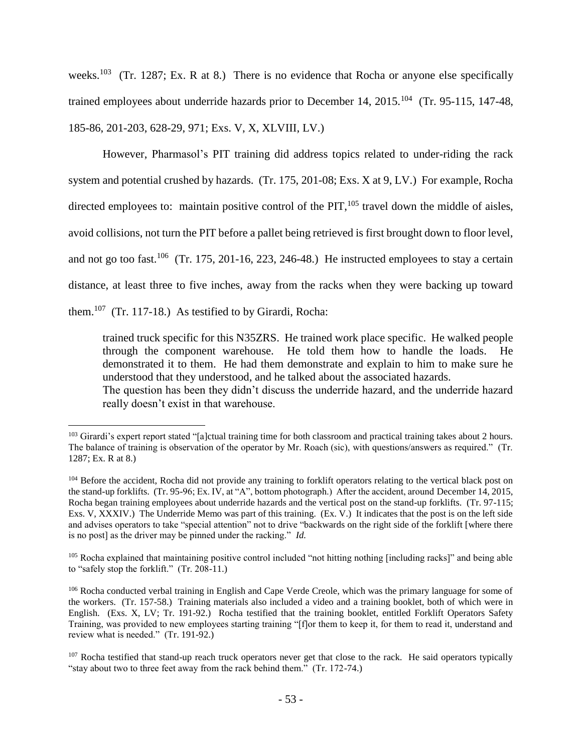weeks.<sup>103</sup> (Tr. 1287; Ex. R at 8.) There is no evidence that Rocha or anyone else specifically trained employees about underride hazards prior to December 14, 2015.<sup>104</sup> (Tr. 95-115, 147-48, 185-86, 201-203, 628-29, 971; Exs. V, X, XLVIII, LV.)

However, Pharmasol's PIT training did address topics related to under-riding the rack system and potential crushed by hazards. (Tr. 175, 201-08; Exs. X at 9, LV.) For example, Rocha directed employees to: maintain positive control of the PIT, $105$  travel down the middle of aisles, avoid collisions, not turn the PIT before a pallet being retrieved is first brought down to floor level, and not go too fast.<sup>106</sup> (Tr. 175, 201-16, 223, 246-48.) He instructed employees to stay a certain distance, at least three to five inches, away from the racks when they were backing up toward them.<sup>107</sup> (Tr. 117-18.) As testified to by Girardi, Rocha:

trained truck specific for this N35ZRS. He trained work place specific. He walked people through the component warehouse. He told them how to handle the loads. He demonstrated it to them. He had them demonstrate and explain to him to make sure he understood that they understood, and he talked about the associated hazards. The question has been they didn't discuss the underride hazard, and the underride hazard really doesn't exist in that warehouse.

<sup>&</sup>lt;sup>103</sup> Girardi's expert report stated "[a]ctual training time for both classroom and practical training takes about 2 hours. The balance of training is observation of the operator by Mr. Roach (sic), with questions/answers as required." (Tr. 1287; Ex. R at 8.)

<sup>&</sup>lt;sup>104</sup> Before the accident, Rocha did not provide any training to forklift operators relating to the vertical black post on the stand-up forklifts. (Tr. 95-96; Ex. IV, at "A", bottom photograph.) After the accident, around December 14, 2015, Rocha began training employees about underride hazards and the vertical post on the stand-up forklifts. (Tr. 97-115; Exs. V, XXXIV.) The Underride Memo was part of this training. (Ex. V.) It indicates that the post is on the left side and advises operators to take "special attention" not to drive "backwards on the right side of the forklift [where there is no post] as the driver may be pinned under the racking." *Id.*

<sup>&</sup>lt;sup>105</sup> Rocha explained that maintaining positive control included "not hitting nothing [including racks]" and being able to "safely stop the forklift." (Tr. 208-11.)

<sup>&</sup>lt;sup>106</sup> Rocha conducted verbal training in English and Cape Verde Creole, which was the primary language for some of the workers. (Tr. 157-58.) Training materials also included a video and a training booklet, both of which were in English. (Exs. X, LV; Tr. 191-92.) Rocha testified that the training booklet, entitled Forklift Operators Safety Training, was provided to new employees starting training "[f]or them to keep it, for them to read it, understand and review what is needed." (Tr. 191-92.)

 $107$  Rocha testified that stand-up reach truck operators never get that close to the rack. He said operators typically "stay about two to three feet away from the rack behind them." (Tr. 172-74.)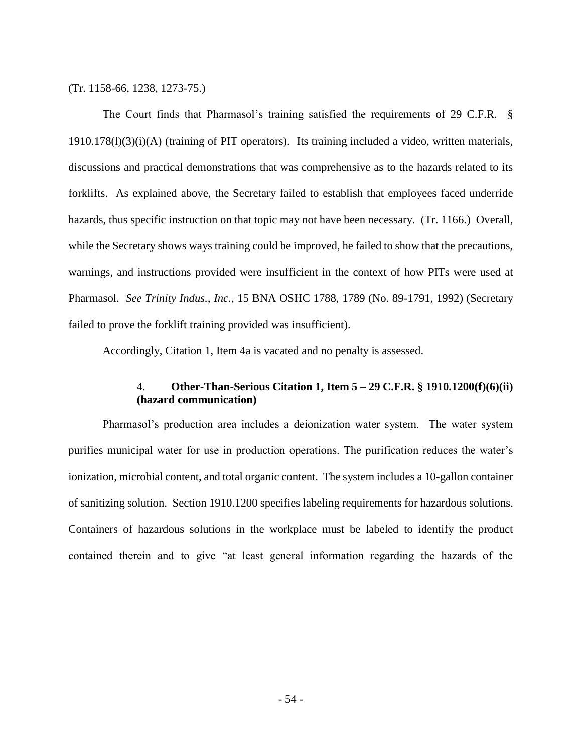(Tr. 1158-66, 1238, 1273-75.)

The Court finds that Pharmasol's training satisfied the requirements of 29 C.F.R. § 1910.178(l)(3)(i)(A) (training of PIT operators). Its training included a video, written materials, discussions and practical demonstrations that was comprehensive as to the hazards related to its forklifts. As explained above, the Secretary failed to establish that employees faced underride hazards, thus specific instruction on that topic may not have been necessary. (Tr. 1166.) Overall, while the Secretary shows ways training could be improved, he failed to show that the precautions, warnings, and instructions provided were insufficient in the context of how PITs were used at Pharmasol. *See Trinity Indus., Inc.*, 15 BNA OSHC 1788, 1789 (No. 89-1791, 1992) (Secretary failed to prove the forklift training provided was insufficient).

Accordingly, Citation 1, Item 4a is vacated and no penalty is assessed.

## 4. **Other-Than-Serious Citation 1, Item 5 – 29 C.F.R. § 1910.1200(f)(6)(ii) (hazard communication)**

Pharmasol's production area includes a deionization water system. The water system purifies municipal water for use in production operations. The purification reduces the water's ionization, microbial content, and total organic content. The system includes a 10-gallon container of sanitizing solution. Section 1910.1200 specifies labeling requirements for hazardous solutions. Containers of hazardous solutions in the workplace must be labeled to identify the product contained therein and to give "at least general information regarding the hazards of the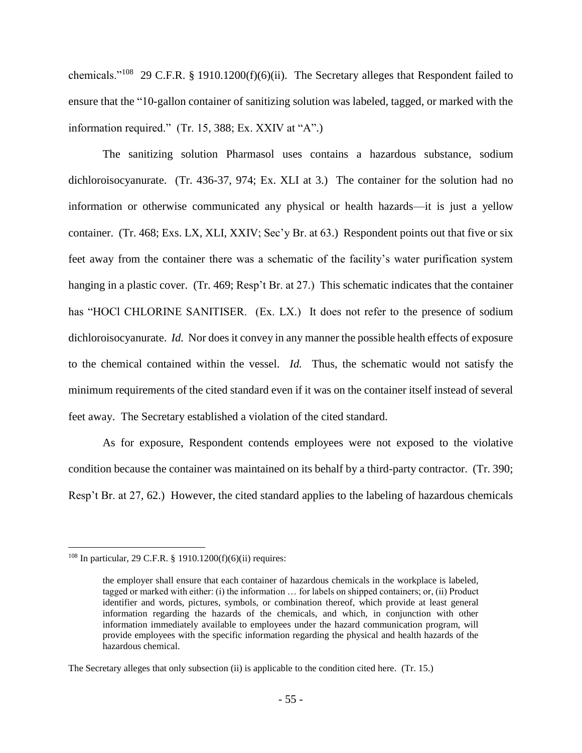chemicals."<sup>108</sup> 29 C.F.R. § 1910.1200(f)(6)(ii). The Secretary alleges that Respondent failed to ensure that the "10-gallon container of sanitizing solution was labeled, tagged, or marked with the information required." (Tr. 15, 388; Ex. XXIV at "A".)

The sanitizing solution Pharmasol uses contains a hazardous substance, sodium dichloroisocyanurate. (Tr. 436-37, 974; Ex. XLI at 3.) The container for the solution had no information or otherwise communicated any physical or health hazards—it is just a yellow container. (Tr. 468; Exs. LX, XLI, XXIV; Sec'y Br. at 63.) Respondent points out that five or six feet away from the container there was a schematic of the facility's water purification system hanging in a plastic cover. (Tr. 469; Resp't Br. at 27.) This schematic indicates that the container has "HOCl CHLORINE SANITISER. (Ex. LX.) It does not refer to the presence of sodium dichloroisocyanurate. *Id.* Nor does it convey in any manner the possible health effects of exposure to the chemical contained within the vessel. *Id.* Thus, the schematic would not satisfy the minimum requirements of the cited standard even if it was on the container itself instead of several feet away. The Secretary established a violation of the cited standard.

As for exposure, Respondent contends employees were not exposed to the violative condition because the container was maintained on its behalf by a third-party contractor. (Tr. 390; Resp't Br. at 27, 62.) However, the cited standard applies to the labeling of hazardous chemicals

<sup>&</sup>lt;sup>108</sup> In particular, 29 C.F.R. § 1910.1200(f)(6)(ii) requires:

the employer shall ensure that each container of hazardous chemicals in the workplace is labeled, tagged or marked with either: (i) the information … for labels on shipped containers; or, (ii) Product identifier and words, pictures, symbols, or combination thereof, which provide at least general information regarding the hazards of the chemicals, and which, in conjunction with other information immediately available to employees under the hazard communication program, will provide employees with the specific information regarding the physical and health hazards of the hazardous chemical.

The Secretary alleges that only subsection (ii) is applicable to the condition cited here. (Tr. 15.)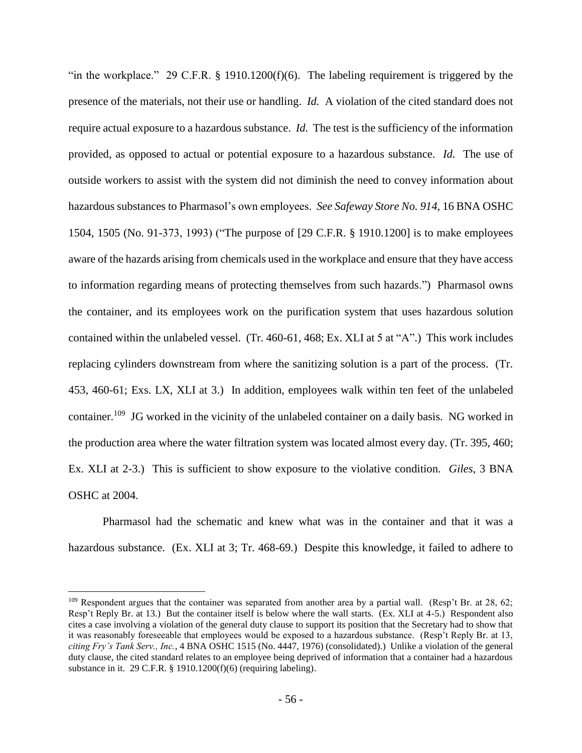"in the workplace." 29 C.F.R. § 1910.1200(f)(6). The labeling requirement is triggered by the presence of the materials, not their use or handling. *Id.* A violation of the cited standard does not require actual exposure to a hazardous substance. *Id.* The test is the sufficiency of the information provided, as opposed to actual or potential exposure to a hazardous substance. *Id.* The use of outside workers to assist with the system did not diminish the need to convey information about hazardous substances to Pharmasol's own employees. *See Safeway Store No. 914*, 16 BNA OSHC 1504, 1505 (No. 91-373, 1993) ("The purpose of [29 C.F.R. § 1910.1200] is to make employees aware of the hazards arising from chemicals used in the workplace and ensure that they have access to information regarding means of protecting themselves from such hazards.") Pharmasol owns the container, and its employees work on the purification system that uses hazardous solution contained within the unlabeled vessel. (Tr. 460-61, 468; Ex. XLI at 5 at "A".) This work includes replacing cylinders downstream from where the sanitizing solution is a part of the process. (Tr. 453, 460-61; Exs. LX, XLI at 3.) In addition, employees walk within ten feet of the unlabeled container.<sup>109</sup> JG worked in the vicinity of the unlabeled container on a daily basis. NG worked in the production area where the water filtration system was located almost every day. (Tr. 395, 460; Ex. XLI at 2-3.) This is sufficient to show exposure to the violative condition. *Giles*, 3 BNA OSHC at 2004.

Pharmasol had the schematic and knew what was in the container and that it was a hazardous substance. (Ex. XLI at 3; Tr. 468-69.) Despite this knowledge, it failed to adhere to

 $109$  Respondent argues that the container was separated from another area by a partial wall. (Resp't Br. at 28, 62; Resp't Reply Br. at 13.) But the container itself is below where the wall starts. (Ex. XLI at 4-5.) Respondent also cites a case involving a violation of the general duty clause to support its position that the Secretary had to show that it was reasonably foreseeable that employees would be exposed to a hazardous substance. (Resp't Reply Br. at 13, *citing Fry's Tank Serv., Inc.*, 4 BNA OSHC 1515 (No. 4447, 1976) (consolidated).) Unlike a violation of the general duty clause, the cited standard relates to an employee being deprived of information that a container had a hazardous substance in it. 29 C.F.R. § 1910.1200(f)(6) (requiring labeling).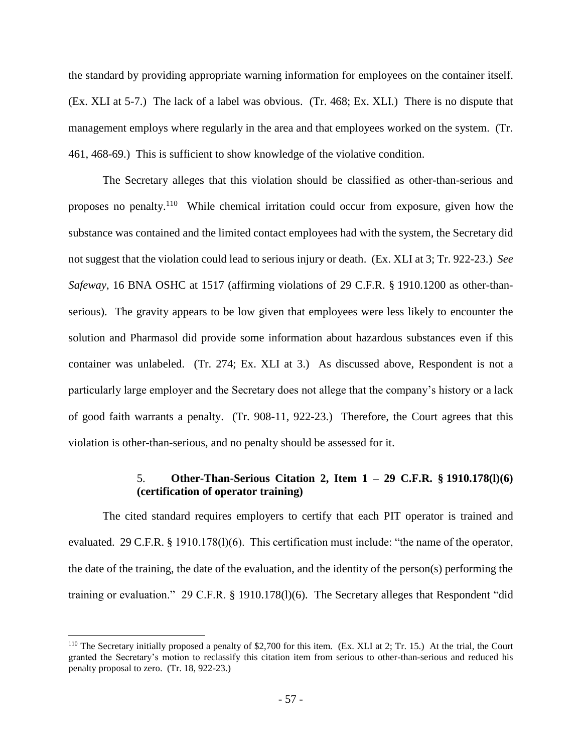the standard by providing appropriate warning information for employees on the container itself. (Ex. XLI at 5-7.) The lack of a label was obvious. (Tr. 468; Ex. XLI.) There is no dispute that management employs where regularly in the area and that employees worked on the system. (Tr. 461, 468-69.) This is sufficient to show knowledge of the violative condition.

The Secretary alleges that this violation should be classified as other-than-serious and proposes no penalty.<sup>110</sup> While chemical irritation could occur from exposure, given how the substance was contained and the limited contact employees had with the system, the Secretary did not suggest that the violation could lead to serious injury or death. (Ex. XLI at 3; Tr. 922-23.) *See Safeway*, 16 BNA OSHC at 1517 (affirming violations of 29 C.F.R. § 1910.1200 as other-thanserious). The gravity appears to be low given that employees were less likely to encounter the solution and Pharmasol did provide some information about hazardous substances even if this container was unlabeled. (Tr. 274; Ex. XLI at 3.) As discussed above, Respondent is not a particularly large employer and the Secretary does not allege that the company's history or a lack of good faith warrants a penalty. (Tr. 908-11, 922-23.) Therefore, the Court agrees that this violation is other-than-serious, and no penalty should be assessed for it.

# 5. **Other-Than-Serious Citation 2, Item 1 – 29 C.F.R. § 1910.178(l)(6) (certification of operator training)**

The cited standard requires employers to certify that each PIT operator is trained and evaluated. 29 C.F.R. § 1910.178(l)(6). This certification must include: "the name of the operator, the date of the training, the date of the evaluation, and the identity of the person(s) performing the training or evaluation." 29 C.F.R. § 1910.178(l)(6). The Secretary alleges that Respondent "did

<sup>110</sup> The Secretary initially proposed a penalty of \$2,700 for this item. (Ex. XLI at 2; Tr. 15.) At the trial, the Court granted the Secretary's motion to reclassify this citation item from serious to other-than-serious and reduced his penalty proposal to zero. (Tr. 18, 922-23.)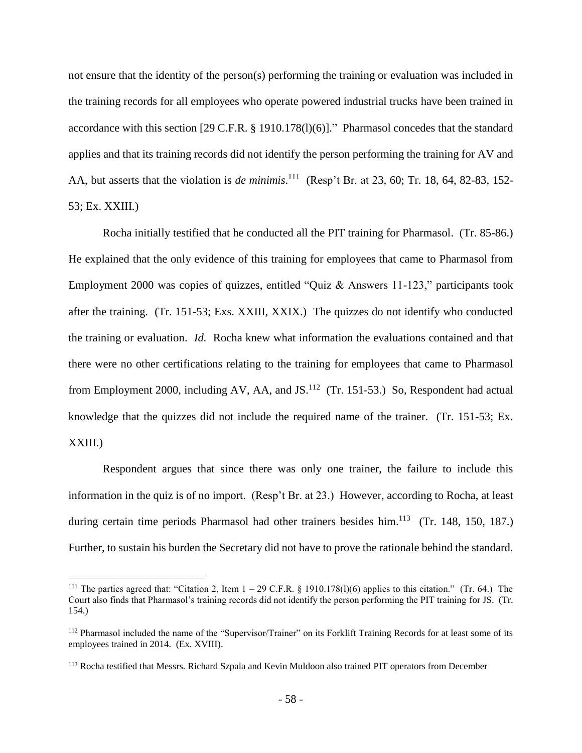not ensure that the identity of the person(s) performing the training or evaluation was included in the training records for all employees who operate powered industrial trucks have been trained in accordance with this section [29 C.F.R. § 1910.178(l)(6)]." Pharmasol concedes that the standard applies and that its training records did not identify the person performing the training for AV and AA, but asserts that the violation is *de minimis*.<sup>111</sup> (Resp't Br. at 23, 60; Tr. 18, 64, 82-83, 152-53; Ex. XXIII.)

Rocha initially testified that he conducted all the PIT training for Pharmasol. (Tr. 85-86.) He explained that the only evidence of this training for employees that came to Pharmasol from Employment 2000 was copies of quizzes, entitled "Quiz & Answers 11-123," participants took after the training. (Tr. 151-53; Exs. XXIII, XXIX.) The quizzes do not identify who conducted the training or evaluation. *Id.* Rocha knew what information the evaluations contained and that there were no other certifications relating to the training for employees that came to Pharmasol from Employment 2000, including AV, AA, and JS.<sup>112</sup> (Tr. 151-53.) So, Respondent had actual knowledge that the quizzes did not include the required name of the trainer. (Tr. 151-53; Ex. XXIII.)

Respondent argues that since there was only one trainer, the failure to include this information in the quiz is of no import. (Resp't Br. at 23.) However, according to Rocha, at least during certain time periods Pharmasol had other trainers besides him.<sup>113</sup> (Tr. 148, 150, 187.) Further, to sustain his burden the Secretary did not have to prove the rationale behind the standard.

<sup>&</sup>lt;sup>111</sup> The parties agreed that: "Citation 2, Item  $1 - 29$  C.F.R. § 1910.178(1)(6) applies to this citation." (Tr. 64.) The Court also finds that Pharmasol's training records did not identify the person performing the PIT training for JS. (Tr. 154.)

<sup>&</sup>lt;sup>112</sup> Pharmasol included the name of the "Supervisor/Trainer" on its Forklift Training Records for at least some of its employees trained in 2014. (Ex. XVIII).

<sup>&</sup>lt;sup>113</sup> Rocha testified that Messrs. Richard Szpala and Kevin Muldoon also trained PIT operators from December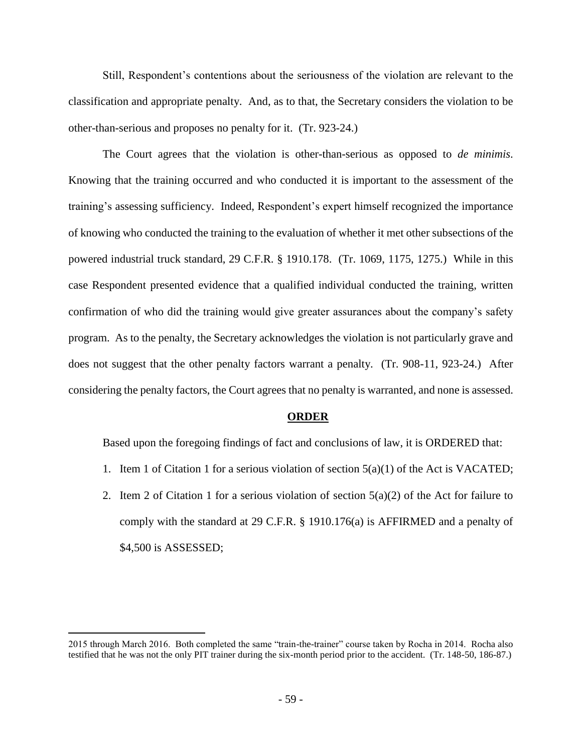Still, Respondent's contentions about the seriousness of the violation are relevant to the classification and appropriate penalty. And, as to that, the Secretary considers the violation to be other-than-serious and proposes no penalty for it. (Tr. 923-24.)

The Court agrees that the violation is other-than-serious as opposed to *de minimis*. Knowing that the training occurred and who conducted it is important to the assessment of the training's assessing sufficiency. Indeed, Respondent's expert himself recognized the importance of knowing who conducted the training to the evaluation of whether it met other subsections of the powered industrial truck standard, 29 C.F.R. § 1910.178. (Tr. 1069, 1175, 1275.) While in this case Respondent presented evidence that a qualified individual conducted the training, written confirmation of who did the training would give greater assurances about the company's safety program. As to the penalty, the Secretary acknowledges the violation is not particularly grave and does not suggest that the other penalty factors warrant a penalty. (Tr. 908-11, 923-24.) After considering the penalty factors, the Court agrees that no penalty is warranted, and none is assessed.

#### **ORDER**

Based upon the foregoing findings of fact and conclusions of law, it is ORDERED that:

- 1. Item 1 of Citation 1 for a serious violation of section  $5(a)(1)$  of the Act is VACATED;
- 2. Item 2 of Citation 1 for a serious violation of section  $5(a)(2)$  of the Act for failure to comply with the standard at 29 C.F.R. § 1910.176(a) is AFFIRMED and a penalty of \$4,500 is ASSESSED;

<sup>2015</sup> through March 2016. Both completed the same "train-the-trainer" course taken by Rocha in 2014. Rocha also testified that he was not the only PIT trainer during the six-month period prior to the accident. (Tr. 148-50, 186-87.)